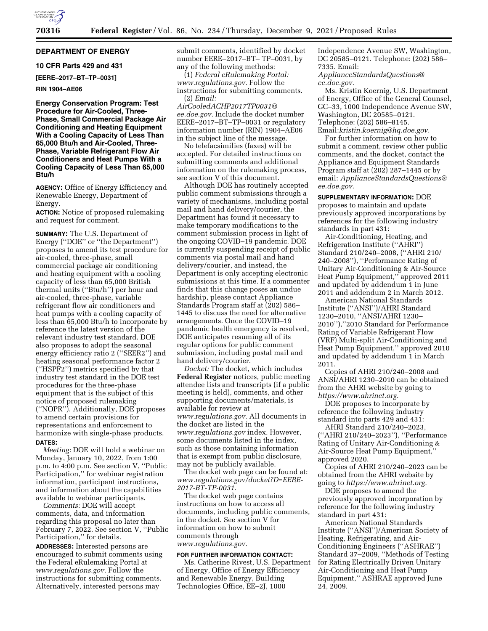

## **DEPARTMENT OF ENERGY**

# **10 CFR Parts 429 and 431**

**[EERE–2017–BT–TP–0031]** 

#### **RIN 1904–AE06**

**Energy Conservation Program: Test Procedure for Air-Cooled, Three-Phase, Small Commercial Package Air Conditioning and Heating Equipment With a Cooling Capacity of Less Than 65,000 Btu/h and Air-Cooled, Three-Phase, Variable Refrigerant Flow Air Conditioners and Heat Pumps With a Cooling Capacity of Less Than 65,000 Btu/h** 

**AGENCY:** Office of Energy Efficiency and Renewable Energy, Department of Energy.

**ACTION:** Notice of proposed rulemaking and request for comment.

**SUMMARY:** The U.S. Department of Energy (''DOE'' or ''the Department'') proposes to amend its test procedure for air-cooled, three-phase, small commercial package air conditioning and heating equipment with a cooling capacity of less than 65,000 British thermal units (''Btu/h'') per hour and air-cooled, three-phase, variable refrigerant flow air conditioners and heat pumps with a cooling capacity of less than 65,000 Btu/h to incorporate by reference the latest version of the relevant industry test standard. DOE also proposes to adopt the seasonal energy efficiency ratio 2 (''SEER2'') and heating seasonal performance factor 2 (''HSPF2'') metrics specified by that industry test standard in the DOE test procedures for the three-phase equipment that is the subject of this notice of proposed rulemaking (''NOPR''). Additionally, DOE proposes to amend certain provisions for representations and enforcement to harmonize with single-phase products. **DATES:** 

*Meeting:* DOE will hold a webinar on Monday, January 10, 2022, from 1:00 p.m. to 4:00 p.m. See section V, ''Public Participation,'' for webinar registration information, participant instructions, and information about the capabilities available to webinar participants.

*Comments:* DOE will accept comments, data, and information regarding this proposal no later than February 7, 2022. See section V, ''Public Participation,'' for details.

**ADDRESSES:** Interested persons are encouraged to submit comments using the Federal eRulemaking Portal at *[www.regulations.gov.](http://www.regulations.gov)* Follow the instructions for submitting comments. Alternatively, interested persons may

submit comments, identified by docket number EERE–2017–BT– TP–0031, by any of the following methods:

(1) *Federal eRulemaking Portal: [www.regulations.gov.](http://www.regulations.gov)* Follow the instructions for submitting comments. (2) *Email:* 

*[AirCooledACHP2017TP0031@](mailto:AirCooledACHP2017TP0031@ee.doe.gov) [ee.doe.gov.](mailto:AirCooledACHP2017TP0031@ee.doe.gov)* Include the docket number EERE–2017–BT–TP–0031 or regulatory information number (RIN) 1904–AE06 in the subject line of the message.

No telefacsimilies (faxes) will be accepted. For detailed instructions on submitting comments and additional information on the rulemaking process, see section V of this document.

Although DOE has routinely accepted public comment submissions through a variety of mechanisms, including postal mail and hand delivery/courier, the Department has found it necessary to make temporary modifications to the comment submission process in light of the ongoing COVID–19 pandemic. DOE is currently suspending receipt of public comments via postal mail and hand delivery/courier, and instead, the Department is only accepting electronic submissions at this time. If a commenter finds that this change poses an undue hardship, please contact Appliance Standards Program staff at (202) 586– 1445 to discuss the need for alternative arrangements. Once the COVID–19 pandemic health emergency is resolved, DOE anticipates resuming all of its regular options for public comment submission, including postal mail and hand delivery/courier.

*Docket:* The docket, which includes **Federal Register** notices, public meeting attendee lists and transcripts (if a public meeting is held), comments, and other supporting documents/materials, is available for review at *[www.regulations.gov.](http://www.regulations.gov)* All documents in the docket are listed in the *[www.regulations.gov](http://www.regulations.gov)* index. However, some documents listed in the index, such as those containing information that is exempt from public disclosure, may not be publicly available.

The docket web page can be found at: *[www.regulations.gov/docket?D=EERE-](http://www.regulations.gov/docket?D=EERE-2017-BT-TP-0031)[2017-BT-TP-0031.](http://www.regulations.gov/docket?D=EERE-2017-BT-TP-0031)* 

The docket web page contains instructions on how to access all documents, including public comments, in the docket. See section V for information on how to submit comments through *[www.regulations.gov.](http://www.regulations.gov)* 

#### **FOR FURTHER INFORMATION CONTACT:**

Ms. Catherine Rivest, U.S. Department of Energy, Office of Energy Efficiency and Renewable Energy, Building Technologies Office, EE–2J, 1000

Independence Avenue SW, Washington, DC 20585–0121. Telephone: (202) 586– 7335. Email:

*[ApplianceStandardsQuestions@](mailto:ApplianceStandardsQuestions@ee.doe.gov) [ee.doe.gov.](mailto:ApplianceStandardsQuestions@ee.doe.gov)* 

Ms. Kristin Koernig, U.S. Department of Energy, Office of the General Counsel, GC–33, 1000 Independence Avenue SW, Washington, DC 20585–0121. Telephone: (202) 586–8145. Email:*[kristin.koernig@hq.doe.gov.](mailto:kristin.koernig@hq.doe.gov)* 

For further information on how to submit a comment, review other public comments, and the docket, contact the Appliance and Equipment Standards Program staff at (202) 287–1445 or by email: *[ApplianceStandardsQuestions@](mailto:ApplianceStandardsQuestions@ee.doe.gov) [ee.doe.gov.](mailto:ApplianceStandardsQuestions@ee.doe.gov)* 

**SUPPLEMENTARY INFORMATION:** DOE proposes to maintain and update previously approved incorporations by references for the following industry standards in part 431:

Air-Conditioning, Heating, and Refrigeration Institute (''AHRI'') Standard 210/240–2008, (''AHRI 210/ 240–2008''), ''Performance Rating of Unitary Air-Conditioning & Air-Source Heat Pump Equipment,'' approved 2011 and updated by addendum 1 in June 2011 and addendum 2 in March 2012.

American National Standards Institute (''ANSI'')/AHRI Standard 1230–2010, ''ANSI/AHRI 1230– 2010''),''2010 Standard for Performance Rating of Variable Refrigerant Flow (VRF) Multi-split Air-Conditioning and Heat Pump Equipment,'' approved 2010 and updated by addendum 1 in March 2011.

Copies of AHRI 210/240–2008 and ANSI/AHRI 1230–2010 can be obtained from the AHRI website by going to *[https://www.ahrinet.org.](https://www.ahrinet.org)* 

DOE proposes to incorporate by reference the following industry standard into parts 429 and 431:

AHRI Standard 210/240–2023, (''AHRI 210/240–2023''), ''Performance Rating of Unitary Air-Conditioning & Air-Source Heat Pump Equipment,'' approved 2020.

Copies of AHRI 210/240–2023 can be obtained from the AHRI website by going to *[https://www.ahrinet.org.](https://www.ahrinet.org)* 

DOE proposes to amend the previously approved incorporation by reference for the following industry standard in part 431:

American National Standards Institute (''ANSI'')/American Society of Heating, Refrigerating, and Air-Conditioning Engineers (''ASHRAE'') Standard 37–2009, ''Methods of Testing for Rating Electrically Driven Unitary Air-Conditioning and Heat Pump Equipment,'' ASHRAE approved June 24, 2009.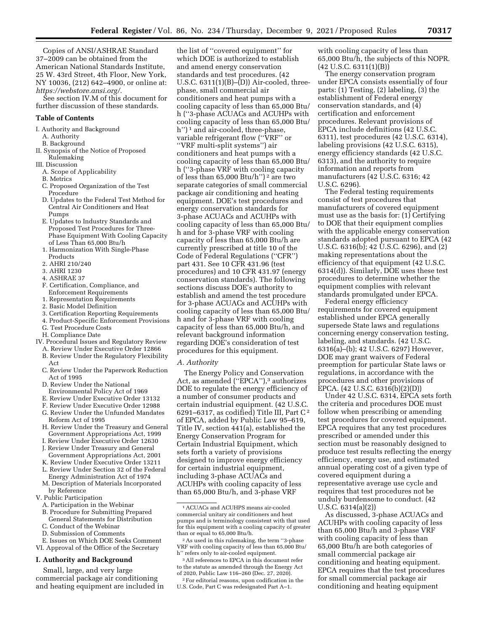Copies of ANSI/ASHRAE Standard 37–2009 can be obtained from the American National Standards Institute, 25 W. 43rd Street, 4th Floor, New York, NY 10036, (212) 642–4900, or online at: *[https://webstore.ansi.org/.](https://webstore.ansi.org/)* 

See section IV.M of this document for further discussion of these standards.

#### **Table of Contents**

I. Authority and Background A. Authority

- B. Background
- II. Synopsis of the Notice of Proposed Rulemaking
- III. Discussion
	- A. Scope of Applicability
	- B. Metrics
	- C. Proposed Organization of the Test Procedure
	- D. Updates to the Federal Test Method for Central Air Conditioners and Heat Pumps
	- E. Updates to Industry Standards and Proposed Test Procedures for Three-Phase Equipment With Cooling Capacity of Less Than 65,000 Btu/h
	- 1. Harmonization With Single-Phase Products
	- 2. AHRI 210/240
	- 3. AHRI 1230
	- 4. ASHRAE 37
	- F. Certification, Compliance, and Enforcement Requirements
	- 1. Representation Requirements
	- 2. Basic Model Definition
	- 3. Certification Reporting Requirements
	- 4. Product-Specific Enforcement Provisions
	- G. Test Procedure Costs
	- H. Compliance Date
- IV. Procedural Issues and Regulatory Review
	- A. Review Under Executive Order 12866 B. Review Under the Regulatory Flexibility Act
	- C. Review Under the Paperwork Reduction Act of 1995
	- D. Review Under the National
	- Environmental Policy Act of 1969
	- E. Review Under Executive Order 13132
	- F. Review Under Executive Order 12988 G. Review Under the Unfunded Mandates Reform Act of 1995
	- H. Review Under the Treasury and General Government Appropriations Act, 1999
	- I. Review Under Executive Order 12630 J. Review Under Treasury and General
	- Government Appropriations Act, 2001
	- K. Review Under Executive Order 13211
	- L. Review Under Section 32 of the Federal
	- Energy Administration Act of 1974 M. Description of Materials Incorporated
- by Reference
- V. Public Participation
	- A. Participation in the Webinar B. Procedure for Submitting Prepared
	- General Statements for Distribution C. Conduct of the Webinar
	- D. Submission of Comments
- E. Issues on Which DOE Seeks Comment VI. Approval of the Office of the Secretary

#### **I. Authority and Background**

Small, large, and very large commercial package air conditioning and heating equipment are included in

the list of ''covered equipment'' for which DOE is authorized to establish and amend energy conservation standards and test procedures. (42 U.S.C.  $6311(1)(B)$ – $(D)$ ) Air-cooled, threephase, small commercial air conditioners and heat pumps with a cooling capacity of less than 65,000 Btu/ h (''3-phase ACUACs and ACUHPs with cooling capacity of less than 65,000 Btu/ h")<sup>1</sup> and air-cooled, three-phase, variable refrigerant flow (''VRF'' or ''VRF multi-split systems'') air conditioners and heat pumps with a cooling capacity of less than 65,000 Btu/ h (''3-phase VRF with cooling capacity of less than  $65,000$  Btu/h'')<sup>2</sup> are two separate categories of small commercial package air conditioning and heating equipment. DOE's test procedures and energy conservation standards for 3-phase ACUACs and ACUHPs with cooling capacity of less than 65,000 Btu/ h and for 3-phase VRF with cooling capacity of less than 65,000 Btu/h are currently prescribed at title 10 of the Code of Federal Regulations (''CFR'') part 431. See 10 CFR 431.96 (test procedures) and 10 CFR 431.97 (energy conservation standards). The following sections discuss DOE's authority to establish and amend the test procedure for 3-phase ACUACs and ACUHPs with cooling capacity of less than 65,000 Btu/ h and for 3-phase VRF with cooling capacity of less than 65,000 Btu/h, and relevant background information regarding DOE's consideration of test procedures for this equipment.

#### *A. Authority*

The Energy Policy and Conservation Act, as amended ("EPCA"),<sup>3</sup> authorizes DOE to regulate the energy efficiency of a number of consumer products and certain industrial equipment. (42 U.S.C. 6291–6317, as codified) Title III, Part C 2 of EPCA, added by Public Law 95–619, Title IV, section 441(a), established the Energy Conservation Program for Certain Industrial Equipment, which sets forth a variety of provisions designed to improve energy efficiency for certain industrial equipment, including 3-phase ACUACs and ACUHPs with cooling capacity of less than 65,000 Btu/h, and 3-phase VRF

3All references to EPCA in this document refer to the statute as amended through the Energy Act of 2020, Public Law 116–260 (Dec. 27, 2020).

2For editorial reasons, upon codification in the U.S. Code, Part C was redesignated Part A–1.

with cooling capacity of less than 65,000 Btu/h, the subjects of this NOPR. (42 U.S.C. 6311(1)(B))

The energy conservation program under EPCA consists essentially of four parts: (1) Testing, (2) labeling, (3) the establishment of Federal energy conservation standards, and (4) certification and enforcement procedures. Relevant provisions of EPCA include definitions (42 U.S.C. 6311), test procedures (42 U.S.C. 6314), labeling provisions (42 U.S.C. 6315), energy efficiency standards (42 U.S.C. 6313), and the authority to require information and reports from manufacturers (42 U.S.C. 6316; 42 U.S.C. 6296).

The Federal testing requirements consist of test procedures that manufacturers of covered equipment must use as the basis for: (1) Certifying to DOE that their equipment complies with the applicable energy conservation standards adopted pursuant to EPCA (42 U.S.C. 6316(b); 42 U.S.C. 6296), and (2) making representations about the efficiency of that equipment (42 U.S.C. 6314(d)). Similarly, DOE uses these test procedures to determine whether the equipment complies with relevant standards promulgated under EPCA.

Federal energy efficiency requirements for covered equipment established under EPCA generally supersede State laws and regulations concerning energy conservation testing, labeling, and standards. (42 U.S.C. 6316(a)–(b); 42 U.S.C. 6297) However, DOE may grant waivers of Federal preemption for particular State laws or regulations, in accordance with the procedures and other provisions of EPCA. (42 U.S.C. 6316(b)(2)(D))

Under 42 U.S.C. 6314, EPCA sets forth the criteria and procedures DOE must follow when prescribing or amending test procedures for covered equipment. EPCA requires that any test procedures prescribed or amended under this section must be reasonably designed to produce test results reflecting the energy efficiency, energy use, and estimated annual operating cost of a given type of covered equipment during a representative average use cycle and requires that test procedures not be unduly burdensome to conduct. (42 U.S.C. 6314(a)(2))

As discussed, 3-phase ACUACs and ACUHPs with cooling capacity of less than 65,000 Btu/h and 3-phase VRF with cooling capacity of less than 65,000 Btu/h are both categories of small commercial package air conditioning and heating equipment. EPCA requires that the test procedures for small commercial package air conditioning and heating equipment

<sup>1</sup>ACUACs and ACUHPS means air-cooled commercial unitary air conditioners and heat pumps and is terminology consistent with that used for this equipment with a cooling capacity of greater than or equal to 65,000 Btu/h.

<sup>2</sup>As used in this rulemaking, the term ''3-phase VRF with cooling capacity of less than 65,000 Btu/ h'' refers only to air-cooled equipment.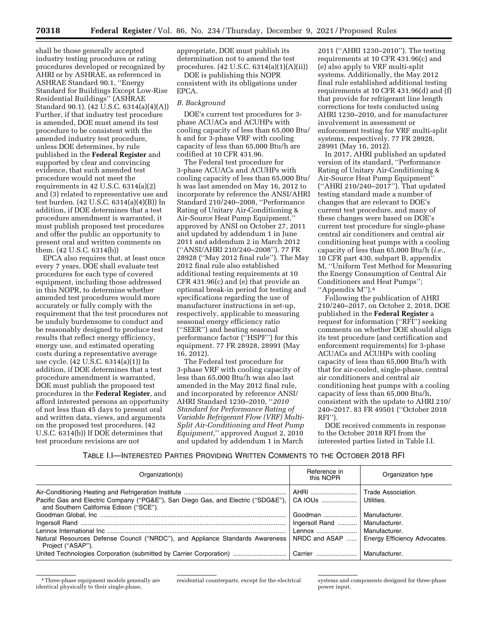shall be those generally accepted industry testing procedures or rating procedures developed or recognized by AHRI or by ASHRAE, as referenced in ASHRAE Standard 90.1, ''Energy Standard for Buildings Except Low-Rise Residential Buildings'' (ASHRAE Standard 90.1). (42 U.S.C. 6314(a)(4)(A)) Further, if that industry test procedure is amended, DOE must amend its test procedure to be consistent with the amended industry test procedure, unless DOE determines, by rule published in the **Federal Register** and supported by clear and convincing evidence, that such amended test procedure would not meet the requirements in 42 U.S.C. 6314(a)(2) and (3) related to representative use and test burden. (42 U.S.C. 6314(a)(4)(B)) In addition, if DOE determines that a test procedure amendment is warranted, it must publish proposed test procedures and offer the public an opportunity to present oral and written comments on them. (42 U.S.C. 6314(b))

EPCA also requires that, at least once every 7 years, DOE shall evaluate test procedures for each type of covered equipment, including those addressed in this NOPR, to determine whether amended test procedures would more accurately or fully comply with the requirement that the test procedures not be unduly burdensome to conduct and be reasonably designed to produce test results that reflect energy efficiency, energy use, and estimated operating costs during a representative average use cycle. (42 U.S.C. 6314(a)(1)) In addition, if DOE determines that a test procedure amendment is warranted, DOE must publish the proposed test procedures in the **Federal Register**, and afford interested persons an opportunity of not less than 45 days to present oral and written data, views, and arguments on the proposed test procedures. (42 U.S.C. 6314(b)) If DOE determines that test procedure revisions are not

appropriate, DOE must publish its determination not to amend the test procedures. (42 U.S.C. 6314(a)(1)(A)(ii))

DOE is publishing this NOPR consistent with its obligations under EPCA.

#### *B. Background*

DOE's current test procedures for 3 phase ACUACs and ACUHPs with cooling capacity of less than 65,000 Btu/ h and for 3-phase VRF with cooling capacity of less than 65,000 Btu/h are codified at 10 CFR 431.96.

The Federal test procedure for 3-phase ACUACs and ACUHPs with cooling capacity of less than 65,000 Btu/ h was last amended on May 16, 2012 to incorporate by reference the ANSI/AHRI Standard 210/240–2008, ''Performance Rating of Unitary Air-Conditioning & Air-Source Heat Pump Equipment,'' approved by ANSI on October 27, 2011 and updated by addendum 1 in June 2011 and addendum 2 in March 2012 (''ANSI/AHRI 210/240–2008''). 77 FR 28928 (''May 2012 final rule''). The May 2012 final rule also established additional testing requirements at 10 CFR 431.96(c) and (e) that provide an optional break-in period for testing and specifications regarding the use of manufacturer instructions in set-up, respectively, applicable to measuring seasonal energy efficiency ratio (''SEER'') and heating seasonal performance factor (''HSPF'') for this equipment. 77 FR 28928, 28991 (May 16, 2012).

The Federal test procedure for 3-phase VRF with cooling capacity of less than 65,000 Btu/h was also last amended in the May 2012 final rule, and incorporated by reference ANSI/ AHRI Standard 1230–2010, ''*2010 Standard for Performance Rating of Variable Refrigerant Flow (VRF) Multi-Split Air-Conditioning and Heat Pump Equipment,*'' approved August 2, 2010 and updated by addendum 1 in March

2011 (''AHRI 1230–2010''). The testing requirements at 10 CFR 431.96(c) and (e) also apply to VRF multi-split systems. Additionally, the May 2012 final rule established additional testing requirements at 10 CFR 431.96(d) and (f) that provide for refrigerant line length corrections for tests conducted using AHRI 1230–2010, and for manufacturer involvement in assessment or enforcement testing for VRF multi-split systems, respectively. 77 FR 28928, 28991 (May 16, 2012).

In 2017, AHRI published an updated version of its standard, ''Performance Rating of Unitary Air-Conditioning & Air-Source Heat Pump Equipment'' (''AHRI 210/240–2017''). That updated testing standard made a number of changes that are relevant to DOE's current test procedure, and many of these changes were based on DOE's current test procedure for single-phase central air conditioners and central air conditioning heat pumps with a cooling capacity of less than 65,000 Btu/h (*i.e.,*  10 CFR part 430, subpart B, appendix M, ''Uniform Test Method for Measuring the Energy Consumption of Central Air Conditioners and Heat Pumps''; ''Appendix M'').4

Following the publication of AHRI 210/240–2017, on October 2, 2018, DOE published in the **Federal Register** a request for information (''RFI'') seeking comments on whether DOE should align its test procedure (and certification and enforcement requirements) for 3-phase ACUACs and ACUHPs with cooling capacity of less than 65,000 Btu/h with that for air-cooled, single-phase, central air conditioners and central air conditioning heat pumps with a cooling capacity of less than 65,000 Btu/h, consistent with the update to AHRI 210/ 240–2017. 83 FR 49501 (''October 2018 RFI'').

DOE received comments in response to the October 2018 RFI from the interested parties listed in Table I.I.

## TABLE I.I—INTERESTED PARTIES PROVIDING WRITTEN COMMENTS TO THE OCTOBER 2018 RFI

| Organization(s)                                                                                                              | Reference in<br>this NOPR       | Organization type                             |
|------------------------------------------------------------------------------------------------------------------------------|---------------------------------|-----------------------------------------------|
|                                                                                                                              | AHRI                            | Trade Association.                            |
| Pacific Gas and Electric Company ("PG&E"), San Diego Gas, and Electric ("SDG&E"),<br>and Southern California Edison ("SCE"). | CA IOUs    Utilities.           |                                               |
|                                                                                                                              | Goodman                         | Manufacturer.                                 |
|                                                                                                                              | Ingersoll Rand    Manufacturer. |                                               |
|                                                                                                                              | Lennox    Manufacturer.         |                                               |
| Natural Resources Defense Council ("NRDC"), and Appliance Standards Awareness<br>Project ("ASAP").                           |                                 | NRDC and ASAP    Energy Efficiency Advocates. |
| United Technologies Corporation (submitted by Carrier Corporation)    Carrier    Manufacturer.                               |                                 |                                               |

<sup>4</sup>Three-phase equipment models generally are identical physically to their single-phase,

residential counterparts, except for the electrical systems and components designed for three-phase power input.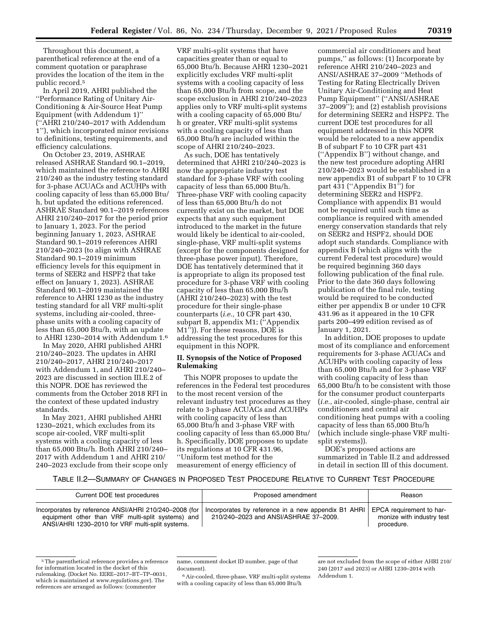Throughout this document, a parenthetical reference at the end of a comment quotation or paraphrase provides the location of the item in the public record.5

In April 2019, AHRI published the ''Performance Rating of Unitary Air-Conditioning & Air-Source Heat Pump Equipment (with Addendum 1)'' (''AHRI 210/240–2017 with Addendum 1''), which incorporated minor revisions to definitions, testing requirements, and efficiency calculations.

On October 23, 2019, ASHRAE released ASHRAE Standard 90.1–2019, which maintained the reference to AHRI 210/240 as the industry testing standard for 3-phase ACUACs and ACUHPs with cooling capacity of less than 65,000 Btu/ h, but updated the editions referenced. ASHRAE Standard 90.1–2019 references AHRI 210/240–2017 for the period prior to January 1, 2023. For the period beginning January 1, 2023, ASHRAE Standard 90.1–2019 references AHRI 210/240–2023 (to align with ASHRAE Standard 90.1–2019 minimum efficiency levels for this equipment in terms of SEER2 and HSPF2 that take effect on January 1, 2023). ASHRAE Standard 90.1–2019 maintained the reference to AHRI 1230 as the industry testing standard for all VRF multi-split systems, including air-cooled, threephase units with a cooling capacity of less than 65,000 Btu/h, with an update to AHRI 1230–2014 with Addendum 1.6

In May 2020, AHRI published AHRI 210/240–2023. The updates in AHRI 210/240–2017, AHRI 210/240–2017 with Addendum 1, and AHRI 210/240– 2023 are discussed in section III.E.2 of this NOPR. DOE has reviewed the comments from the October 2018 RFI in the context of these updated industry standards.

In May 2021, AHRI published AHRI 1230–2021, which excludes from its scope air-cooled, VRF multi-split systems with a cooling capacity of less than 65,000 Btu/h. Both AHRI 210/240– 2017 with Addendum 1 and AHRI 210/ 240–2023 exclude from their scope only

VRF multi-split systems that have capacities greater than or equal to 65,000 Btu/h. Because AHRI 1230–2021 explicitly excludes VRF multi-split systems with a cooling capacity of less than 65,000 Btu/h from scope, and the scope exclusion in AHRI 210/240–2023 applies only to VRF multi-split systems with a cooling capacity of 65,000 Btu/ h or greater, VRF multi-split systems with a cooling capacity of less than 65,000 Btu/h are included within the scope of AHRI 210/240–2023.

As such, DOE has tentatively determined that AHRI 210/240–2023 is now the appropriate industry test standard for 3-phase VRF with cooling capacity of less than 65,000 Btu/h. Three-phase VRF with cooling capacity of less than 65,000 Btu/h do not currently exist on the market, but DOE expects that any such equipment introduced to the market in the future would likely be identical to air-cooled, single-phase, VRF multi-split systems (except for the components designed for three-phase power input). Therefore, DOE has tentatively determined that it is appropriate to align its proposed test procedure for 3-phase VRF with cooling capacity of less than 65,000 Btu/h (AHRI 210/240–2023) with the test procedure for their single-phase counterparts (*i.e.,* 10 CFR part 430, subpart B, appendix M1; (''Appendix M1'')). For these reasons, DOE is addressing the test procedures for this equipment in this NOPR.

## **II. Synopsis of the Notice of Proposed Rulemaking**

This NOPR proposes to update the references in the Federal test procedures to the most recent version of the relevant industry test procedures as they relate to 3-phase ACUACs and ACUHPs with cooling capacity of less than 65,000 Btu/h and 3-phase VRF with cooling capacity of less than 65,000 Btu/ h. Specifically, DOE proposes to update its regulations at 10 CFR 431.96, ''Uniform test method for the measurement of energy efficiency of

commercial air conditioners and heat pumps,'' as follows: (1) Incorporate by reference AHRI 210/240–2023 and ANSI/ASHRAE 37–2009 ''Methods of Testing for Rating Electrically Driven Unitary Air-Conditioning and Heat Pump Equipment'' (''ANSI/ASHRAE 37–2009''); and (2) establish provisions for determining SEER2 and HSPF2. The current DOE test procedures for all equipment addressed in this NOPR would be relocated to a new appendix B of subpart F to 10 CFR part 431 (''Appendix B'') without change, and the new test procedure adopting AHRI 210/240–2023 would be established in a new appendix B1 of subpart F to 10 CFR part 431 (''Appendix B1'') for determining SEER2 and HSPF2. Compliance with appendix B1 would not be required until such time as compliance is required with amended energy conservation standards that rely on SEER2 and HSPF2, should DOE adopt such standards. Compliance with appendix B (which aligns with the current Federal test procedure) would be required beginning 360 days following publication of the final rule. Prior to the date 360 days following publication of the final rule, testing would be required to be conducted either per appendix B or under 10 CFR 431.96 as it appeared in the 10 CFR parts 200–499 edition revised as of January 1, 2021.

In addition, DOE proposes to update most of its compliance and enforcement requirements for 3-phase ACUACs and ACUHPs with cooling capacity of less than 65,000 Btu/h and for 3-phase VRF with cooling capacity of less than 65,000 Btu/h to be consistent with those for the consumer product counterparts (*i.e.,* air-cooled, single-phase, central air conditioners and central air conditioning heat pumps with a cooling capacity of less than 65,000 Btu/h (which include single-phase VRF multisplit systems)).

DOE's proposed actions are summarized in Table II.2 and addressed in detail in section III of this document.

#### TABLE II.2—SUMMARY OF CHANGES IN PROPOSED TEST PROCEDURE RELATIVE TO CURRENT TEST PROCEDURE

| Current DOE test procedures                                                                                                                                    | Proposed amendment                                                                             | Reason                                                              |
|----------------------------------------------------------------------------------------------------------------------------------------------------------------|------------------------------------------------------------------------------------------------|---------------------------------------------------------------------|
| Incorporates by reference ANSI/AHRI 210/240-2008 (for<br>equipment other than VRF multi-split systems) and<br>ANSI/AHRI 1230-2010 for VRF multi-split systems. | Incorporates by reference in a new appendix B1 AHRI  <br>210/240-2023 and ANSI/ASHRAE 37-2009. | EPCA requirement to har-<br>monize with industry test<br>procedure. |

<sup>5</sup>The parenthetical reference provides a reference for information located in the docket of this rulemaking. (Docket No. EERE–2017–BT–TP–0031, which is maintained at *[www.regulations.gov](http://www.regulations.gov)*). The references are arranged as follows: (commenter

6Air-cooled, three-phase, VRF multi-split systems with a cooling capacity of less than 65,000 Btu/h

name, comment docket ID number, page of that document).

are not excluded from the scope of either AHRI 210/ 240 (2017 and 2023) or AHRI 1230–2014 with Addendum 1.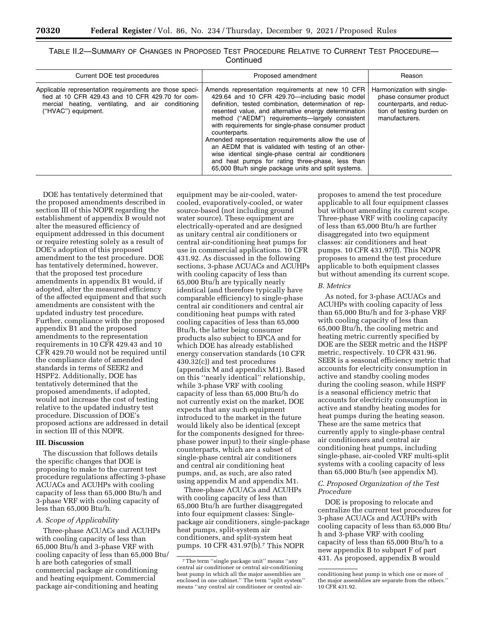| TABLE II.2—SUMMARY OF CHANGES IN PROPOSED TEST PROCEDURE RELATIVE TO CURRENT TEST PROCEDURE— |           |  |  |
|----------------------------------------------------------------------------------------------|-----------|--|--|
|                                                                                              | Continued |  |  |

| Current DOE test procedures                                                                                                                                                              | Proposed amendment                                                                                                                                                                                                                                                                                                                                                                                                                                                                                                                                                                                                                | Reason                                                                                                                          |
|------------------------------------------------------------------------------------------------------------------------------------------------------------------------------------------|-----------------------------------------------------------------------------------------------------------------------------------------------------------------------------------------------------------------------------------------------------------------------------------------------------------------------------------------------------------------------------------------------------------------------------------------------------------------------------------------------------------------------------------------------------------------------------------------------------------------------------------|---------------------------------------------------------------------------------------------------------------------------------|
| Applicable representation requirements are those speci-<br>fied at 10 CFR 429.43 and 10 CFR 429.70 for com-<br>mercial heating, ventilating, and air conditioning<br>("HVAC") equipment. | Amends representation requirements at new 10 CFR<br>429.64 and 10 CFR 429.70-including basic model<br>definition, tested combination, determination of rep-<br>resented value, and alternative energy determination<br>method ("AEDM") requirements—largely consistent<br>with requirements for single-phase consumer product<br>counterparts.<br>Amended representation requirements allow the use of<br>an AEDM that is validated with testing of an other-<br>wise identical single-phase central air conditioners<br>and heat pumps for rating three-phase, less than<br>65,000 Btu/h single package units and split systems. | Harmonization with single-<br>phase consumer product<br>counterparts, and reduc-<br>tion of testing burden on<br>manufacturers. |

DOE has tentatively determined that the proposed amendments described in section III of this NOPR regarding the establishment of appendix B would not alter the measured efficiency of equipment addressed in this document or require retesting solely as a result of DOE's adoption of this proposed amendment to the test procedure. DOE has tentatively determined, however, that the proposed test procedure amendments in appendix B1 would, if adopted, alter the measured efficiency of the affected equipment and that such amendments are consistent with the updated industry test procedure. Further, compliance with the proposed appendix B1 and the proposed amendments to the representation requirements in 10 CFR 429.43 and 10 CFR 429.70 would not be required until the compliance date of amended standards in terms of SEER2 and HSPF2. Additionally, DOE has tentatively determined that the proposed amendments, if adopted, would not increase the cost of testing relative to the updated industry test procedure. Discussion of DOE's proposed actions are addressed in detail in section III of this NOPR.

#### **III. Discussion**

The discussion that follows details the specific changes that DOE is proposing to make to the current test procedure regulations affecting 3-phase ACUACs and ACUHPs with cooling capacity of less than 65,000 Btu/h and 3-phase VRF with cooling capacity of less than 65,000 Btu/h.

#### *A. Scope of Applicability*

Three-phase ACUACs and ACUHPs with cooling capacity of less than 65,000 Btu/h and 3-phase VRF with cooling capacity of less than 65,000 Btu/ h are both categories of small commercial package air conditioning and heating equipment. Commercial package air-conditioning and heating

equipment may be air-cooled, watercooled, evaporatively-cooled, or water source-based (not including ground water source). These equipment are electrically-operated and are designed as unitary central air conditioners or central air-conditioning heat pumps for use in commercial applications. 10 CFR 431.92. As discussed in the following sections, 3-phase ACUACs and ACUHPs with cooling capacity of less than 65,000 Btu/h are typically nearly identical (and therefore typically have comparable efficiency) to single-phase central air conditioners and central air conditioning heat pumps with rated cooling capacities of less than 65,000 Btu/h, the latter being consumer products also subject to EPCA and for which DOE has already established energy conservation standards (10 CFR 430.32(c)) and test procedures (appendix M and appendix M1). Based on this ''nearly identical'' relationship, while 3-phase VRF with cooling capacity of less than 65,000 Btu/h do not currently exist on the market, DOE expects that any such equipment introduced to the market in the future would likely also be identical (except for the components designed for threephase power input) to their single-phase counterparts, which are a subset of single-phase central air conditioners and central air conditioning heat pumps, and, as such, are also rated using appendix M and appendix M1.

Three-phase ACUACs and ACUHPs with cooling capacity of less than 65,000 Btu/h are further disaggregated into four equipment classes: Singlepackage air conditioners, single-package heat pumps, split-system air conditioners, and split-system heat pumps. 10 CFR 431.97(b).7 This NOPR

proposes to amend the test procedure applicable to all four equipment classes but without amending its current scope. Three-phase VRF with cooling capacity of less than 65,000 Btu/h are further disaggregated into two equipment classes: air conditioners and heat pumps. 10 CFR 431.97(f). This NOPR proposes to amend the test procedure applicable to both equipment classes but without amending its current scope.

#### *B. Metrics*

As noted, for 3-phase ACUACs and ACUHPs with cooling capacity of less than 65,000 Btu/h and for 3-phase VRF with cooling capacity of less than 65,000 Btu/h, the cooling metric and heating metric currently specified by DOE are the SEER metric and the HSPF metric, respectively. 10 CFR 431.96. SEER is a seasonal efficiency metric that accounts for electricity consumption in active and standby cooling modes during the cooling season, while HSPF is a seasonal efficiency metric that accounts for electricity consumption in active and standby heating modes for heat pumps during the heating season. These are the same metrics that currently apply to single-phase central air conditioners and central air conditioning heat pumps, including single-phase, air-cooled VRF multi-split systems with a cooling capacity of less than 65,000 Btu/h (see appendix M).

## *C. Proposed Organization of the Test Procedure*

DOE is proposing to relocate and centralize the current test procedures for 3-phase ACUACs and ACUHPs with cooling capacity of less than 65,000 Btu/ h and 3-phase VRF with cooling capacity of less than 65,000 Btu/h to a new appendix B to subpart F of part 431. As proposed, appendix B would

<sup>7</sup>The term ''single package unit'' means ''any central air conditioner or central air-conditioning heat pump in which all the major assemblies are enclosed in one cabinet.'' The term ''split system'' means ''any central air conditioner or central air-

conditioning heat pump in which one or more of the major assemblies are separate from the others.'' 10 CFR 431.92.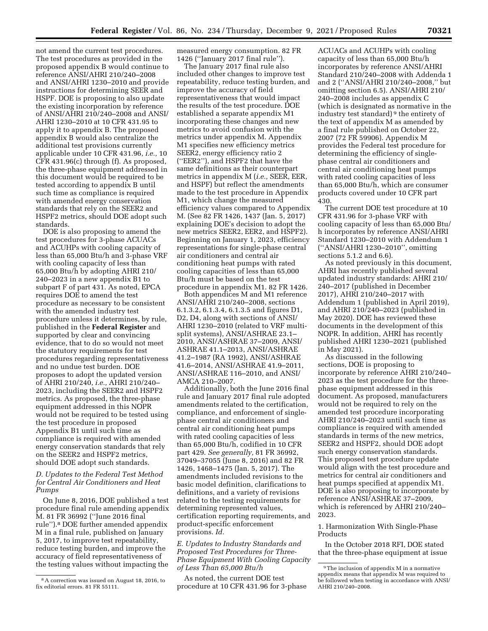not amend the current test procedures. The test procedures as provided in the proposed appendix B would continue to reference ANSI/AHRI 210/240–2008 and ANSI/AHRI 1230–2010 and provide instructions for determining SEER and HSPF. DOE is proposing to also update the existing incorporation by reference of ANSI/AHRI 210/240–2008 and ANSI/ AHRI 1230–2010 at 10 CFR 431.95 to apply it to appendix B. The proposed appendix B would also centralize the additional test provisions currently applicable under 10 CFR 431.96, *i.e.,* 10 CFR 431.96(c) through (f). As proposed, the three-phase equipment addressed in this document would be required to be tested according to appendix B until such time as compliance is required with amended energy conservation standards that rely on the SEER2 and HSPF2 metrics, should DOE adopt such standards.

DOE is also proposing to amend the test procedures for 3-phase ACUACs and ACUHPs with cooling capacity of less than 65,000 Btu/h and 3-phase VRF with cooling capacity of less than 65,000 Btu/h by adopting AHRI 210/ 240–2023 in a new appendix B1 to subpart F of part 431. As noted, EPCA requires DOE to amend the test procedure as necessary to be consistent with the amended industry test procedure unless it determines, by rule, published in the **Federal Register** and supported by clear and convincing evidence, that to do so would not meet the statutory requirements for test procedures regarding representativeness and no undue test burden. DOE proposes to adopt the updated version of AHRI 210/240, *i.e.,* AHRI 210/240– 2023, including the SEER2 and HSPF2 metrics. As proposed, the three-phase equipment addressed in this NOPR would not be required to be tested using the test procedure in proposed Appendix B1 until such time as compliance is required with amended energy conservation standards that rely on the SEER2 and HSPF2 metrics, should DOE adopt such standards.

## *D. Updates to the Federal Test Method for Central Air Conditioners and Heat Pumps*

On June 8, 2016, DOE published a test procedure final rule amending appendix M. 81 FR 36992 (''June 2016 final rule'').8 DOE further amended appendix M in a final rule, published on January 5, 2017, to improve test repeatability, reduce testing burden, and improve the accuracy of field representativeness of the testing values without impacting the

measured energy consumption. 82 FR 1426 (''January 2017 final rule'').

The January 2017 final rule also included other changes to improve test repeatability, reduce testing burden, and improve the accuracy of field representativeness that would impact the results of the test procedure. DOE established a separate appendix M1 incorporating these changes and new metrics to avoid confusion with the metrics under appendix M. Appendix M1 specifies new efficiency metrics SEER2, energy efficiency ratio 2 (''EER2''), and HSPF2 that have the same definitions as their counterpart metrics in appendix M (*i.e.,* SEER, EER, and HSPF) but reflect the amendments made to the test procedure in Appendix M1, which change the measured efficiency values compared to Appendix M. (See 82 FR 1426, 1437 (Jan. 5, 2017) explaining DOE's decision to adopt the new metrics SEER2, EER2, and HSPF2). Beginning on January 1, 2023, efficiency representations for single-phase central air conditioners and central air conditioning heat pumps with rated cooling capacities of less than 65,000 Btu/h must be based on the test procedure in appendix M1. 82 FR 1426.

Both appendices M and M1 reference ANSI/AHRI 210/240–2008, sections 6.1.3.2, 6.1.3.4, 6.1.3.5 and figures D1, D2, D4, along with sections of ANSI/ AHRI 1230–2010 (related to VRF multisplit systems), ANSI/ASHRAE 23.1– 2010, ANSI/ASHRAE 37–2009, ANSI/ ASHRAE 41.1–2013, ANSI/ASHRAE 41.2–1987 (RA 1992), ANSI/ASHRAE 41.6–2014, ANSI/ASHRAE 41.9–2011, ANSI/ASHRAE 116–2010, and ANSI/ AMCA 210–2007.

Additionally, both the June 2016 final rule and January 2017 final rule adopted amendments related to the certification, compliance, and enforcement of singlephase central air conditioners and central air conditioning heat pumps with rated cooling capacities of less than 65,000 Btu/h, codified in 10 CFR part 429. *See generally,* 81 FR 36992, 37049–37055 (June 8, 2016) and 82 FR 1426, 1468–1475 (Jan. 5, 2017). The amendments included revisions to the basic model definition, clarifications to definitions, and a variety of revisions related to the testing requirements for determining represented values, certification reporting requirements, and product-specific enforcement provisions. *Id.* 

*E. Updates to Industry Standards and Proposed Test Procedures for Three-Phase Equipment With Cooling Capacity of Less Than 65,000 Btu/h* 

As noted, the current DOE test procedure at 10 CFR 431.96 for 3-phase

ACUACs and ACUHPs with cooling capacity of less than 65,000 Btu/h incorporates by reference ANSI/AHRI Standard 210/240–2008 with Addenda 1 and 2 (''ANSI/AHRI 210/240–2008,'' but omitting section 6.5). ANSI/AHRI 210/ 240–2008 includes as appendix C (which is designated as normative in the industry test standard) 9 the entirety of the text of appendix M as amended by a final rule published on October 22, 2007 (72 FR 59906). Appendix M provides the Federal test procedure for determining the efficiency of singlephase central air conditioners and central air conditioning heat pumps with rated cooling capacities of less than 65,000 Btu/h, which are consumer products covered under 10 CFR part 430.

The current DOE test procedure at 10 CFR 431.96 for 3-phase VRF with cooling capacity of less than 65,000 Btu/ h incorporates by reference ANSI/AHRI Standard 1230–2010 with Addendum 1 (''ANSI/AHRI 1230–2010'', omitting sections 5.1.2 and 6.6).

As noted previously in this document, AHRI has recently published several updated industry standards: AHRI 210/ 240–2017 (published in December 2017), AHRI 210/240–2017 with Addendum 1 (published in April 2019), and AHRI 210/240–2023 (published in May 2020). DOE has reviewed these documents in the development of this NOPR. In addition, AHRI has recently published AHRI 1230–2021 (published in May 2021).

As discussed in the following sections, DOE is proposing to incorporate by reference AHRI 210/240– 2023 as the test procedure for the threephase equipment addressed in this document. As proposed, manufacturers would not be required to rely on the amended test procedure incorporating AHRI 210/240–2023 until such time as compliance is required with amended standards in terms of the new metrics, SEER2 and HSPF2, should DOE adopt such energy conservation standards. This proposed test procedure update would align with the test procedure and metrics for central air conditioners and heat pumps specified at appendix M1. DOE is also proposing to incorporate by reference ANSI/ASHRAE 37–2009, which is referenced by AHRI 210/240– 2023.

1. Harmonization With Single-Phase Products

In the October 2018 RFI, DOE stated that the three-phase equipment at issue

<sup>8</sup>A correction was issued on August 18, 2016, to fix editorial errors. 81 FR 55111.

<sup>9</sup>The inclusion of appendix M in a normative appendix means that appendix M was required to be followed when testing in accordance with ANSI/ AHRI 210/240–2008.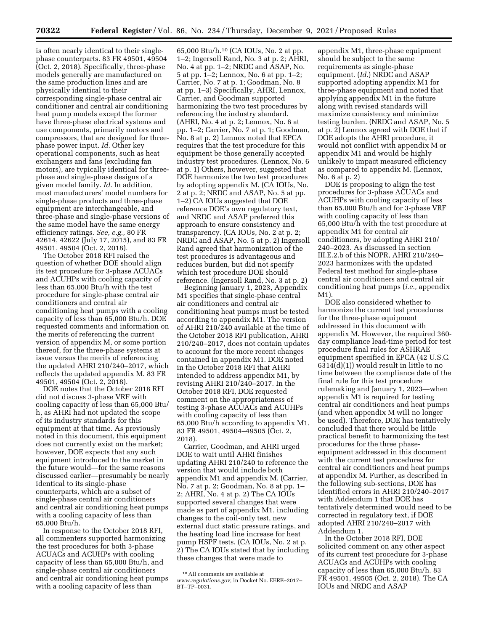is often nearly identical to their singlephase counterparts. 83 FR 49501, 49504 (Oct. 2, 2018). Specifically, three-phase models generally are manufactured on the same production lines and are physically identical to their corresponding single-phase central air conditioner and central air conditioning heat pump models except the former have three-phase electrical systems and use components, primarily motors and compressors, that are designed for threephase power input. *Id.* Other key operational components, such as heat exchangers and fans (excluding fan motors), are typically identical for threephase and single-phase designs of a given model family. *Id.* In addition, most manufacturers' model numbers for single-phase products and three-phase equipment are interchangeable, and three-phase and single-phase versions of the same model have the same energy efficiency ratings. *See, e.g.,* 80 FR 42614, 42622 (July 17, 2015), and 83 FR 49501, 49504 (Oct. 2, 2018).

The October 2018 RFI raised the question of whether DOE should align its test procedure for 3-phase ACUACs and ACUHPs with cooling capacity of less than 65,000 Btu/h with the test procedure for single-phase central air conditioners and central air conditioning heat pumps with a cooling capacity of less than 65,000 Btu/h. DOE requested comments and information on the merits of referencing the current version of appendix M, or some portion thereof, for the three-phase systems at issue versus the merits of referencing the updated AHRI 210/240–2017, which reflects the updated appendix M. 83 FR 49501, 49504 (Oct. 2, 2018).

DOE notes that the October 2018 RFI did not discuss 3-phase VRF with cooling capacity of less than 65,000 Btu/ h, as AHRI had not updated the scope of its industry standards for this equipment at that time. As previously noted in this document, this equipment does not currently exist on the market; however, DOE expects that any such equipment introduced to the market in the future would—for the same reasons discussed earlier—presumably be nearly identical to its single-phase counterparts, which are a subset of single-phase central air conditioners and central air conditioning heat pumps with a cooling capacity of less than 65,000 Btu/h.

In response to the October 2018 RFI, all commenters supported harmonizing the test procedures for both 3-phase ACUACs and ACUHPs with cooling capacity of less than 65,000 Btu/h, and single-phase central air conditioners and central air conditioning heat pumps with a cooling capacity of less than

65,000 Btu/h.10 (CA IOUs, No. 2 at pp. 1–2; Ingersoll Rand, No. 3 at p. 2; AHRI, No. 4 at pp. 1–2; NRDC and ASAP, No. 5 at pp. 1–2; Lennox, No. 6 at pp. 1–2; Carrier, No. 7 at p. 1; Goodman, No. 8 at pp. 1–3) Specifically, AHRI, Lennox, Carrier, and Goodman supported harmonizing the two test procedures by referencing the industry standard. (AHRI, No. 4 at p. 2; Lennox, No. 6 at pp. 1–2; Carrier, No. 7 at p. 1; Goodman, No. 8 at p. 2) Lennox noted that EPCA requires that the test procedure for this equipment be those generally accepted industry test procedures. (Lennox, No. 6 at p. 1) Others, however, suggested that DOE harmonize the two test procedures by adopting appendix M. (CA IOUs, No. 2 at p. 2; NRDC and ASAP, No. 5 at pp. 1–2) CA IOUs suggested that DOE reference DOE's own regulatory text, and NRDC and ASAP preferred this approach to ensure consistency and transparency. (CA IOUs, No. 2 at p. 2; NRDC and ASAP, No. 5 at p. 2) Ingersoll Rand agreed that harmonization of the test procedures is advantageous and reduces burden, but did not specify which test procedure DOE should reference. (Ingersoll Rand, No. 3 at p. 2)

Beginning January 1, 2023, Appendix M1 specifies that single-phase central air conditioners and central air conditioning heat pumps must be tested according to appendix M1. The version of AHRI 210/240 available at the time of the October 2018 RFI publication, AHRI 210/240–2017, does not contain updates to account for the more recent changes contained in appendix M1. DOE noted in the October 2018 RFI that AHRI intended to address appendix M1, by revising AHRI 210/240–2017. In the October 2018 RFI, DOE requested comment on the appropriateness of testing 3-phase ACUACs and ACUHPs with cooling capacity of less than 65,000 Btu/h according to appendix M1. 83 FR 49501, 49504–49505 (Oct. 2, 2018).

Carrier, Goodman, and AHRI urged DOE to wait until AHRI finishes updating AHRI 210/240 to reference the version that would include both appendix M1 and appendix M. (Carrier, No. 7 at p. 2; Goodman, No. 8 at pp. 1– 2; AHRI, No. 4 at p. 2) The CA IOUs supported several changes that were made as part of appendix M1, including changes to the coil-only test, new external duct static pressure ratings, and the heating load line increase for heat pump HSPF tests. (CA IOUs, No. 2 at p. 2) The CA IOUs stated that by including these changes that were made to

appendix M1, three-phase equipment should be subject to the same requirements as single-phase equipment. (*Id.*) NRDC and ASAP supported adopting appendix M1 for three-phase equipment and noted that applying appendix M1 in the future along with revised standards will maximize consistency and minimize testing burden. (NRDC and ASAP, No. 5 at p. 2) Lennox agreed with DOE that if DOE adopts the AHRI procedure, it would not conflict with appendix M or appendix M1 and would be highly unlikely to impact measured efficiency as compared to appendix M. (Lennox, No. 6 at p. 2)

DOE is proposing to align the test procedures for 3-phase ACUACs and ACUHPs with cooling capacity of less than 65,000 Btu/h and for 3-phase VRF with cooling capacity of less than 65,000 Btu/h with the test procedure at appendix M1 for central air conditioners, by adopting AHRI 210/ 240–2023. As discussed in section III.E.2.b of this NOPR, AHRI 210/240– 2023 harmonizes with the updated Federal test method for single-phase central air conditioners and central air conditioning heat pumps (*i.e.,* appendix M1)

DOE also considered whether to harmonize the current test procedures for the three-phase equipment addressed in this document with appendix M. However, the required 360 day compliance lead-time period for test procedure final rules for ASHRAE equipment specified in EPCA (42 U.S.C. 6314(d)(1)) would result in little to no time between the compliance date of the final rule for this test procedure rulemaking and January 1, 2023—when appendix M1 is required for testing central air conditioners and heat pumps (and when appendix M will no longer be used). Therefore, DOE has tentatively concluded that there would be little practical benefit to harmonizing the test procedures for the three phaseequipment addressed in this document with the current test procedures for central air conditioners and heat pumps at appendix M. Further, as described in the following sub-sections, DOE has identified errors in AHRI 210/240–2017 with Addendum 1 that DOE has tentatively determined would need to be corrected in regulatory text, if DOE adopted AHRI 210/240–2017 with Addendum 1.

In the October 2018 RFI, DOE solicited comment on any other aspect of its current test procedure for 3-phase ACUACs and ACUHPs with cooling capacity of less than 65,000 Btu/h. 83 FR 49501, 49505 (Oct. 2, 2018). The CA IOUs and NRDC and ASAP

<sup>10</sup>All comments are available at *[www.regulations.gov,](http://www.regulations.gov)* in Docket No. EERE–2017– BT–TP–0031.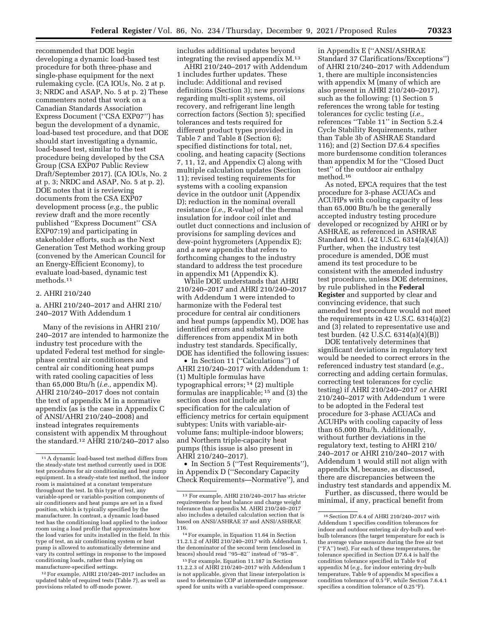recommended that DOE begin developing a dynamic load-based test procedure for both three-phase and single-phase equipment for the next rulemaking cycle. (CA IOUs, No. 2 at p. 3; NRDC and ASAP, No. 5 at p. 2) These commenters noted that work on a Canadian Standards Association Express Document (''CSA EXP07'') has begun the development of a dynamic, load-based test procedure, and that DOE should start investigating a dynamic, load-based test, similar to the test procedure being developed by the CSA Group (CSA EXP07 Public Review Draft/September 2017). (CA IOUs, No. 2 at p. 3; NRDC and ASAP, No. 5 at p. 2). DOE notes that it is reviewing documents from the CSA EXP07 development process (*e.g.,* the public review draft and the more recently published ''Express Document'' CSA EXP07:19) and participating in stakeholder efforts, such as the Next Generation Test Method working group (convened by the American Council for an Energy-Efficient Economy), to evaluate load-based, dynamic test methods.11

## 2. AHRI 210/240

## a. AHRI 210/240–2017 and AHRI 210/ 240–2017 With Addendum 1

Many of the revisions in AHRI 210/ 240–2017 are intended to harmonize the industry test procedure with the updated Federal test method for singlephase central air conditioners and central air conditioning heat pumps with rated cooling capacities of less than 65,000 Btu/h (*i.e.,* appendix M). AHRI 210/240–2017 does not contain the text of appendix M in a normative appendix (as is the case in Appendix C of ANSI/AHRI 210/240–2008) and instead integrates requirements consistent with appendix M throughout the standard.12 AHRI 210/240–2017 also

12For example, AHRI 210/240–2017 includes an updated table of required tests (Table 7), as well as provisions related to off-mode power.

includes additional updates beyond integrating the revised appendix M.13

AHRI 210/240–2017 with Addendum 1 includes further updates. These include: Additional and revised definitions (Section 3); new provisions regarding multi-split systems, oil recovery, and refrigerant line length correction factors (Section 5); specified tolerances and tests required for different product types provided in Table 7 and Table 8 (Section 6); specified distinctions for total, net, cooling, and heating capacity (Sections 7, 11, 12, and Appendix C) along with multiple calculation updates (Section 11); revised testing requirements for systems with a cooling expansion device in the outdoor unit (Appendix D); reduction in the nominal overall resistance (*i.e.,* R-value) of the thermal insulation for indoor coil inlet and outlet duct connections and inclusion of provisions for sampling devices and dew-point hygrometers (Appendix E); and a new appendix that refers to forthcoming changes to the industry standard to address the test procedure in appendix M1 (Appendix K).

While DOE understands that AHRI 210/240–2017 and AHRI 210/240–2017 with Addendum 1 were intended to harmonize with the Federal test procedure for central air conditioners and heat pumps (appendix M), DOE has identified errors and substantive differences from appendix M in both industry test standards. Specifically, DOE has identified the following issues:

• In Section 11 ("Calculations") of AHRI 210/240–2017 with Addendum 1: (1) Multiple formulas have typographical errors; 14 (2) multiple formulas are inapplicable; 15 and (3) the section does not include any specification for the calculation of efficiency metrics for certain equipment subtypes: Units with variable-airvolume fans; multiple-indoor blowers; and Northern triple-capacity heat pumps (this issue is also present in AHRI 210/240–2017).

• In Section 5 (''Test Requirements''), in Appendix D (''Secondary Capacity Check Requirements—Normative''), and in Appendix E (''ANSI/ASHRAE Standard 37 Clarifications/Exceptions'') of AHRI 210/240–2017 with Addendum 1, there are multiple inconsistencies with appendix M (many of which are also present in AHRI 210/240–2017), such as the following: (1) Section 5 references the wrong table for testing tolerances for cyclic testing (*i.e.,*  references ''Table 11'' in Section 5.2.4 Cycle Stability Requirements, rather than Table 3b of ASHRAE Standard 116); and (2) Section D7.6.4 specifies more burdensome condition tolerances than appendix M for the ''Closed Duct test'' of the outdoor air enthalpy method.16

As noted, EPCA requires that the test procedure for 3-phase ACUACs and ACUHPs with cooling capacity of less than 65,000 Btu/h be the generally accepted industry testing procedure developed or recognized by AHRI or by ASHRAE, as referenced in ASHRAE Standard 90.1. (42 U.S.C. 6314(a)(4)(A)) Further, when the industry test procedure is amended, DOE must amend its test procedure to be consistent with the amended industry test procedure, unless DOE determines, by rule published in the **Federal Register** and supported by clear and convincing evidence, that such amended test procedure would not meet the requirements in 42 U.S.C. 6314(a)(2) and (3) related to representative use and test burden. (42 U.S.C. 6314(a)(4)(B))

DOE tentatively determines that significant deviations in regulatory text would be needed to correct errors in the referenced industry test standard (*e.g.,*  correcting and adding certain formulas, correcting test tolerances for cyclic testing) if AHRI 210/240–2017 or AHRI 210/240–2017 with Addendum 1 were to be adopted in the Federal test procedure for 3-phase ACUACs and ACUHPs with cooling capacity of less than 65,000 Btu/h. Additionally, without further deviations in the regulatory text, testing to AHRI 210/ 240–2017 or AHRI 210/240–2017 with Addendum 1 would still not align with appendix M, because, as discussed, there are discrepancies between the industry test standards and appendix M.

Further, as discussed, there would be minimal, if any, practical benefit from

<sup>11</sup>A dynamic load-based test method differs from the steady-state test method currently used in DOE test procedures for air conditioning and heat pump equipment. In a steady-state test method, the indoor room is maintained at a constant temperature throughout the test. In this type of test, any variable-speed or variable-position components of air conditioners and heat pumps are set in a fixed position, which is typically specified by the manufacturer. In contrast, a dynamic load-based test has the conditioning load applied to the indoor room using a load profile that approximates how the load varies for units installed in the field. In this type of test, an air conditioning system or heat pump is allowed to automatically determine and vary its control settings in response to the imposed conditioning loads, rather than relying on manufacturer-specified settings.

<sup>13</sup> For example, AHRI 210/240–2017 has stricter requirements for heat balance and charge weight tolerance than appendix M. AHRI 210/240–2017 also includes a detailed calculation section that is based on ANSI/ASHRAE 37 and ANSI/ASHRAE 116.

<sup>14</sup>For example, in Equation 11.64 in Section 11.2.1.2 of AHRI 210/240–2017 with Addendum 1, the denominator of the second term (enclosed in braces) should read ''95–82'' instead of ''95–8''.

<sup>15</sup>For example, Equation 11.187 in Section 11.2.2.3 of AHRI 210/240–2017 with Addendum 1 is not applicable, given that linear interpolation is used to determine COP at intermediate compressor speed for units with a variable-speed compressor.

 $^{\rm 16}$  Section D7.6.4 of AHRI 210/240–2017 with Addendum 1 specifies condition tolerances for indoor and outdoor entering air dry-bulb and wetbulb tolerances (the target temperature for each is the average value measure during the free air test (''FA'') test). For each of these temperatures, the tolerance specified in Section D7.6.4 is half the condition tolerance specified in Table 9 of appendix M (*e.g.,* for indoor entering dry-bulb temperature, Table 9 of appendix M specifies a condition tolerance of 0.5 °F, while Section 7.6.4.1 specifies a condition tolerance of 0.25 °F).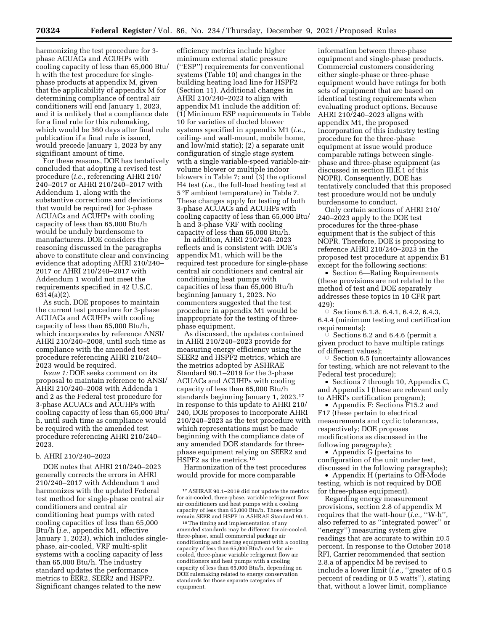harmonizing the test procedure for 3 phase ACUACs and ACUHPs with cooling capacity of less than 65,000 Btu/ h with the test procedure for singlephase products at appendix M, given that the applicability of appendix M for determining compliance of central air conditioners will end January 1, 2023, and it is unlikely that a compliance date for a final rule for this rulemaking, which would be 360 days after final rule publication if a final rule is issued, would precede January 1, 2023 by any significant amount of time.

For these reasons, DOE has tentatively concluded that adopting a revised test procedure (*i.e.,* referencing AHRI 210/ 240–2017 or AHRI 210/240–2017 with Addendum 1, along with the substantive corrections and deviations that would be required) for 3-phase ACUACs and ACUHPs with cooling capacity of less than 65,000 Btu/h would be unduly burdensome to manufacturers. DOE considers the reasoning discussed in the paragraphs above to constitute clear and convincing evidence that adopting AHRI 210/240– 2017 or AHRI 210/240–2017 with Addendum 1 would not meet the requirements specified in 42 U.S.C. 6314(a)(2).

As such, DOE proposes to maintain the current test procedure for 3-phase ACUACs and ACUHPs with cooling capacity of less than 65,000 Btu/h, which incorporates by reference ANSI/ AHRI 210/240–2008, until such time as compliance with the amended test procedure referencing AHRI 210/240– 2023 would be required.

*Issue 1:* DOE seeks comment on its proposal to maintain reference to ANSI/ AHRI 210/240–2008 with Addenda 1 and 2 as the Federal test procedure for 3-phase ACUACs and ACUHPs with cooling capacity of less than 65,000 Btu/ h, until such time as compliance would be required with the amended test procedure referencing AHRI 210/240– 2023.

#### b. AHRI 210/240–2023

DOE notes that AHRI 210/240–2023 generally corrects the errors in AHRI 210/240–2017 with Addendum 1 and harmonizes with the updated Federal test method for single-phase central air conditioners and central air conditioning heat pumps with rated cooling capacities of less than 65,000 Btu/h (*i.e.,* appendix M1, effective January 1, 2023), which includes singlephase, air-cooled, VRF multi-split systems with a cooling capacity of less than 65,000 Btu/h. The industry standard updates the performance metrics to EER2, SEER2 and HSPF2. Significant changes related to the new

efficiency metrics include higher minimum external static pressure (''ESP'') requirements for conventional systems (Table 10) and changes in the building heating load line for HSPF2 (Section 11). Additional changes in AHRI 210/240–2023 to align with appendix M1 include the addition of: (1) Minimum ESP requirements in Table 10 for varieties of ducted blower systems specified in appendix M1 (*i.e.,*  ceiling- and wall-mount, mobile home, and low/mid static); (2) a separate unit configuration of single stage system with a single variable-speed variable-airvolume blower or multiple indoor blowers in Table 7; and  $\overline{3}$  the optional H4 test (*i.e.,* the full-load heating test at 5 °F ambient temperature) in Table 7. These changes apply for testing of both 3-phase ACUACs and ACUHPs with cooling capacity of less than 65,000 Btu/ h and 3-phase VRF with cooling capacity of less than 65,000 Btu/h.

In addition, AHRI 210/240–2023 reflects and is consistent with DOE's appendix M1, which will be the required test procedure for single-phase central air conditioners and central air conditioning heat pumps with capacities of less than 65,000 Btu/h beginning January 1, 2023. No commenters suggested that the test procedure in appendix M1 would be inappropriate for the testing of threephase equipment.

As discussed, the updates contained in AHRI 210/240–2023 provide for measuring energy efficiency using the SEER2 and HSPF2 metrics, which are the metrics adopted by ASHRAE Standard 90.1–2019 for the 3-phase ACUACs and ACUHPs with cooling capacity of less than 65,000 Btu/h standards beginning January 1, 2023.17 In response to this update to AHRI 210/ 240, DOE proposes to incorporate AHRI 210/240–2023 as the test procedure with which representations must be made beginning with the compliance date of any amended DOE standards for threephase equipment relying on SEER2 and HSPF2 as the metrics.18

Harmonization of the test procedures would provide for more comparable

information between three-phase equipment and single-phase products. Commercial customers considering either single-phase or three-phase equipment would have ratings for both sets of equipment that are based on identical testing requirements when evaluating product options. Because AHRI 210/240–2023 aligns with appendix M1, the proposed incorporation of this industry testing procedure for the three-phase equipment at issue would produce comparable ratings between singlephase and three-phase equipment (as discussed in section III.E.1 of this NOPR). Consequently, DOE has tentatively concluded that this proposed test procedure would not be unduly burdensome to conduct.

Only certain sections of AHRI 210/ 240–2023 apply to the DOE test procedures for the three-phase equipment that is the subject of this NOPR. Therefore, DOE is proposing to reference AHRI 210/240–2023 in the proposed test procedure at appendix B1 except for the following sections:

• Section 6—Rating Requirements (these provisions are not related to the method of test and DOE separately addresses these topics in 10 CFR part 429):

 $\circ$  Sections 6.1.8, 6.4.1, 6.4.2, 6.4.3, 6.4.4 (minimum testing and certification requirements);

 $\circ$  Sections 6.2 and 6.4.6 (permit a given product to have multiple ratings of different values);

 $\vec{o}$  Section 6.5 (uncertainty allowances for testing, which are not relevant to the Federal test procedure);

• Sections 7 through 10, Appendix C, and Appendix I (these are relevant only to AHRI's certification program);

• Appendix F: Sections F15.2 and F17 (these pertain to electrical measurements and cyclic tolerances, respectively; DOE proposes modifications as discussed in the following paragraphs);

• Appendix G (pertains to configuration of the unit under test, discussed in the following paragraphs);

• Appendix H (pertains to Off-Mode testing, which is not required by DOE for three-phase equipment).

Regarding energy measurement provisions, section 2.8 of appendix M requires that the watt-hour (*i.e.,* ''W·h'', also referred to as ''integrated power'' or ''energy'') measuring system give readings that are accurate to within ±0.5 percent. In response to the October 2018 RFI, Carrier recommended that section 2.8.a of appendix M be revised to include a lower limit (*i.e.*, "greater of 0.5 percent of reading or 0.5 watts''), stating that, without a lower limit, compliance

<sup>17</sup>ASHRAE 90.1–2019 did not update the metrics for air-cooled, three-phase, variable refrigerant flow air conditioners and heat pumps with a cooling capacity of less than 65,000 Btu/h. Those metrics remain SEER and HSPF in ASHRAE Standard 90.1.

<sup>18</sup>The timing and implementation of any amended standards may be different for air-cooled, three-phase, small commercial package air conditioning and heating equipment with a cooling capacity of less than 65,000 Btu/h and for aircooled, three-phase variable refrigerant flow air conditioners and heat pumps with a cooling capacity of less than 65,000 Btu/h, depending on DOE rulemaking related to energy conservation standards for those separate categories of equipment.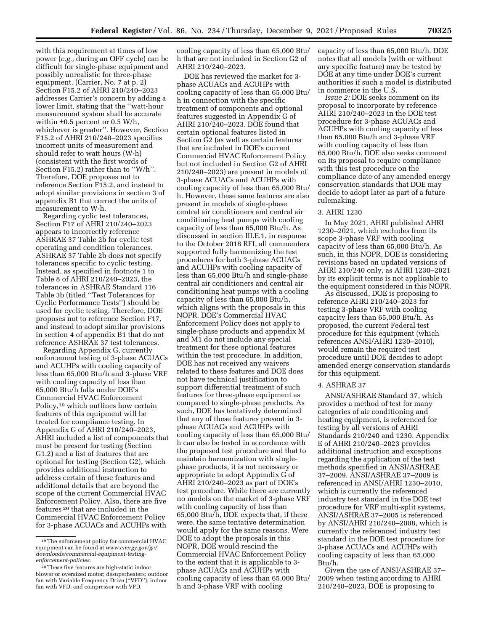with this requirement at times of low power (*e.g.,* during an OFF cycle) can be difficult for single-phase equipment and possibly unrealistic for three-phase equipment. (Carrier, No. 7 at p. 2) Section F15.2 of AHRI 210/240–2023 addresses Carrier's concern by adding a lower limit, stating that the ''watt-hour measurement system shall be accurate within ±0.5 percent or 0.5 W/h, whichever is greater''. However, Section F15.2 of AHRI 210/240–2023 specifies incorrect units of measurement and should refer to watt hours (W·h) (consistent with the first words of Section F15.2) rather than to ''W/h''. Therefore, DOE proposes not to reference Section F15.2, and instead to adopt similar provisions in section 3 of appendix B1 that correct the units of measurement to W·h.

Regarding cyclic test tolerances, Section F17 of AHRI 210/240–2023 appears to incorrectly reference ASHRAE 37 Table 2b for cyclic test operating and condition tolerances. ASHRAE 37 Table 2b does not specify tolerances specific to cyclic testing. Instead, as specified in footnote 1 to Table 8 of AHRI 210/240–2023, the tolerances in ASHRAE Standard 116 Table 3b (titled ''Test Tolerances for Cyclic Performance Tests'') should be used for cyclic testing. Therefore, DOE proposes not to reference Section F17, and instead to adopt similar provisions in section 4 of appendix B1 that do not reference ASHRAE 37 test tolerances.

Regarding Appendix G, currently enforcement testing of 3-phase ACUACs and ACUHPs with cooling capacity of less than 65,000 Btu/h and 3-phase VRF with cooling capacity of less than 65,000 Btu/h falls under DOE's Commercial HVAC Enforcement Policy,19 which outlines how certain features of this equipment will be treated for compliance testing. In Appendix G of AHRI 210/240–2023, AHRI included a list of components that must be present for testing (Section G1.2) and a list of features that are optional for testing (Section G2), which provides additional instruction to address certain of these features and additional details that are beyond the scope of the current Commercial HVAC Enforcement Policy. Also, there are five features 20 that are included in the Commercial HVAC Enforcement Policy for 3-phase ACUACs and ACUHPs with

cooling capacity of less than 65,000 Btu/ h that are not included in Section G2 of AHRI 210/240–2023.

DOE has reviewed the market for 3 phase ACUACs and ACUHPs with cooling capacity of less than 65,000 Btu/ h in connection with the specific treatment of components and optional features suggested in Appendix G of AHRI 210/240–2023. DOE found that certain optional features listed in Section G2 (as well as certain features that are included in DOE's current Commercial HVAC Enforcement Policy but not included in Section G2 of AHRI 210/240–2023) are present in models of 3-phase ACUACs and ACUHPs with cooling capacity of less than 65,000 Btu/ h. However, these same features are also present in models of single-phase central air conditioners and central air conditioning heat pumps with cooling capacity of less than 65,000 Btu/h. As discussed in section III.E.1, in response to the October 2018 RFI, all commenters supported fully harmonizing the test procedures for both 3-phase ACUACs and ACUHPs with cooling capacity of less than 65,000 Btu/h and single-phase central air conditioners and central air conditioning heat pumps with a cooling capacity of less than 65,000 Btu/h, which aligns with the proposals in this NOPR. DOE's Commercial HVAC Enforcement Policy does not apply to single-phase products and appendix M and M1 do not include any special treatment for these optional features within the test procedure. In addition, DOE has not received any waivers related to these features and DOE does not have technical justification to support differential treatment of such features for three-phase equipment as compared to single-phase products. As such, DOE has tentatively determined that any of these features present in 3 phase ACUACs and ACUHPs with cooling capacity of less than 65,000 Btu/ h can also be tested in accordance with the proposed test procedure and that to maintain harmonization with singlephase products, it is not necessary or appropriate to adopt Appendix G of AHRI 210/240–2023 as part of DOE's test procedure. While there are currently no models on the market of 3-phase VRF with cooling capacity of less than 65,000 Btu/h, DOE expects that, if there were, the same tentative determination would apply for the same reasons. Were DOE to adopt the proposals in this NOPR, DOE would rescind the Commercial HVAC Enforcement Policy to the extent that it is applicable to 3 phase ACUACs and ACUHPs with cooling capacity of less than 65,000 Btu/ h and 3-phase VRF with cooling

capacity of less than 65,000 Btu/h. DOE notes that all models (with or without any specific feature) may be tested by DOE at any time under DOE's current authorities if such a model is distributed in commerce in the U.S.

*Issue 2:* DOE seeks comment on its proposal to incorporate by reference AHRI 210/240–2023 in the DOE test procedure for 3-phase ACUACs and ACUHPs with cooling capacity of less than 65,000 Btu/h and 3-phase VRF with cooling capacity of less than 65,000 Btu/h. DOE also seeks comment on its proposal to require compliance with this test procedure on the compliance date of any amended energy conservation standards that DOE may decide to adopt later as part of a future rulemaking.

## 3. AHRI 1230

In May 2021, AHRI published AHRI 1230–2021, which excludes from its scope 3-phase VRF with cooling capacity of less than 65,000 Btu/h. As such, in this NOPR, DOE is considering revisions based on updated versions of AHRI 210/240 only, as AHRI 1230–2021 by its explicit terms is not applicable to the equipment considered in this NOPR.

As discussed, DOE is proposing to reference AHRI 210/240–2023 for testing 3-phase VRF with cooling capacity less than 65,000 Btu/h. As proposed, the current Federal test procedure for this equipment (which references ANSI/AHRI 1230–2010), would remain the required test procedure until DOE decides to adopt amended energy conservation standards for this equipment.

## 4. ASHRAE 37

ANSI/ASHRAE Standard 37, which provides a method of test for many categories of air conditioning and heating equipment, is referenced for testing by all versions of AHRI Standards 210/240 and 1230. Appendix E of AHRI 210/240–2023 provides additional instruction and exceptions regarding the application of the test methods specified in ANSI/ASHRAE 37–2009. ANSI/ASHRAE 37–2009 is referenced in ANSI/AHRI 1230–2010, which is currently the referenced industry test standard in the DOE test procedure for VRF multi-split systems. ANSI/ASHRAE 37–2005 is referenced by ANSI/AHRI 210/240–2008, which is currently the referenced industry test standard in the DOE test procedure for 3-phase ACUACs and ACUHPs with cooling capacity of less than 65,000 Btu/h.

Given the use of ANSI/ASHRAE 37– 2009 when testing according to AHRI 210/240–2023, DOE is proposing to

<sup>19</sup>The enforcement policy for commercial HVAC equipment can be found at *[www.energy.gov/gc/](http://www.energy.gov/gc/downloads/commercial-equipment-testing-enforcement-policies) [downloads/commercial-equipment-testing](http://www.energy.gov/gc/downloads/commercial-equipment-testing-enforcement-policies)[enforcement-policies.](http://www.energy.gov/gc/downloads/commercial-equipment-testing-enforcement-policies)* 

<sup>20</sup>These five features are high-static indoor blower or oversized motor; desuperheaters; outdoor fan with Variable Frequency Drive (''VFD''); indoor fan with VFD; and compressor with VFD.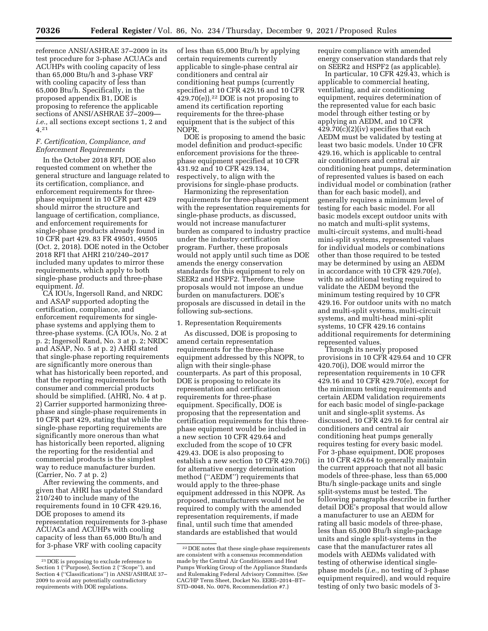reference ANSI/ASHRAE 37–2009 in its test procedure for 3-phase ACUACs and ACUHPs with cooling capacity of less than 65,000 Btu/h and 3-phase VRF with cooling capacity of less than 65,000 Btu/h. Specifically, in the proposed appendix B1, DOE is proposing to reference the applicable sections of ANSI/ASHRAE 37–2009 *i.e.,* all sections except sections 1, 2 and 4.21

## *F. Certification, Compliance, and Enforcement Requirements*

In the October 2018 RFI, DOE also requested comment on whether the general structure and language related to its certification, compliance, and enforcement requirements for threephase equipment in 10 CFR part 429 should mirror the structure and language of certification, compliance, and enforcement requirements for single-phase products already found in 10 CFR part 429. 83 FR 49501, 49505 (Oct. 2, 2018). DOE noted in the October 2018 RFI that AHRI 210/240–2017 included many updates to mirror these requirements, which apply to both single-phase products and three-phase equipment. *Id.* 

CA IOUs, Ingersoll Rand, and NRDC and ASAP supported adopting the certification, compliance, and enforcement requirements for singlephase systems and applying them to three-phase systems. (CA IOUs, No. 2 at p. 2; Ingersoll Rand, No. 3 at p. 2; NRDC and ASAP, No. 5 at p. 2) AHRI stated that single-phase reporting requirements are significantly more onerous than what has historically been reported, and that the reporting requirements for both consumer and commercial products should be simplified. (AHRI, No. 4 at p. 2) Carrier supported harmonizing threephase and single-phase requirements in 10 CFR part 429, stating that while the single-phase reporting requirements are significantly more onerous than what has historically been reported, aligning the reporting for the residential and commercial products is the simplest way to reduce manufacturer burden. (Carrier, No. 7 at p. 2)

After reviewing the comments, and given that AHRI has updated Standard 210/240 to include many of the requirements found in 10 CFR 429.16, DOE proposes to amend its representation requirements for 3-phase ACUACs and ACUHPs with cooling capacity of less than 65,000 Btu/h and for 3-phase VRF with cooling capacity

of less than 65,000 Btu/h by applying certain requirements currently applicable to single-phase central air conditioners and central air conditioning heat pumps (currently specified at 10 CFR 429.16 and 10 CFR  $429.70(e)$ ).<sup>22</sup> DOE is not proposing to amend its certification reporting requirements for the three-phase equipment that is the subject of this NOPR.

DOE is proposing to amend the basic model definition and product-specific enforcement provisions for the threephase equipment specified at 10 CFR 431.92 and 10 CFR 429.134, respectively, to align with the provisions for single-phase products.

Harmonizing the representation requirements for three-phase equipment with the representation requirements for single-phase products, as discussed, would not increase manufacturer burden as compared to industry practice under the industry certification program. Further, these proposals would not apply until such time as DOE amends the energy conservation standards for this equipment to rely on SEER2 and HSPF2. Therefore, these proposals would not impose an undue burden on manufacturers. DOE's proposals are discussed in detail in the following sub-sections.

#### 1. Representation Requirements

As discussed, DOE is proposing to amend certain representation requirements for the three-phase equipment addressed by this NOPR, to align with their single-phase counterparts. As part of this proposal, DOE is proposing to relocate its representation and certification requirements for three-phase equipment. Specifically, DOE is proposing that the representation and certification requirements for this threephase equipment would be included in a new section 10 CFR 429.64 and excluded from the scope of 10 CFR 429.43. DOE is also proposing to establish a new section 10 CFR 429.70(i) for alternative energy determination method (''AEDM'') requirements that would apply to the three-phase equipment addressed in this NOPR. As proposed, manufacturers would not be required to comply with the amended representation requirements, if made final, until such time that amended standards are established that would

require compliance with amended energy conservation standards that rely on SEER2 and HSPF2 (as applicable).

In particular, 10 CFR 429.43, which is applicable to commercial heating, ventilating, and air conditioning equipment, requires determination of the represented value for each basic model through either testing or by applying an AEDM, and 10 CFR  $429.70(c)(2)(iv)$  specifies that each AEDM must be validated by testing at least two basic models. Under 10 CFR 429.16, which is applicable to central air conditioners and central air conditioning heat pumps, determination of represented values is based on each individual model or combination (rather than for each basic model), and generally requires a minimum level of testing for each basic model. For all basic models except outdoor units with no match and multi-split systems, multi-circuit systems, and multi-head mini-split systems, represented values for individual models or combinations other than those required to be tested may be determined by using an AEDM in accordance with 10 CFR 429.70(e), with no additional testing required to validate the AEDM beyond the minimum testing required by 10 CFR 429.16. For outdoor units with no match and multi-split systems, multi-circuit systems, and multi-head mini-split systems, 10 CFR 429.16 contains additional requirements for determining represented values.

Through its newly proposed provisions in 10 CFR 429.64 and 10 CFR 420.70(i), DOE would mirror the representation requirements in 10 CFR 429.16 and 10 CFR 429.70(e), except for the minimum testing requirements and certain AEDM validation requirements for each basic model of single-package unit and single-split systems. As discussed, 10 CFR 429.16 for central air conditioners and central air conditioning heat pumps generally requires testing for every basic model. For 3-phase equipment, DOE proposes in 10 CFR 429.64 to generally maintain the current approach that not all basic models of three-phase, less than 65,000 Btu/h single-package units and single split-systems must be tested. The following paragraphs describe in further detail DOE's proposal that would allow a manufacturer to use an AEDM for rating all basic models of three-phase, less than 65,000 Btu/h single-package units and single split-systems in the case that the manufacturer rates all models with AEDMs validated with testing of otherwise identical singlephase models (*i.e.,* no testing of 3-phase equipment required), and would require testing of only two basic models of 3-

<sup>21</sup> DOE is proposing to exclude reference to Section 1 (''Purpose), Section 2 (''Scope''), and Section 4 (''Classifications'') in ANSI/ASHRAE 37– 2009 to avoid any potentially contradictory requirements with DOE regulations.

<sup>22</sup> DOE notes that these single-phase requirements are consistent with a consensus recommendation made by the Central Air Conditioners and Heat Pumps Working Group of the Appliance Standards and Rulemaking Federal Advisory Committee. (*See*  CAC/HP Term Sheet, Docket No. EERE–2014–BT– STD–0048, No. 0076, Recommendation #7.)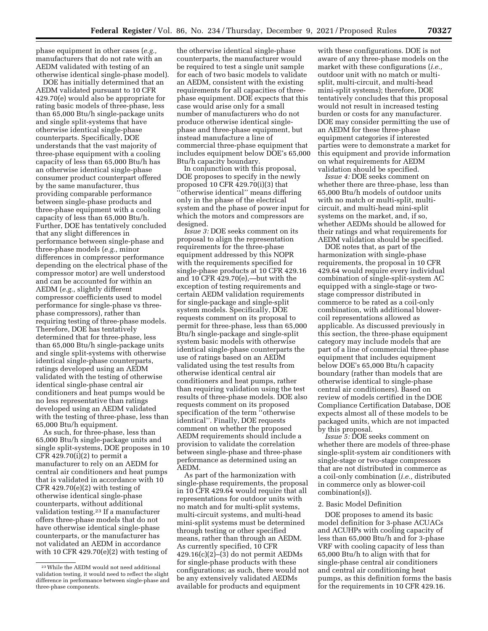phase equipment in other cases (*e.g.,*  manufacturers that do not rate with an AEDM validated with testing of an otherwise identical single-phase model).

DOE has initially determined that an AEDM validated pursuant to 10 CFR 429.70(e) would also be appropriate for rating basic models of three-phase, less than 65,000 Btu/h single-package units and single split-systems that have otherwise identical single-phase counterparts. Specifically, DOE understands that the vast majority of three-phase equipment with a cooling capacity of less than 65,000 Btu/h has an otherwise identical single-phase consumer product counterpart offered by the same manufacturer, thus providing comparable performance between single-phase products and three-phase equipment with a cooling capacity of less than 65,000 Btu/h. Further, DOE has tentatively concluded that any slight differences in performance between single-phase and three-phase models (*e.g.,* minor differences in compressor performance depending on the electrical phase of the compressor motor) are well understood and can be accounted for within an AEDM (*e.g.,* slightly different compressor coefficients used to model performance for single-phase vs threephase compressors), rather than requiring testing of three-phase models. Therefore, DOE has tentatively determined that for three-phase, less than 65,000 Btu/h single-package units and single split-systems with otherwise identical single-phase counterparts, ratings developed using an AEDM validated with the testing of otherwise identical single-phase central air conditioners and heat pumps would be no less representative than ratings developed using an AEDM validated with the testing of three-phase, less than 65,000 Btu/h equipment.

As such, for three-phase, less than 65,000 Btu/h single-package units and single split-systems, DOE proposes in 10  $CFR$  429.70(i)(2) to permit a manufacturer to rely on an AEDM for central air conditioners and heat pumps that is validated in accordance with 10  $CFR$  429.70 $(e)(2)$  with testing of otherwise identical single-phase counterparts, without additional validation testing.23 If a manufacturer offers three-phase models that do not have otherwise identical single-phase counterparts, or the manufacturer has not validated an AEDM in accordance with 10 CFR 429.70(e)(2) with testing of

the otherwise identical single-phase counterparts, the manufacturer would be required to test a single unit sample for each of two basic models to validate an AEDM, consistent with the existing requirements for all capacities of threephase equipment. DOE expects that this case would arise only for a small number of manufacturers who do not produce otherwise identical singlephase and three-phase equipment, but instead manufacture a line of commercial three-phase equipment that includes equipment below DOE's 65,000 Btu/h capacity boundary.

In conjunction with this proposal, DOE proposes to specify in the newly proposed 10 CFR 429.70(i)(3) that 'otherwise identical'' means differing only in the phase of the electrical system and the phase of power input for which the motors and compressors are designed.

*Issue 3:* DOE seeks comment on its proposal to align the representation requirements for the three-phase equipment addressed by this NOPR with the requirements specified for single-phase products at 10 CFR 429.16 and 10 CFR 429.70(e),—but with the exception of testing requirements and certain AEDM validation requirements for single-package and single-split system models. Specifically, DOE requests comment on its proposal to permit for three-phase, less than 65,000 Btu/h single-package and single-split system basic models with otherwise identical single-phase counterparts the use of ratings based on an AEDM validated using the test results from otherwise identical central air conditioners and heat pumps, rather than requiring validation using the test results of three-phase models. DOE also requests comment on its proposed specification of the term ''otherwise identical''. Finally, DOE requests comment on whether the proposed AEDM requirements should include a provision to validate the correlation between single-phase and three-phase performance as determined using an AEDM.

As part of the harmonization with single-phase requirements, the proposal in 10 CFR 429.64 would require that all representations for outdoor units with no match and for multi-split systems, multi-circuit systems, and multi-head mini-split systems must be determined through testing or other specified means, rather than through an AEDM. As currently specified, 10 CFR  $429.16(c)(2)–(3)$  do not permit AEDMs for single-phase products with these configurations; as such, there would not be any extensively validated AEDMs available for products and equipment

with these configurations. DOE is not aware of any three-phase models on the market with these configurations (*i.e.,*  outdoor unit with no match or multisplit, multi-circuit, and multi-head mini-split systems); therefore, DOE tentatively concludes that this proposal would not result in increased testing burden or costs for any manufacturer. DOE may consider permitting the use of an AEDM for these three-phase equipment categories if interested parties were to demonstrate a market for this equipment and provide information on what requirements for AEDM validation should be specified.

*Issue 4:* DOE seeks comment on whether there are three-phase, less than 65,000 Btu/h models of outdoor units with no match or multi-split, multicircuit, and multi-head mini-split systems on the market, and, if so, whether AEDMs should be allowed for their ratings and what requirements for AEDM validation should be specified.

DOE notes that, as part of the harmonization with single-phase requirements, the proposal in 10 CFR 429.64 would require every individual combination of single-split-system AC equipped with a single-stage or twostage compressor distributed in commerce to be rated as a coil-only combination, with additional blowercoil representations allowed as applicable. As discussed previously in this section, the three-phase equipment category may include models that are part of a line of commercial three-phase equipment that includes equipment below DOE's 65,000 Btu/h capacity boundary (rather than models that are otherwise identical to single-phase central air conditioners). Based on review of models certified in the DOE Compliance Certification Database, DOE expects almost all of these models to be packaged units, which are not impacted by this proposal.

*Issue 5:* DOE seeks comment on whether there are models of three-phase single-split-system air conditioners with single-stage or two-stage compressors that are not distributed in commerce as a coil-only combination (*i.e.,* distributed in commerce only as blower-coil combination(s)).

#### 2. Basic Model Definition

DOE proposes to amend its basic model definition for 3-phase ACUACs and ACUHPs with cooling capacity of less than 65,000 Btu/h and for 3-phase VRF with cooling capacity of less than 65,000 Btu/h to align with that for single-phase central air conditioners and central air conditioning heat pumps, as this definition forms the basis for the requirements in 10 CFR 429.16.

<sup>23</sup>While the AEDM would not need additional validation testing, it would need to reflect the slight difference in performance between single-phase and three-phase components.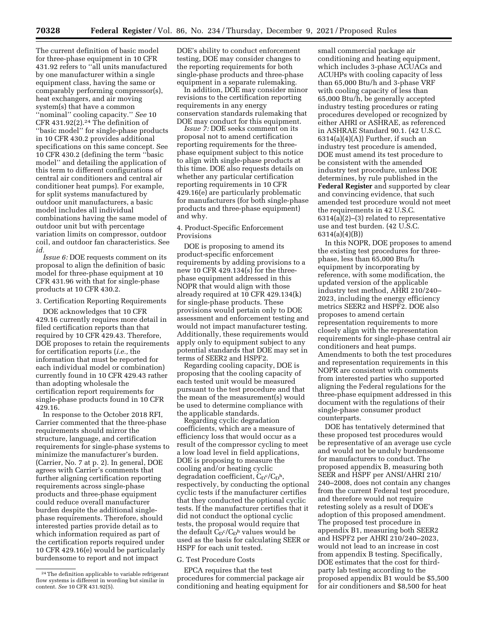The current definition of basic model for three-phase equipment in 10 CFR 431.92 refers to ''all units manufactured by one manufacturer within a single equipment class, having the same or comparably performing compressor(s), heat exchangers, and air moving system(s) that have a common ''nominal'' cooling capacity.'' *See* 10 CFR 431.92 $(2).<sup>24</sup>$  The definition of ''basic model'' for single-phase products in 10 CFR 430.2 provides additional specifications on this same concept. See 10 CFR 430.2 (defining the term ''basic model'' and detailing the application of this term to different configurations of central air conditioners and central air conditioner heat pumps). For example, for split systems manufactured by outdoor unit manufacturers, a basic model includes all individual combinations having the same model of outdoor unit but with percentage variation limits on compressor, outdoor coil, and outdoor fan characteristics. See *id.* 

*Issue 6:* DOE requests comment on its proposal to align the definition of basic model for three-phase equipment at 10 CFR 431.96 with that for single-phase products at 10 CFR 430.2.

3. Certification Reporting Requirements

DOE acknowledges that 10 CFR 429.16 currently requires more detail in filed certification reports than that required by 10 CFR 429.43. Therefore, DOE proposes to retain the requirements for certification reports (*i.e.,* the information that must be reported for each individual model or combination) currently found in 10 CFR 429.43 rather than adopting wholesale the certification report requirements for single-phase products found in 10 CFR 429.16.

In response to the October 2018 RFI, Carrier commented that the three-phase requirements should mirror the structure, language, and certification requirements for single-phase systems to minimize the manufacturer's burden. (Carrier, No. 7 at p. 2). In general, DOE agrees with Carrier's comments that further aligning certification reporting requirements across single-phase products and three-phase equipment could reduce overall manufacturer burden despite the additional singlephase requirements. Therefore, should interested parties provide detail as to which information required as part of the certification reports required under 10 CFR 429.16(e) would be particularly burdensome to report and not impact

DOE's ability to conduct enforcement testing, DOE may consider changes to the reporting requirements for both single-phase products and three-phase equipment in a separate rulemaking.

In addition, DOE may consider minor revisions to the certification reporting requirements in any energy conservation standards rulemaking that DOE may conduct for this equipment.

*Issue 7:* DOE seeks comment on its proposal not to amend certification reporting requirements for the threephase equipment subject to this notice to align with single-phase products at this time. DOE also requests details on whether any particular certification reporting requirements in 10 CFR 429.16(e) are particularly problematic for manufacturers (for both single-phase products and three-phase equipment) and why.

## 4. Product-Specific Enforcement Provisions

DOE is proposing to amend its product-specific enforcement requirements by adding provisions to a new 10 CFR 429.134(s) for the threephase equipment addressed in this NOPR that would align with those already required at 10 CFR 429.134(k) for single-phase products. These provisions would pertain only to DOE assessment and enforcement testing and would not impact manufacturer testing. Additionally, these requirements would apply only to equipment subject to any potential standards that DOE may set in terms of SEER2 and HSPF2.

Regarding cooling capacity, DOE is proposing that the cooling capacity of each tested unit would be measured pursuant to the test procedure and that the mean of the measurement(s) would be used to determine compliance with the applicable standards.

Regarding cyclic degradation coefficients, which are a measure of efficiency loss that would occur as a result of the compressor cycling to meet a low load level in field applications, DOE is proposing to measure the cooling and/or heating cyclic degradation coefficient,  $C_D^{\rm c}/C_D^{\rm h}$ , respectively, by conducting the optional cyclic tests if the manufacturer certifies that they conducted the optional cyclic tests. If the manufacturer certifies that it did not conduct the optional cyclic tests, the proposal would require that the default  $C_D^c/C_D^h$  values would be used as the basis for calculating SEER or HSPF for each unit tested.

## G. Test Procedure Costs

EPCA requires that the test procedures for commercial package air conditioning and heating equipment for small commercial package air conditioning and heating equipment, which includes 3-phase ACUACs and ACUHPs with cooling capacity of less than 65,000 Btu/h and 3-phase VRF with cooling capacity of less than 65,000 Btu/h, be generally accepted industry testing procedures or rating procedures developed or recognized by either AHRI or ASHRAE, as referenced in ASHRAE Standard 90.1. (42 U.S.C.  $6314(a)(4)(A)$  Further, if such an industry test procedure is amended, DOE must amend its test procedure to be consistent with the amended industry test procedure, unless DOE determines, by rule published in the **Federal Register** and supported by clear and convincing evidence, that such amended test procedure would not meet the requirements in 42 U.S.C. 6314(a)(2)–(3) related to representative use and test burden. (42 U.S.C. 6314(a)(4)(B))

In this NOPR, DOE proposes to amend the existing test procedures for threephase, less than 65,000 Btu/h equipment by incorporating by reference, with some modification, the updated version of the applicable industry test method, AHRI 210/240– 2023, including the energy efficiency metrics SEER2 and HSPF2. DOE also proposes to amend certain representation requirements to more closely align with the representation requirements for single-phase central air conditioners and heat pumps. Amendments to both the test procedures and representation requirements in this NOPR are consistent with comments from interested parties who supported aligning the Federal regulations for the three-phase equipment addressed in this document with the regulations of their single-phase consumer product counterparts.

DOE has tentatively determined that these proposed test procedures would be representative of an average use cycle and would not be unduly burdensome for manufacturers to conduct. The proposed appendix B, measuring both SEER and HSPF per ANSI/AHRI 210/ 240–2008, does not contain any changes from the current Federal test procedure, and therefore would not require retesting solely as a result of DOE's adoption of this proposed amendment. The proposed test procedure in appendix B1, measuring both SEER2 and HSPF2 per AHRI 210/240–2023, would not lead to an increase in cost from appendix B testing. Specifically, DOE estimates that the cost for thirdparty lab testing according to the proposed appendix B1 would be \$5,500 for air conditioners and \$8,500 for heat

<sup>24</sup>The definition applicable to variable refrigerant flow systems is different in wording but similar in content. *See* 10 CFR 431.92(5).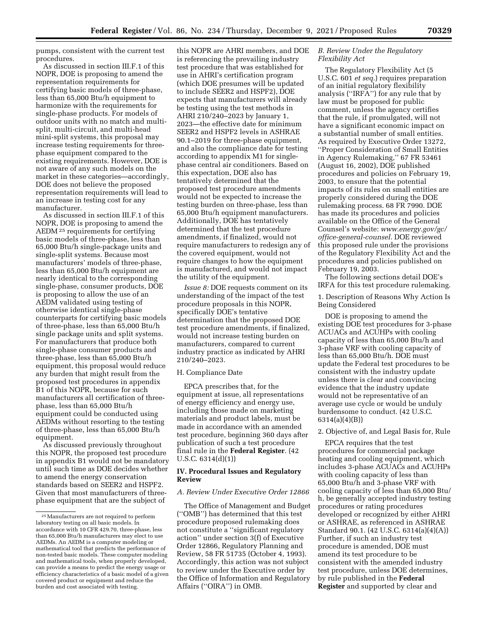pumps, consistent with the current test procedures.

As discussed in section III.F.1 of this NOPR, DOE is proposing to amend the representation requirements for certifying basic models of three-phase, less than 65,000 Btu/h equipment to harmonize with the requirements for single-phase products. For models of outdoor units with no match and multisplit, multi-circuit, and multi-head mini-split systems, this proposal may increase testing requirements for threephase equipment compared to the existing requirements. However, DOE is not aware of any such models on the market in these categories—accordingly, DOE does not believe the proposed representation requirements will lead to an increase in testing cost for any manufacturer.

As discussed in section III.F.1 of this NOPR, DOE is proposing to amend the AEDM 25 requirements for certifying basic models of three-phase, less than 65,000 Btu/h single-package units and single-split systems. Because most manufacturers' models of three-phase, less than 65,000 Btu/h equipment are nearly identical to the corresponding single-phase, consumer products, DOE is proposing to allow the use of an AEDM validated using testing of otherwise identical single-phase counterparts for certifying basic models of three-phase, less than 65,000 Btu/h single package units and split systems. For manufacturers that produce both single-phase consumer products and three-phase, less than 65,000 Btu/h equipment, this proposal would reduce any burden that might result from the proposed test procedures in appendix B1 of this NOPR, because for such manufacturers all certification of threephase, less than 65,000 Btu/h equipment could be conducted using AEDMs without resorting to the testing of three-phase, less than 65,000 Btu/h equipment.

As discussed previously throughout this NOPR, the proposed test procedure in appendix B1 would not be mandatory until such time as DOE decides whether to amend the energy conservation standards based on SEER2 and HSPF2. Given that most manufacturers of threephase equipment that are the subject of

this NOPR are AHRI members, and DOE is referencing the prevailing industry test procedure that was established for use in AHRI's certification program (which DOE presumes will be updated to include SEER2 and HSPF2), DOE expects that manufacturers will already be testing using the test methods in AHRI 210/240–2023 by January 1, 2023—the effective date for minimum SEER2 and HSPF2 levels in ASHRAE 90.1–2019 for three-phase equipment, and also the compliance date for testing according to appendix M1 for singlephase central air conditioners. Based on this expectation, DOE also has tentatively determined that the proposed test procedure amendments would not be expected to increase the testing burden on three-phase, less than 65,000 Btu/h equipment manufacturers. Additionally, DOE has tentatively determined that the test procedure amendments, if finalized, would not require manufacturers to redesign any of the covered equipment, would not require changes to how the equipment is manufactured, and would not impact the utility of the equipment.

*Issue 8:* DOE requests comment on its understanding of the impact of the test procedure proposals in this NOPR, specifically DOE's tentative determination that the proposed DOE test procedure amendments, if finalized, would not increase testing burden on manufacturers, compared to current industry practice as indicated by AHRI 210/240–2023.

#### H. Compliance Date

EPCA prescribes that, for the equipment at issue, all representations of energy efficiency and energy use, including those made on marketing materials and product labels, must be made in accordance with an amended test procedure, beginning 360 days after publication of such a test procedure final rule in the **Federal Register**. (42 U.S.C. 6314(d)(1))

## **IV. Procedural Issues and Regulatory Review**

#### *A. Review Under Executive Order 12866*

The Office of Management and Budget (''OMB'') has determined that this test procedure proposed rulemaking does not constitute a ''significant regulatory action'' under section 3(f) of Executive Order 12866, Regulatory Planning and Review, 58 FR 51735 (October 4, 1993). Accordingly, this action was not subject to review under the Executive order by the Office of Information and Regulatory Affairs (''OIRA'') in OMB.

#### *B. Review Under the Regulatory Flexibility Act*

The Regulatory Flexibility Act (5 U.S.C. 601 *et seq.*) requires preparation of an initial regulatory flexibility analysis (''IRFA'') for any rule that by law must be proposed for public comment, unless the agency certifies that the rule, if promulgated, will not have a significant economic impact on a substantial number of small entities. As required by Executive Order 13272, ''Proper Consideration of Small Entities in Agency Rulemaking,'' 67 FR 53461 (August 16, 2002), DOE published procedures and policies on February 19, 2003, to ensure that the potential impacts of its rules on small entities are properly considered during the DOE rulemaking process. 68 FR 7990. DOE has made its procedures and policies available on the Office of the General Counsel's website: *[www.energy.gov/gc/](http://www.energy.gov/gc/office-general-counsel)  [office-general-counsel.](http://www.energy.gov/gc/office-general-counsel)* DOE reviewed this proposed rule under the provisions of the Regulatory Flexibility Act and the procedures and policies published on February 19, 2003.

The following sections detail DOE's IRFA for this test procedure rulemaking.

1. Description of Reasons Why Action Is Being Considered

DOE is proposing to amend the existing DOE test procedures for 3-phase ACUACs and ACUHPs with cooling capacity of less than 65,000 Btu/h and 3-phase VRF with cooling capacity of less than 65,000 Btu/h. DOE must update the Federal test procedures to be consistent with the industry update unless there is clear and convincing evidence that the industry update would not be representative of an average use cycle or would be unduly burdensome to conduct. (42 U.S.C. 6314(a)(4)(B))

#### 2. Objective of, and Legal Basis for, Rule

EPCA requires that the test procedures for commercial package heating and cooling equipment, which includes 3-phase ACUACs and ACUHPs with cooling capacity of less than 65,000 Btu/h and 3-phase VRF with cooling capacity of less than 65,000 Btu/ h, be generally accepted industry testing procedures or rating procedures developed or recognized by either AHRI or ASHRAE, as referenced in ASHRAE Standard 90.1. (42 U.S.C. 6314(a)(4)(A)) Further, if such an industry test procedure is amended, DOE must amend its test procedure to be consistent with the amended industry test procedure, unless DOE determines, by rule published in the **Federal Register** and supported by clear and

<sup>25</sup>Manufacturers are not required to perform laboratory testing on all basic models. In accordance with 10 CFR 429.70, three-phase, less than 65,000 Btu/h manufacturers may elect to use AEDMs. An AEDM is a computer modeling or mathematical tool that predicts the performance of non-tested basic models. These computer modeling and mathematical tools, when properly developed, can provide a means to predict the energy usage or efficiency characteristics of a basic model of a given covered product or equipment and reduce the burden and cost associated with testing.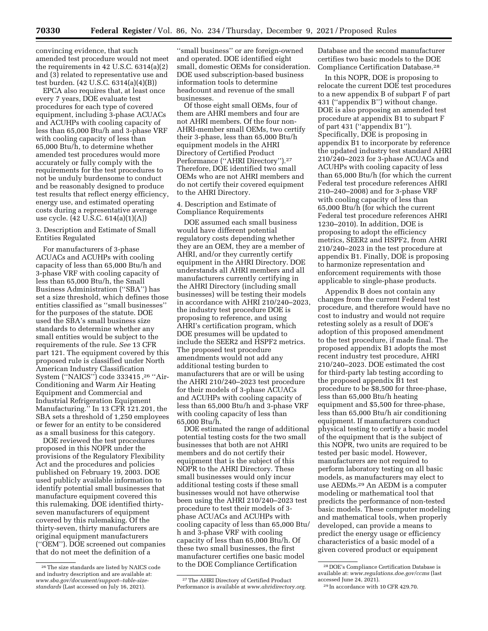convincing evidence, that such amended test procedure would not meet the requirements in 42 U.S.C. 6314(a)(2) and (3) related to representative use and test burden. (42 U.S.C. 6314(a)(4)(B))

EPCA also requires that, at least once every 7 years, DOE evaluate test procedures for each type of covered equipment, including 3-phase ACUACs and ACUHPs with cooling capacity of less than 65,000 Btu/h and 3-phase VRF with cooling capacity of less than 65,000 Btu/h, to determine whether amended test procedures would more accurately or fully comply with the requirements for the test procedures to not be unduly burdensome to conduct and be reasonably designed to produce test results that reflect energy efficiency, energy use, and estimated operating costs during a representative average use cycle. (42 U.S.C. 614(a)(1)(A))

## 3. Description and Estimate of Small Entities Regulated

For manufacturers of 3-phase ACUACs and ACUHPs with cooling capacity of less than 65,000 Btu/h and 3-phase VRF with cooling capacity of less than 65,000 Btu/h, the Small Business Administration (''SBA'') has set a size threshold, which defines those entities classified as ''small businesses'' for the purposes of the statute. DOE used the SBA's small business size standards to determine whether any small entities would be subject to the requirements of the rule. *See* 13 CFR part 121. The equipment covered by this proposed rule is classified under North American Industry Classification System (''NAICS'') code 333415 ,26 ''Air-Conditioning and Warm Air Heating Equipment and Commercial and Industrial Refrigeration Equipment Manufacturing.'' In 13 CFR 121.201, the SBA sets a threshold of 1,250 employees or fewer for an entity to be considered as a small business for this category.

DOE reviewed the test procedures proposed in this NOPR under the provisions of the Regulatory Flexibility Act and the procedures and policies published on February 19, 2003. DOE used publicly available information to identify potential small businesses that manufacture equipment covered this this rulemaking. DOE identified thirtyseven manufacturers of equipment covered by this rulemaking. Of the thirty-seven, thirty manufacturers are original equipment manufacturers (''OEM''). DOE screened out companies that do not meet the definition of a

''small business'' or are foreign-owned and operated. DOE identified eight small, domestic OEMs for consideration. DOE used subscription-based business information tools to determine headcount and revenue of the small businesses.

Of those eight small OEMs, four of them are AHRI members and four are not AHRI members. Of the four non-AHRI-member small OEMs, two certify their 3-phase, less than 65,000 Btu/h equipment models in the AHRI Directory of Certified Product Performance (''AHRI Directory'').27 Therefore, DOE identified two small OEMs who are not AHRI members and do not certify their covered equipment to the AHRI Directory.

#### 4. Description and Estimate of Compliance Requirements

DOE assumed each small business would have different potential regulatory costs depending whether they are an OEM, they are a member of AHRI, and/or they currently certify equipment in the AHRI Directory. DOE understands all AHRI members and all manufacturers currently certifying in the AHRI Directory (including small businesses) will be testing their models in accordance with AHRI 210/240–2023, the industry test procedure DOE is proposing to reference, and using AHRI's certification program, which DOE presumes will be updated to include the SEER2 and HSPF2 metrics. The proposed test procedure amendments would not add any additional testing burden to manufacturers that are or will be using the AHRI 210/240–2023 test procedure for their models of 3-phase ACUACs and ACUHPs with cooling capacity of less than 65,000 Btu/h and 3-phase VRF with cooling capacity of less than 65,000 Btu/h.

DOE estimated the range of additional potential testing costs for the two small businesses that both are not AHRI members and do not certify their equipment that is the subject of this NOPR to the AHRI Directory. These small businesses would only incur additional testing costs if these small businesses would not have otherwise been using the AHRI 210/240–2023 test procedure to test their models of 3 phase ACUACs and ACUHPs with cooling capacity of less than 65,000 Btu/ h and 3-phase VRF with cooling capacity of less than 65,000 Btu/h. Of these two small businesses, the first manufacturer certifies one basic model to the DOE Compliance Certification

Database and the second manufacturer certifies two basic models to the DOE Compliance Certification Database.28

In this NOPR, DOE is proposing to relocate the current DOE test procedures to a new appendix B of subpart F of part 431 (''appendix B'') without change. DOE is also proposing an amended test procedure at appendix B1 to subpart F of part 431 (''appendix B1''). Specifically, DOE is proposing in appendix B1 to incorporate by reference the updated industry test standard AHRI 210/240–2023 for 3-phase ACUACs and ACUHPs with cooling capacity of less than 65,000 Btu/h (for which the current Federal test procedure references AHRI 210–240–2008) and for 3-phase VRF with cooling capacity of less than 65,000 Btu/h (for which the current Federal test procedure references AHRI 1230–2010). In addition, DOE is proposing to adopt the efficiency metrics, SEER2 and HSPF2, from AHRI 210/240–2023 in the test procedure at appendix B1. Finally, DOE is proposing to harmonize representation and enforcement requirements with those applicable to single-phase products.

Appendix B does not contain any changes from the current Federal test procedure, and therefore would have no cost to industry and would not require retesting solely as a result of DOE's adoption of this proposed amendment to the test procedure, if made final. The proposed appendix B1 adopts the most recent industry test procedure, AHRI 210/240–2023. DOE estimated the cost for third-party lab testing according to the proposed appendix B1 test procedure to be \$8,500 for three-phase, less than 65,000 Btu/h heating equipment and \$5,500 for three-phase, less than 65,000 Btu/h air conditioning equipment. If manufacturers conduct physical testing to certify a basic model of the equipment that is the subject of this NOPR, two units are required to be tested per basic model. However, manufacturers are not required to perform laboratory testing on all basic models, as manufacturers may elect to use AEDMs.29 An AEDM is a computer modeling or mathematical tool that predicts the performance of non-tested basic models. These computer modeling and mathematical tools, when properly developed, can provide a means to predict the energy usage or efficiency characteristics of a basic model of a given covered product or equipment

<sup>26</sup>The size standards are listed by NAICS code and industry description and are available at: *[www.sba.gov/document/support--table-size](http://www.sba.gov/document/support--table-size-standards)[standards](http://www.sba.gov/document/support--table-size-standards)* (Last accessed on July 16, 2021).

<sup>27</sup>The AHRI Directory of Certified Product Performance is available at *[www.ahridirectory.org.](http://www.ahridirectory.org)* 

<sup>28</sup> DOE's Compliance Certification Database is available at: *[www.regulations.doe.gov/ccms](http://www.regulations.doe.gov/ccms)* (last accessed June 24, 2021).

<sup>29</sup> In accordance with 10 CFR 429.70.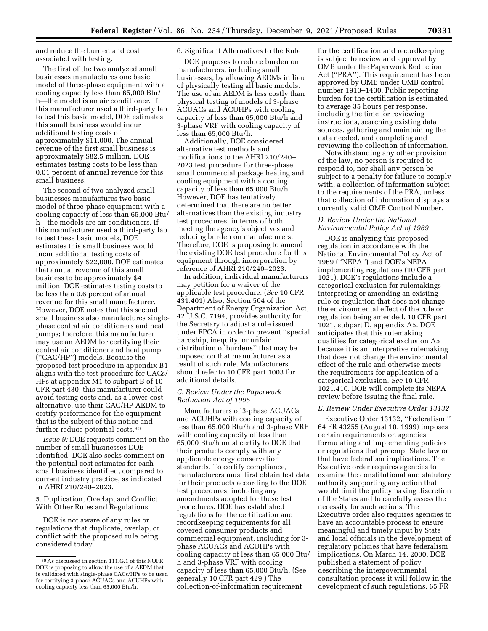and reduce the burden and cost associated with testing.

The first of the two analyzed small businesses manufactures one basic model of three-phase equipment with a cooling capacity less than 65,000 Btu/ h—the model is an air conditioner. If this manufacturer used a third-party lab to test this basic model, DOE estimates this small business would incur additional testing costs of approximately \$11,000. The annual revenue of the first small business is approximately \$82.5 million. DOE estimates testing costs to be less than 0.01 percent of annual revenue for this small business.

The second of two analyzed small businesses manufactures two basic model of three-phase equipment with a cooling capacity of less than 65,000 Btu/ h—the models are air conditioners. If this manufacturer used a third-party lab to test these basic models, DOE estimates this small business would incur additional testing costs of approximately \$22,000. DOE estimates that annual revenue of this small business to be approximately \$4 million. DOE estimates testing costs to be less than 0.6 percent of annual revenue for this small manufacturer. However, DOE notes that this second small business also manufactures singlephase central air conditioners and heat pumps; therefore, this manufacturer may use an AEDM for certifying their central air conditioner and heat pump (''CAC/HP'') models. Because the proposed test procedure in appendix B1 aligns with the test procedure for CACs/ HPs at appendix M1 to subpart B of 10 CFR part 430, this manufacturer could avoid testing costs and, as a lower-cost alternative, use their CAC/HP AEDM to certify performance for the equipment that is the subject of this notice and further reduce potential costs.30

*Issue 9:* DOE requests comment on the number of small businesses DOE identified. DOE also seeks comment on the potential cost estimates for each small business identified, compared to current industry practice, as indicated in AHRI 210/240–2023.

5. Duplication, Overlap, and Conflict With Other Rules and Regulations

DOE is not aware of any rules or regulations that duplicate, overlap, or conflict with the proposed rule being considered today.

## 6. Significant Alternatives to the Rule

DOE proposes to reduce burden on manufacturers, including small businesses, by allowing AEDMs in lieu of physically testing all basic models. The use of an AEDM is less costly than physical testing of models of 3-phase ACUACs and ACUHPs with cooling capacity of less than 65,000 Btu/h and 3-phase VRF with cooling capacity of less than 65,000 Btu/h.

Additionally, DOE considered alternative test methods and modifications to the AHRI 210/240– 2023 test procedure for three-phase, small commercial package heating and cooling equipment with a cooling capacity of less than 65,000 Btu/h. However, DOE has tentatively determined that there are no better alternatives than the existing industry test procedures, in terms of both meeting the agency's objectives and reducing burden on manufacturers. Therefore, DOE is proposing to amend the existing DOE test procedure for this equipment through incorporation by reference of AHRI 210/240–2023.

In addition, individual manufacturers may petition for a waiver of the applicable test procedure. (*See* 10 CFR 431.401) Also, Section 504 of the Department of Energy Organization Act, 42 U.S.C. 7194, provides authority for the Secretary to adjust a rule issued under EPCA in order to prevent ''special hardship, inequity, or unfair distribution of burdens'' that may be imposed on that manufacturer as a result of such rule. Manufacturers should refer to 10 CFR part 1003 for additional details.

#### *C. Review Under the Paperwork Reduction Act of 1995*

Manufacturers of 3-phase ACUACs and ACUHPs with cooling capacity of less than 65,000 Btu/h and 3-phase VRF with cooling capacity of less than 65,000 Btu/h must certify to DOE that their products comply with any applicable energy conservation standards. To certify compliance, manufacturers must first obtain test data for their products according to the DOE test procedures, including any amendments adopted for those test procedures. DOE has established regulations for the certification and recordkeeping requirements for all covered consumer products and commercial equipment, including for 3 phase ACUACs and ACUHPs with cooling capacity of less than 65,000 Btu/ h and 3-phase VRF with cooling capacity of less than 65,000 Btu/h. (See generally 10 CFR part 429.) The collection-of-information requirement

for the certification and recordkeeping is subject to review and approval by OMB under the Paperwork Reduction Act (''PRA''). This requirement has been approved by OMB under OMB control number 1910–1400. Public reporting burden for the certification is estimated to average 35 hours per response, including the time for reviewing instructions, searching existing data sources, gathering and maintaining the data needed, and completing and reviewing the collection of information.

Notwithstanding any other provision of the law, no person is required to respond to, nor shall any person be subject to a penalty for failure to comply with, a collection of information subject to the requirements of the PRA, unless that collection of information displays a currently valid OMB Control Number.

## *D. Review Under the National Environmental Policy Act of 1969*

DOE is analyzing this proposed regulation in accordance with the National Environmental Policy Act of 1969 (''NEPA'') and DOE's NEPA implementing regulations (10 CFR part 1021). DOE's regulations include a categorical exclusion for rulemakings interpreting or amending an existing rule or regulation that does not change the environmental effect of the rule or regulation being amended. 10 CFR part 1021, subpart D, appendix A5. DOE anticipates that this rulemaking qualifies for categorical exclusion A5 because it is an interpretive rulemaking that does not change the environmental effect of the rule and otherwise meets the requirements for application of a categorical exclusion. *See* 10 CFR 1021.410. DOE will complete its NEPA review before issuing the final rule.

#### *E. Review Under Executive Order 13132*

Executive Order 13132, ''Federalism,'' 64 FR 43255 (August 10, 1999) imposes certain requirements on agencies formulating and implementing policies or regulations that preempt State law or that have federalism implications. The Executive order requires agencies to examine the constitutional and statutory authority supporting any action that would limit the policymaking discretion of the States and to carefully assess the necessity for such actions. The Executive order also requires agencies to have an accountable process to ensure meaningful and timely input by State and local officials in the development of regulatory policies that have federalism implications. On March 14, 2000, DOE published a statement of policy describing the intergovernmental consultation process it will follow in the development of such regulations. 65 FR

<sup>30</sup>As discussed in section 111.G.1 of this NOPR, DOE is proposing to allow the use of a AEDM that is validated with single-phase CACs/HPs to be used for certifying 3-phase ACUACs and ACUHPs with cooling capacity less than 65,000 Btu/h.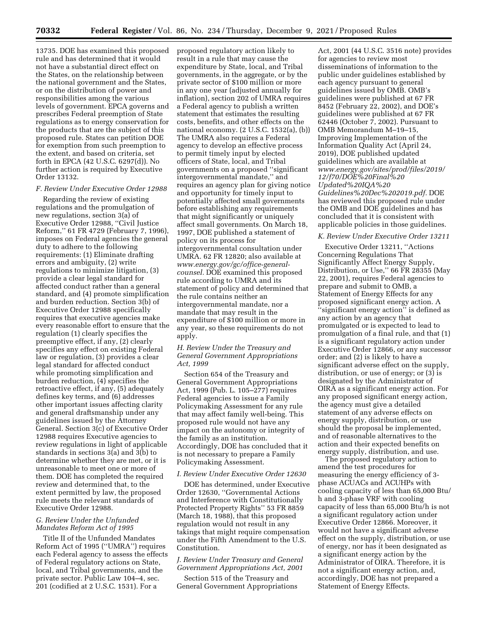13735. DOE has examined this proposed rule and has determined that it would not have a substantial direct effect on the States, on the relationship between the national government and the States, or on the distribution of power and responsibilities among the various levels of government. EPCA governs and prescribes Federal preemption of State regulations as to energy conservation for the products that are the subject of this proposed rule. States can petition DOE for exemption from such preemption to the extent, and based on criteria, set forth in EPCA (42 U.S.C. 6297(d)). No further action is required by Executive Order 13132.

#### *F. Review Under Executive Order 12988*

Regarding the review of existing regulations and the promulgation of new regulations, section 3(a) of Executive Order 12988, ''Civil Justice Reform,'' 61 FR 4729 (February 7, 1996), imposes on Federal agencies the general duty to adhere to the following requirements: (1) Eliminate drafting errors and ambiguity, (2) write regulations to minimize litigation, (3) provide a clear legal standard for affected conduct rather than a general standard, and (4) promote simplification and burden reduction. Section 3(b) of Executive Order 12988 specifically requires that executive agencies make every reasonable effort to ensure that the regulation (1) clearly specifies the preemptive effect, if any, (2) clearly specifies any effect on existing Federal law or regulation, (3) provides a clear legal standard for affected conduct while promoting simplification and burden reduction, (4) specifies the retroactive effect, if any, (5) adequately defines key terms, and (6) addresses other important issues affecting clarity and general draftsmanship under any guidelines issued by the Attorney General. Section 3(c) of Executive Order 12988 requires Executive agencies to review regulations in light of applicable standards in sections 3(a) and 3(b) to determine whether they are met, or it is unreasonable to meet one or more of them. DOE has completed the required review and determined that, to the extent permitted by law, the proposed rule meets the relevant standards of Executive Order 12988.

## *G. Review Under the Unfunded Mandates Reform Act of 1995*

Title II of the Unfunded Mandates Reform Act of 1995 (''UMRA'') requires each Federal agency to assess the effects of Federal regulatory actions on State, local, and Tribal governments, and the private sector. Public Law 104–4, sec. 201 (codified at 2 U.S.C. 1531). For a

proposed regulatory action likely to result in a rule that may cause the expenditure by State, local, and Tribal governments, in the aggregate, or by the private sector of \$100 million or more in any one year (adjusted annually for inflation), section 202 of UMRA requires a Federal agency to publish a written statement that estimates the resulting costs, benefits, and other effects on the national economy. (2 U.S.C. 1532(a), (b)) The UMRA also requires a Federal agency to develop an effective process to permit timely input by elected officers of State, local, and Tribal governments on a proposed ''significant intergovernmental mandate,'' and requires an agency plan for giving notice and opportunity for timely input to potentially affected small governments before establishing any requirements that might significantly or uniquely affect small governments. On March 18, 1997, DOE published a statement of policy on its process for intergovernmental consultation under UMRA. 62 FR 12820; also available at *[www.energy.gov/gc/office-general](http://www.energy.gov/gc/office-general-counsel)[counsel.](http://www.energy.gov/gc/office-general-counsel)* DOE examined this proposed rule according to UMRA and its statement of policy and determined that the rule contains neither an intergovernmental mandate, nor a mandate that may result in the expenditure of \$100 million or more in any year, so these requirements do not apply.

## *H. Review Under the Treasury and General Government Appropriations Act, 1999*

Section 654 of the Treasury and General Government Appropriations Act, 1999 (Pub. L. 105–277) requires Federal agencies to issue a Family Policymaking Assessment for any rule that may affect family well-being. This proposed rule would not have any impact on the autonomy or integrity of the family as an institution. Accordingly, DOE has concluded that it is not necessary to prepare a Family Policymaking Assessment.

#### *I. Review Under Executive Order 12630*

DOE has determined, under Executive Order 12630, ''Governmental Actions and Interference with Constitutionally Protected Property Rights'' 53 FR 8859 (March 18, 1988), that this proposed regulation would not result in any takings that might require compensation under the Fifth Amendment to the U.S. Constitution.

## *J. Review Under Treasury and General Government Appropriations Act, 2001*

Section 515 of the Treasury and General Government Appropriations

Act, 2001 (44 U.S.C. 3516 note) provides for agencies to review most disseminations of information to the public under guidelines established by each agency pursuant to general guidelines issued by OMB. OMB's guidelines were published at 67 FR 8452 (February 22, 2002), and DOE's guidelines were published at 67 FR  $62446$  (October 7, 2002). Pursuant to OMB Memorandum M–19–15, Improving Implementation of the Information Quality Act (April 24, 2019), DOE published updated guidelines which are available at *[www.energy.gov/sites/prod/files/2019/](http://www.energy.gov/sites/prod/files/2019/12/f70/DOE%20Final%20Updated%20IQA%20Guidelines%20Dec%202019.pdf) [12/f70/DOE%20Final%20](http://www.energy.gov/sites/prod/files/2019/12/f70/DOE%20Final%20Updated%20IQA%20Guidelines%20Dec%202019.pdf) [Updated%20IQA%20](http://www.energy.gov/sites/prod/files/2019/12/f70/DOE%20Final%20Updated%20IQA%20Guidelines%20Dec%202019.pdf) [Guidelines%20Dec%202019.pdf.](http://www.energy.gov/sites/prod/files/2019/12/f70/DOE%20Final%20Updated%20IQA%20Guidelines%20Dec%202019.pdf)* DOE has reviewed this proposed rule under the OMB and DOE guidelines and has concluded that it is consistent with applicable policies in those guidelines.

#### *K. Review Under Executive Order 13211*

Executive Order 13211, ''Actions Concerning Regulations That Significantly Affect Energy Supply, Distribution, or Use,'' 66 FR 28355 (May 22, 2001), requires Federal agencies to prepare and submit to OMB, a Statement of Energy Effects for any proposed significant energy action. A ''significant energy action'' is defined as any action by an agency that promulgated or is expected to lead to promulgation of a final rule, and that (1) is a significant regulatory action under Executive Order 12866, or any successor order; and (2) is likely to have a significant adverse effect on the supply, distribution, or use of energy; or (3) is designated by the Administrator of OIRA as a significant energy action. For any proposed significant energy action, the agency must give a detailed statement of any adverse effects on energy supply, distribution, or use should the proposal be implemented, and of reasonable alternatives to the action and their expected benefits on energy supply, distribution, and use.

The proposed regulatory action to amend the test procedures for measuring the energy efficiency of 3 phase ACUACs and ACUHPs with cooling capacity of less than 65,000 Btu/ h and 3-phase VRF with cooling capacity of less than 65,000 Btu/h is not a significant regulatory action under Executive Order 12866. Moreover, it would not have a significant adverse effect on the supply, distribution, or use of energy, nor has it been designated as a significant energy action by the Administrator of OIRA. Therefore, it is not a significant energy action, and, accordingly, DOE has not prepared a Statement of Energy Effects.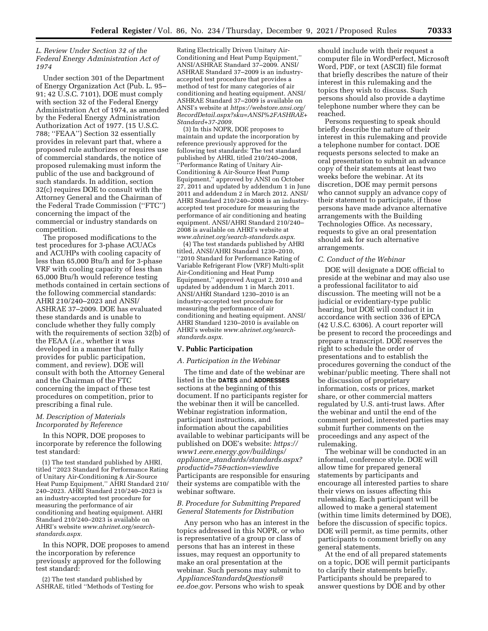## *L. Review Under Section 32 of the Federal Energy Administration Act of 1974*

Under section 301 of the Department of Energy Organization Act (Pub. L. 95– 91; 42 U.S.C. 7101), DOE must comply with section 32 of the Federal Energy Administration Act of 1974, as amended by the Federal Energy Administration Authorization Act of 1977. (15 U.S.C. 788; ''FEAA'') Section 32 essentially provides in relevant part that, where a proposed rule authorizes or requires use of commercial standards, the notice of proposed rulemaking must inform the public of the use and background of such standards. In addition, section 32(c) requires DOE to consult with the Attorney General and the Chairman of the Federal Trade Commission (''FTC'') concerning the impact of the commercial or industry standards on competition.

The proposed modifications to the test procedures for 3-phase ACUACs and ACUHPs with cooling capacity of less than 65,000 Btu/h and for 3-phase VRF with cooling capacity of less than 65,000 Btu/h would reference testing methods contained in certain sections of the following commercial standards: AHRI 210/240–2023 and ANSI/ ASHRAE 37–2009. DOE has evaluated these standards and is unable to conclude whether they fully comply with the requirements of section 32(b) of the FEAA (*i.e.,* whether it was developed in a manner that fully provides for public participation, comment, and review). DOE will consult with both the Attorney General and the Chairman of the FTC concerning the impact of these test procedures on competition, prior to prescribing a final rule.

## *M. Description of Materials Incorporated by Reference*

In this NOPR, DOE proposes to incorporate by reference the following test standard:

(1) The test standard published by AHRI, titled ''2023 Standard for Performance Rating of Unitary Air-Conditioning & Air-Source Heat Pump Equipment,'' AHRI Standard 210/ 240–2023. AHRI Standard 210/240–2023 is an industry-accepted test procedure for measuring the performance of air conditioning and heating equipment. AHRI Standard 210/240–2023 is available on AHRI's website *[www.ahrinet.org/search](http://www.ahrinet.org/search-standards.aspx)[standards.aspx.](http://www.ahrinet.org/search-standards.aspx)* 

In this NOPR, DOE proposes to amend the incorporation by reference previously approved for the following test standard:

(2) The test standard published by ASHRAE, titled ''Methods of Testing for

Rating Electrically Driven Unitary Air-Conditioning and Heat Pump Equipment,'' ANSI/ASHRAE Standard 37–2009. ANSI/ ASHRAE Standard 37–2009 is an industryaccepted test procedure that provides a method of test for many categories of air conditioning and heating equipment. ANSI/ ASHRAE Standard 37–2009 is available on ANSI's website at *[https://webstore.ansi.org/](https://webstore.ansi.org/RecordDetail.aspx?sku=ANSI%2FASHRAE+Standard+37-2009)  [RecordDetail.aspx?sku=ANSI%2FASHRAE+](https://webstore.ansi.org/RecordDetail.aspx?sku=ANSI%2FASHRAE+Standard+37-2009) [Standard+37-2009.](https://webstore.ansi.org/RecordDetail.aspx?sku=ANSI%2FASHRAE+Standard+37-2009)* 

(3) In this NOPR, DOE proposes to maintain and update the incorporation by reference previously approved for the following test standards: The test standard published by AHRI, titled 210/240–2008, ''Performance Rating of Unitary Air-Conditioning & Air-Source Heat Pump Equipment,'' approved by ANSI on October 27, 2011 and updated by addendum 1 in June 2011 and addendum 2 in March 2012. ANSI/ AHRI Standard 210/240–2008 is an industryaccepted test procedure for measuring the performance of air conditioning and heating equipment. ANSI/AHRI Standard 210/240– 2008 is available on AHRI's website at *[www.ahrinet.org/search-standards.aspx.](http://www.ahrinet.org/search-standards.aspx)* 

(4) The test standards published by AHRI titled, ANSI/AHRI Standard 1230–2010, ''2010 Standard for Performance Rating of Variable Refrigerant Flow (VRF) Multi-split Air-Conditioning and Heat Pump Equipment,'' approved August 2, 2010 and updated by addendum 1 in March 2011. ANSI/AHRI Standard 1230–2010 is an industry-accepted test procedure for measuring the performance of air conditioning and heating equipment. ANSI/ AHRI Standard 1230–2010 is available on AHRI's website *[www.ahrinet.org/search](http://www.ahrinet.org/search-standards.aspx)[standards.aspx.](http://www.ahrinet.org/search-standards.aspx)* 

#### **V. Public Participation**

#### *A. Participation in the Webinar*

The time and date of the webinar are listed in the **DATES** and **ADDRESSES** sections at the beginning of this document. If no participants register for the webinar then it will be cancelled*.*  Webinar registration information, participant instructions, and information about the capabilities available to webinar participants will be published on DOE's website: *[https://](https://www1.eere.energy.gov/buildings/appliance_standards/standards.aspx?productid=75&action=viewlive) [www1.eere.energy.gov/buildings/](https://www1.eere.energy.gov/buildings/appliance_standards/standards.aspx?productid=75&action=viewlive)  appliance*\_*[standards/standards.aspx?](https://www1.eere.energy.gov/buildings/appliance_standards/standards.aspx?productid=75&action=viewlive) [productid=75&action=viewlive](https://www1.eere.energy.gov/buildings/appliance_standards/standards.aspx?productid=75&action=viewlive)*  Participants are responsible for ensuring their systems are compatible with the webinar software.

#### *B. Procedure for Submitting Prepared General Statements for Distribution*

Any person who has an interest in the topics addressed in this NOPR, or who is representative of a group or class of persons that has an interest in these issues, may request an opportunity to make an oral presentation at the webinar. Such persons may submit to *[ApplianceStandardsQuestions@](mailto:ApplianceStandardsQuestions@ee.doe.gov) [ee.doe.gov.](mailto:ApplianceStandardsQuestions@ee.doe.gov)* Persons who wish to speak

should include with their request a computer file in WordPerfect, Microsoft Word, PDF, or text (ASCII) file format that briefly describes the nature of their interest in this rulemaking and the topics they wish to discuss. Such persons should also provide a daytime telephone number where they can be reached.

Persons requesting to speak should briefly describe the nature of their interest in this rulemaking and provide a telephone number for contact. DOE requests persons selected to make an oral presentation to submit an advance copy of their statements at least two weeks before the webinar. At its discretion, DOE may permit persons who cannot supply an advance copy of their statement to participate, if those persons have made advance alternative arrangements with the Building Technologies Office. As necessary, requests to give an oral presentation should ask for such alternative arrangements.

#### *C. Conduct of the Webinar*

DOE will designate a DOE official to preside at the webinar and may also use a professional facilitator to aid discussion. The meeting will not be a judicial or evidentiary-type public hearing, but DOE will conduct it in accordance with section 336 of EPCA (42 U.S.C. 6306). A court reporter will be present to record the proceedings and prepare a transcript. DOE reserves the right to schedule the order of presentations and to establish the procedures governing the conduct of the webinar/public meeting. There shall not be discussion of proprietary information, costs or prices, market share, or other commercial matters regulated by U.S. anti-trust laws. After the webinar and until the end of the comment period, interested parties may submit further comments on the proceedings and any aspect of the rulemaking.

The webinar will be conducted in an informal, conference style. DOE will allow time for prepared general statements by participants and encourage all interested parties to share their views on issues affecting this rulemaking. Each participant will be allowed to make a general statement (within time limits determined by DOE), before the discussion of specific topics. DOE will permit, as time permits, other participants to comment briefly on any general statements.

At the end of all prepared statements on a topic, DOE will permit participants to clarify their statements briefly. Participants should be prepared to answer questions by DOE and by other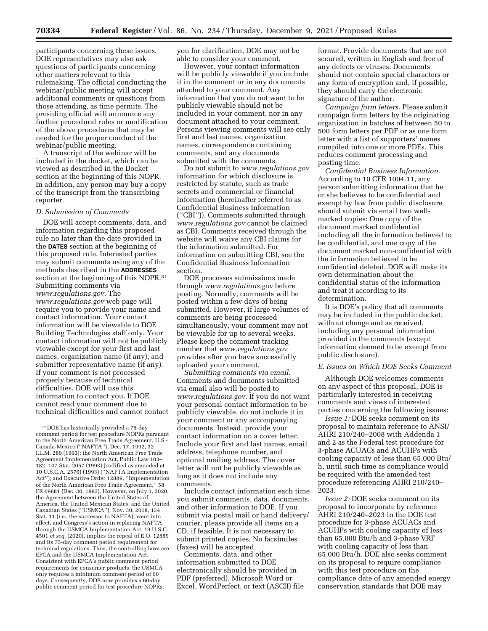participants concerning these issues. DOE representatives may also ask questions of participants concerning other matters relevant to this rulemaking. The official conducting the webinar/public meeting will accept additional comments or questions from those attending, as time permits. The presiding official will announce any further procedural rules or modification of the above procedures that may be needed for the proper conduct of the webinar/public meeting.

A transcript of the webinar will be included in the docket, which can be viewed as described in the Docket section at the beginning of this NOPR. In addition, any person may buy a copy of the transcript from the transcribing reporter.

#### *D. Submission of Comments*

DOE will accept comments, data, and information regarding this proposed rule no later than the date provided in the **DATES** section at the beginning of this proposed rule. Interested parties may submit comments using any of the methods described in the **ADDRESSES** section at the beginning of this NOPR.<sup>31</sup> Submitting comments via *[www.regulations.gov.](http://www.regulations.gov)* The *[www.regulations.gov](http://www.regulations.gov)* web page will require you to provide your name and contact information. Your contact information will be viewable to DOE Building Technologies staff only. Your contact information will not be publicly viewable except for your first and last names, organization name (if any), and submitter representative name (if any). If your comment is not processed properly because of technical difficulties, DOE will use this information to contact you. If DOE cannot read your comment due to technical difficulties and cannot contact you for clarification, DOE may not be able to consider your comment.

However, your contact information will be publicly viewable if you include it in the comment or in any documents attached to your comment. Any information that you do not want to be publicly viewable should not be included in your comment, nor in any document attached to your comment. Persons viewing comments will see only first and last names, organization names, correspondence containing comments, and any documents submitted with the comments.

Do not submit to *[www.regulations.gov](http://www.regulations.gov)*  information for which disclosure is restricted by statute, such as trade secrets and commercial or financial information (hereinafter referred to as Confidential Business Information (''CBI'')). Comments submitted through *[www.regulations.gov](http://www.regulations.gov)* cannot be claimed as CBI. Comments received through the website will waive any CBI claims for the information submitted. For information on submitting CBI, see the Confidential Business Information section.

DOE processes submissions made through *[www.regulations.gov](http://www.regulations.gov)* before posting. Normally, comments will be posted within a few days of being submitted. However, if large volumes of comments are being processed simultaneously, your comment may not be viewable for up to several weeks. Please keep the comment tracking number that *[www.regulations.gov](http://www.regulations.gov)*  provides after you have successfully uploaded your comment.

*Submitting comments via email.*  Comments and documents submitted via email also will be posted to *[www.regulations.gov.](http://www.regulations.gov)* If you do not want your personal contact information to be publicly viewable, do not include it in your comment or any accompanying documents. Instead, provide your contact information on a cover letter. Include your first and last names, email address, telephone number, and optional mailing address. The cover letter will not be publicly viewable as long as it does not include any comments.

Include contact information each time you submit comments, data, documents, and other information to DOE. If you submit via postal mail or hand delivery/ courier, please provide all items on a CD, if feasible. It is not necessary to submit printed copies. No facsimiles (faxes) will be accepted.

Comments, data, and other information submitted to DOE electronically should be provided in PDF (preferred), Microsoft Word or Excel, WordPerfect, or text (ASCII) file format. Provide documents that are not secured, written in English and free of any defects or viruses. Documents should not contain special characters or any form of encryption and, if possible, they should carry the electronic signature of the author.

*Campaign form letters.* Please submit campaign form letters by the originating organization in batches of between 50 to 500 form letters per PDF or as one form letter with a list of supporters' names compiled into one or more PDFs. This reduces comment processing and posting time.

*Confidential Business Information.*  According to 10 CFR 1004.11, any person submitting information that he or she believes to be confidential and exempt by law from public disclosure should submit via email two wellmarked copies: One copy of the document marked confidential including all the information believed to be confidential, and one copy of the document marked non-confidential with the information believed to be confidential deleted. DOE will make its own determination about the confidential status of the information and treat it according to its determination.

It is DOE's policy that all comments may be included in the public docket, without change and as received, including any personal information provided in the comments (except information deemed to be exempt from public disclosure).

## *E. Issues on Which DOE Seeks Comment*

Although DOE welcomes comments on any aspect of this proposal, DOE is particularly interested in receiving comments and views of interested parties concerning the following issues:

*Issue 1:* DOE seeks comment on its proposal to maintain reference to ANSI/ AHRI 210/240–2008 with Addenda 1 and 2 as the Federal test procedure for 3-phase ACUACs and ACUHPs with cooling capacity of less than 65,000 Btu/ h, until such time as compliance would be required with the amended test procedure referencing AHRI 210/240– 2023.

*Issue 2:* DOE seeks comment on its proposal to incorporate by reference AHRI 210/240–2023 in the DOE test procedure for 3-phase ACUACs and ACUHPs with cooling capacity of less than 65,000 Btu/h and 3-phase VRF with cooling capacity of less than 65,000 Btu/h. DOE also seeks comment on its proposal to require compliance with this test procedure on the compliance date of any amended energy conservation standards that DOE may

<sup>31</sup> DOE has historically provided a 75-day comment period for test procedure NOPRs pursuant to the North American Free Trade Agreement, U.S.- Canada-Mexico (''NAFTA''), Dec. 17, 1992, 32 I.L.M. 289 (1993); the North American Free Trade Agreement Implementation Act, Public Law 103– 182, 107 Stat. 2057 (1993) (codified as amended at 10 U.S.C.A. 2576) (1993) (''NAFTA Implementation Act''); and Executive Order 12889, ''Implementation of the North American Free Trade Agreement,'' 58 FR 69681 (Dec. 30, 1993). However, on July 1, 2020, the Agreement between the United States of America, the United Mexican States, and the United Canadian States (''USMCA''), Nov. 30, 2018, 134 Stat. 11 (*i.e.,* the successor to NAFTA), went into effect, and Congress's action in replacing NAFTA through the USMCA Implementation Act, 19 U.S.C. 4501 *et seq.* (2020), implies the repeal of E.O. 12889 and its 75-day comment period requirement for technical regulations. Thus, the controlling laws are EPCA and the USMCA Implementation Act. Consistent with EPCA's public comment period requirements for consumer products, the USMCA only requires a minimum comment period of 60 days. Consequently, DOE now provides a 60-day public comment period for test procedure NOPRs.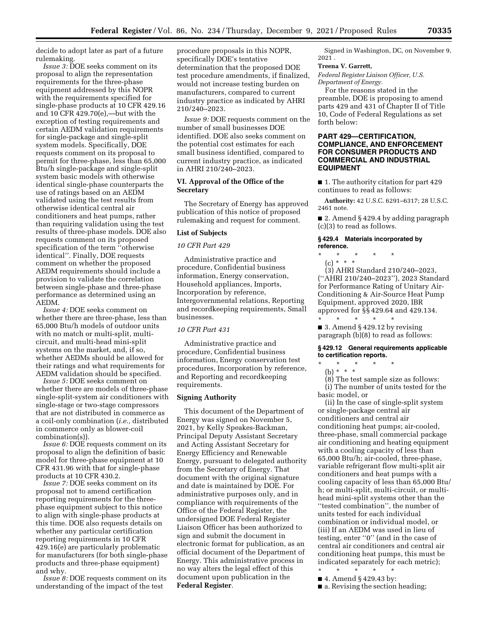decide to adopt later as part of a future rulemaking.

*Issue 3:* DOE seeks comment on its proposal to align the representation requirements for the three-phase equipment addressed by this NOPR with the requirements specified for single-phase products at 10 CFR 429.16 and 10 CFR 429.70(e),—but with the exception of testing requirements and certain AEDM validation requirements for single-package and single-split system models. Specifically, DOE requests comment on its proposal to permit for three-phase, less than 65,000 Btu/h single-package and single-split system basic models with otherwise identical single-phase counterparts the use of ratings based on an AEDM validated using the test results from otherwise identical central air conditioners and heat pumps, rather than requiring validation using the test results of three-phase models. DOE also requests comment on its proposed specification of the term ''otherwise identical''. Finally, DOE requests comment on whether the proposed AEDM requirements should include a provision to validate the correlation between single-phase and three-phase performance as determined using an AEDM.

*Issue 4:* DOE seeks comment on whether there are three-phase, less than 65,000 Btu/h models of outdoor units with no match or multi-split, multicircuit, and multi-head mini-split systems on the market, and, if so, whether AEDMs should be allowed for their ratings and what requirements for AEDM validation should be specified.

*Issue 5:* DOE seeks comment on whether there are models of three-phase single-split-system air conditioners with single-stage or two-stage compressors that are not distributed in commerce as a coil-only combination (*i.e.,* distributed in commerce only as blower-coil combination(s)).

*Issue 6:* DOE requests comment on its proposal to align the definition of basic model for three-phase equipment at 10 CFR 431.96 with that for single-phase products at 10 CFR 430.2.

*Issue 7:* DOE seeks comment on its proposal not to amend certification reporting requirements for the threephase equipment subject to this notice to align with single-phase products at this time. DOE also requests details on whether any particular certification reporting requirements in 10 CFR 429.16(e) are particularly problematic for manufacturers (for both single-phase products and three-phase equipment) and why.

*Issue 8:* DOE requests comment on its understanding of the impact of the test

procedure proposals in this NOPR, specifically DOE's tentative determination that the proposed DOE test procedure amendments, if finalized, would not increase testing burden on manufacturers, compared to current industry practice as indicated by AHRI 210/240–2023.

*Issue 9:* DOE requests comment on the number of small businesses DOE identified. DOE also seeks comment on the potential cost estimates for each small business identified, compared to current industry practice, as indicated in AHRI 210/240–2023.

#### **VI. Approval of the Office of the Secretary**

The Secretary of Energy has approved publication of this notice of proposed rulemaking and request for comment.

## **List of Subjects**

#### *10 CFR Part 429*

Administrative practice and procedure, Confidential business information, Energy conservation, Household appliances, Imports, Incorporation by reference, Intergovernmental relations, Reporting and recordkeeping requirements, Small businesses.

#### *10 CFR Part 431*

Administrative practice and procedure, Confidential business information, Energy conservation test procedures, Incorporation by reference, and Reporting and recordkeeping requirements.

## **Signing Authority**

This document of the Department of Energy was signed on November 5, 2021, by Kelly Speakes-Backman, Principal Deputy Assistant Secretary and Acting Assistant Secretary for Energy Efficiency and Renewable Energy, pursuant to delegated authority from the Secretary of Energy. That document with the original signature and date is maintained by DOE. For administrative purposes only, and in compliance with requirements of the Office of the Federal Register, the undersigned DOE Federal Register Liaison Officer has been authorized to sign and submit the document in electronic format for publication, as an official document of the Department of Energy. This administrative process in no way alters the legal effect of this document upon publication in the **Federal Register**.

Signed in Washington, DC, on November 9, 2021 .

#### **Treena V. Garrett,**

*Federal Register Liaison Officer, U.S. Department of Energy.* 

For the reasons stated in the preamble, DOE is proposing to amend parts 429 and 431 of Chapter II of Title 10, Code of Federal Regulations as set forth below:

## **PART 429—CERTIFICATION, COMPLIANCE, AND ENFORCEMENT FOR CONSUMER PRODUCTS AND COMMERCIAL AND INDUSTRIAL EQUIPMENT**

■ 1. The authority citation for part 429 continues to read as follows:

**Authority:** 42 U.S.C. 6291–6317; 28 U.S.C. 2461 note.

■ 2. Amend § 429.4 by adding paragraph (c)(3) to read as follows.

## **§ 429.4 Materials incorporated by reference.**

- \* \* \* \* \*
	- (c) \* \* \*

(3) AHRI Standard 210/240–2023, (''AHRI 210/240–2023''), 2023 Standard for Performance Rating of Unitary Air-Conditioning & Air-Source Heat Pump Equipment, approved 2020, IBR approved for §§ 429.64 and 429.134.

\* \* \* \* \* ■ 3. Amend § 429.12 by revising paragraph (b)(8) to read as follows:

## **§ 429.12 General requirements applicable to certification reports.**

\* \* \* \* \*

(b) \* \* \* (8) The test sample size as follows: (i) The number of units tested for the basic model, or

(ii) In the case of single-split system or single-package central air conditioners and central air conditioning heat pumps; air-cooled, three-phase, small commercial package air conditioning and heating equipment with a cooling capacity of less than 65,000 Btu/h; air-cooled, three-phase, variable refrigerant flow multi-split air conditioners and heat pumps with a cooling capacity of less than 65,000 Btu/ h; or multi-split, multi-circuit, or multihead mini-split systems other than the ''tested combination'', the number of units tested for each individual combination or individual model, or (iii) If an AEDM was used in lieu of testing, enter ''0'' (and in the case of central air conditioners and central air conditioning heat pumps, this must be indicated separately for each metric);

- \* \* \* \* \*
- 4. Amend § 429.43 by:
- a. Revising the section heading;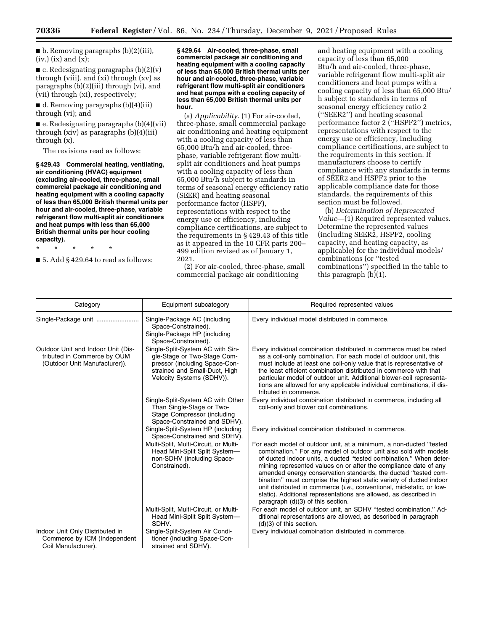$\blacksquare$  b. Removing paragraphs (b)(2)(iii),  $(iv,)(ix)$  and  $(x)$ ;

 $\blacksquare$  c. Redesignating paragraphs (b)(2)(v) through (viii), and (xi) through (xv) as paragraphs (b)(2)(iii) through (vi), and (vii) through (xi), respectively;

■ d. Removing paragraphs (b)(4)(iii) through (vi); and

 $\blacksquare$  e. Redesignating paragraphs (b)(4)(vii) through (xiv) as paragraphs (b)(4)(iii) through (x).

The revisions read as follows:

**§ 429.43 Commercial heating, ventilating, air conditioning (HVAC) equipment (excluding air-cooled, three-phase, small commercial package air conditioning and heating equipment with a cooling capacity of less than 65,000 British thermal units per hour and air-cooled, three-phase, variable refrigerant flow multi-split air conditioners and heat pumps with less than 65,000 British thermal units per hour cooling capacity).** 

\* \* \* \* \*

 $\blacksquare$  5. Add § 429.64 to read as follows:

**§ 429.64 Air-cooled, three-phase, small commercial package air conditioning and heating equipment with a cooling capacity of less than 65,000 British thermal units per hour and air-cooled, three-phase, variable refrigerant flow multi-split air conditioners and heat pumps with a cooling capacity of less than 65,000 British thermal units per hour.** 

(a) *Applicability.* (1) For air-cooled, three-phase, small commercial package air conditioning and heating equipment with a cooling capacity of less than 65,000 Btu/h and air-cooled, threephase, variable refrigerant flow multisplit air conditioners and heat pumps with a cooling capacity of less than 65,000 Btu/h subject to standards in terms of seasonal energy efficiency ratio (SEER) and heating seasonal performance factor (HSPF), representations with respect to the energy use or efficiency, including compliance certifications, are subject to the requirements in § 429.43 of this title as it appeared in the 10 CFR parts 200– 499 edition revised as of January 1, 2021.

(2) For air-cooled, three-phase, small commercial package air conditioning

and heating equipment with a cooling capacity of less than 65,000 Btu/h and air-cooled, three-phase, variable refrigerant flow multi-split air conditioners and heat pumps with a cooling capacity of less than 65,000 Btu/ h subject to standards in terms of seasonal energy efficiency ratio 2 (''SEER2'') and heating seasonal performance factor 2 (''HSPF2'') metrics, representations with respect to the energy use or efficiency, including compliance certifications, are subject to the requirements in this section. If manufacturers choose to certify compliance with any standards in terms of SEER2 and HSPF2 prior to the applicable compliance date for those standards, the requirements of this section must be followed.

(b) *Determination of Represented Value*—(1) Required represented values. Determine the represented values (including SEER2, HSPF2, cooling capacity, and heating capacity, as applicable) for the individual models/ combinations (or ''tested combinations'') specified in the table to this paragraph (b)(1).

| Category                                                                                           | Equipment subcategory                                                                                                                                          | Required represented values                                                                                                                                                                                                                                                                                                                                                                                                                                                                                                                                                                                         |
|----------------------------------------------------------------------------------------------------|----------------------------------------------------------------------------------------------------------------------------------------------------------------|---------------------------------------------------------------------------------------------------------------------------------------------------------------------------------------------------------------------------------------------------------------------------------------------------------------------------------------------------------------------------------------------------------------------------------------------------------------------------------------------------------------------------------------------------------------------------------------------------------------------|
| Single-Package unit                                                                                | Single-Package AC (including<br>Space-Constrained).<br>Single-Package HP (including<br>Space-Constrained).                                                     | Every individual model distributed in commerce.                                                                                                                                                                                                                                                                                                                                                                                                                                                                                                                                                                     |
| Outdoor Unit and Indoor Unit (Dis-<br>tributed in Commerce by OUM<br>(Outdoor Unit Manufacturer)). | Single-Split-System AC with Sin-<br>gle-Stage or Two-Stage Com-<br>pressor (including Space-Con-<br>strained and Small-Duct, High<br>Velocity Systems (SDHV)). | Every individual combination distributed in commerce must be rated<br>as a coil-only combination. For each model of outdoor unit, this<br>must include at least one coil-only value that is representative of<br>the least efficient combination distributed in commerce with that<br>particular model of outdoor unit. Additional blower-coil representa-<br>tions are allowed for any applicable individual combinations, if dis-<br>tributed in commerce.                                                                                                                                                        |
|                                                                                                    | Single-Split-System AC with Other<br>Than Single-Stage or Two-<br>Stage Compressor (including<br>Space-Constrained and SDHV).                                  | Every individual combination distributed in commerce, including all<br>coil-only and blower coil combinations.                                                                                                                                                                                                                                                                                                                                                                                                                                                                                                      |
|                                                                                                    | Single-Split-System HP (including<br>Space-Constrained and SDHV).                                                                                              | Every individual combination distributed in commerce.                                                                                                                                                                                                                                                                                                                                                                                                                                                                                                                                                               |
|                                                                                                    | Multi-Split, Multi-Circuit, or Multi-<br>Head Mini-Split Split System-<br>non-SDHV (including Space-<br>Constrained).                                          | For each model of outdoor unit, at a minimum, a non-ducted "tested<br>combination." For any model of outdoor unit also sold with models<br>of ducted indoor units, a ducted "tested combination." When deter-<br>mining represented values on or after the compliance date of any<br>amended energy conservation standards, the ducted "tested com-<br>bination" must comprise the highest static variety of ducted indoor<br>unit distributed in commerce <i>(i.e., conventional, mid-static, or low-</i><br>static). Additional representations are allowed, as described in<br>paragraph (d)(3) of this section. |
|                                                                                                    | Multi-Split, Multi-Circuit, or Multi-<br>Head Mini-Split Split System-<br>SDHV.                                                                                | For each model of outdoor unit, an SDHV "tested combination." Ad-<br>ditional representations are allowed, as described in paragraph<br>$(d)(3)$ of this section.                                                                                                                                                                                                                                                                                                                                                                                                                                                   |
| Indoor Unit Only Distributed in<br>Commerce by ICM (Independent<br>Coil Manufacturer).             | Single-Split-System Air Condi-<br>tioner (including Space-Con-<br>strained and SDHV).                                                                          | Every individual combination distributed in commerce.                                                                                                                                                                                                                                                                                                                                                                                                                                                                                                                                                               |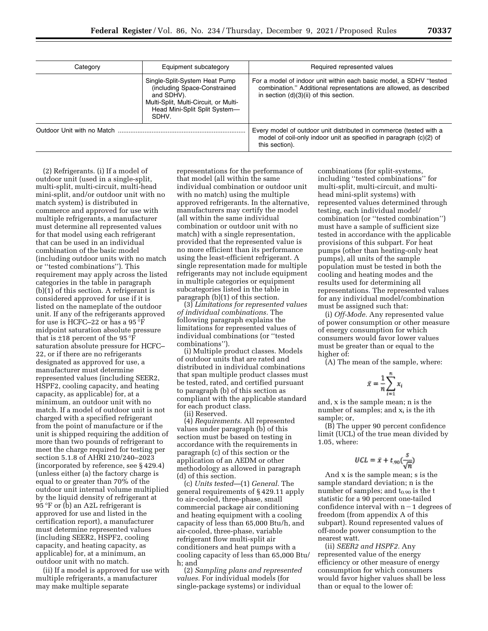| Category | Equipment subcategory                                                                                                                                          | Required represented values                                                                                                                                                          |
|----------|----------------------------------------------------------------------------------------------------------------------------------------------------------------|--------------------------------------------------------------------------------------------------------------------------------------------------------------------------------------|
|          | Single-Split-System Heat Pump<br>(including Space-Constrained<br>and SDHV).<br>Multi-Split, Multi-Circuit, or Multi-<br>Head Mini-Split Split System-<br>SDHV. | For a model of indoor unit within each basic model, a SDHV "tested<br>combination." Additional representations are allowed, as described<br>in section $(d)(3)(ii)$ of this section. |
|          |                                                                                                                                                                | Every model of outdoor unit distributed in commerce (tested with a<br>model of coil-only indoor unit as specified in paragraph (c)(2) of<br>this section).                           |

(2) Refrigerants. (i) If a model of outdoor unit (used in a single-split, multi-split, multi-circuit, multi-head mini-split, and/or outdoor unit with no match system) is distributed in commerce and approved for use with multiple refrigerants, a manufacturer must determine all represented values for that model using each refrigerant that can be used in an individual combination of the basic model (including outdoor units with no match or ''tested combinations''). This requirement may apply across the listed categories in the table in paragraph (b)(1) of this section. A refrigerant is considered approved for use if it is listed on the nameplate of the outdoor unit. If any of the refrigerants approved for use is HCFC–22 or has a 95 °F midpoint saturation absolute pressure that is  $\pm 18$  percent of the 95 °F saturation absolute pressure for HCFC– 22, or if there are no refrigerants designated as approved for use, a manufacturer must determine represented values (including SEER2, HSPF2, cooling capacity, and heating capacity, as applicable) for, at a minimum, an outdoor unit with no match. If a model of outdoor unit is not charged with a specified refrigerant from the point of manufacture or if the unit is shipped requiring the addition of more than two pounds of refrigerant to meet the charge required for testing per section 5.1.8 of AHRI 210/240–2023 (incorporated by reference, see § 429.4) (unless either (a) the factory charge is equal to or greater than 70% of the outdoor unit internal volume multiplied by the liquid density of refrigerant at 95 °F or (b) an A2L refrigerant is approved for use and listed in the certification report), a manufacturer must determine represented values (including SEER2, HSPF2, cooling capacity, and heating capacity, as applicable) for, at a minimum, an outdoor unit with no match.

(ii) If a model is approved for use with multiple refrigerants, a manufacturer may make multiple separate

representations for the performance of that model (all within the same individual combination or outdoor unit with no match) using the multiple approved refrigerants. In the alternative, manufacturers may certify the model (all within the same individual combination or outdoor unit with no match) with a single representation, provided that the represented value is no more efficient than its performance using the least-efficient refrigerant. A single representation made for multiple refrigerants may not include equipment in multiple categories or equipment subcategories listed in the table in paragraph (b)(1) of this section.

(3) *Limitations for represented values of individual combinations.* The following paragraph explains the limitations for represented values of individual combinations (or ''tested combinations'').

(i) Multiple product classes. Models of outdoor units that are rated and distributed in individual combinations that span multiple product classes must be tested, rated, and certified pursuant to paragraph (b) of this section as compliant with the applicable standard for each product class.

(ii) Reserved.

(4) *Requirements.* All represented values under paragraph (b) of this section must be based on testing in accordance with the requirements in paragraph (c) of this section or the application of an AEDM or other methodology as allowed in paragraph (d) of this section.

(c) *Units tested*—(1) *General.* The general requirements of § 429.11 apply to air-cooled, three-phase, small commercial package air conditioning and heating equipment with a cooling capacity of less than 65,000 Btu/h, and air-cooled, three-phase, variable refrigerant flow multi-split air conditioners and heat pumps with a cooling capacity of less than 65,000 Btu/ h; and

(2) *Sampling plans and represented values.* For individual models (for single-package systems) or individual

combinations (for split-systems, including ''tested combinations'' for multi-split, multi-circuit, and multihead mini-split systems) with represented values determined through testing, each individual model/ combination (or ''tested combination'') must have a sample of sufficient size tested in accordance with the applicable provisions of this subpart. For heat pumps (other than heating-only heat pumps), all units of the sample population must be tested in both the cooling and heating modes and the results used for determining all representations. The represented values for any individual model/combination must be assigned such that:

(i) *Off-Mode.* Any represented value of power consumption or other measure of energy consumption for which consumers would favor lower values must be greater than or equal to the higher of:

(A) The mean of the sample, where:

$$
\bar{x} = \frac{1}{n} \sum_{i=1}^n x_i
$$

and, x is the sample mean; n is the number of samples; and  $x_i$  is the ith sample; or,

(B) The upper 90 percent confidence limit (UCL) of the true mean divided by 1.05, where:

$$
UCL = \hat{x} + t_{.90} \left(\frac{s}{\sqrt{n}}\right)
$$

And x is the sample mean; s is the sample standard deviation; n is the number of samples; and  $t_{0.90}$  is the t statistic for a 90 percent one-tailed confidence interval with  $n-1$  degrees of freedom (from appendix A of this subpart). Round represented values of off-mode power consumption to the nearest watt.

(ii) *SEER2 and HSPF2.* Any represented value of the energy efficiency or other measure of energy consumption for which consumers would favor higher values shall be less than or equal to the lower of: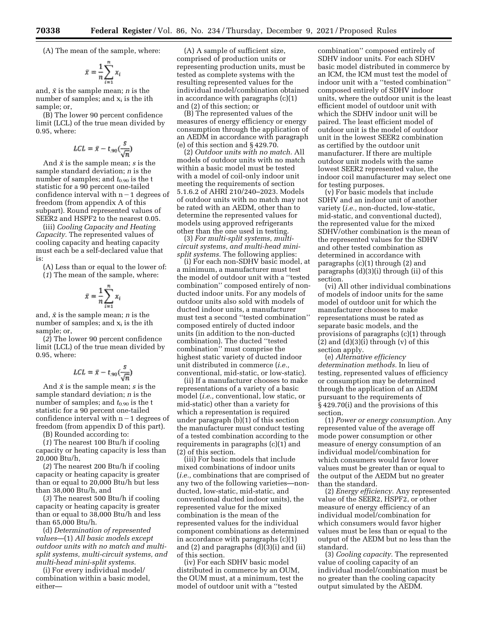(A) The mean of the sample, where:

$$
\bar{x} = \frac{1}{n} \sum_{i=1}^n x_i
$$

and, *x¯* is the sample mean; *n* is the number of samples; and  $x_i$  is the ith sample; or,

(B) The lower 90 percent confidence limit (LCL) of the true mean divided by 0.95, where:

$$
LCL = \bar{x} - t_{.90}(\frac{s}{\sqrt{n}})
$$

And  $\bar{x}$  is the sample mean; *s* is the sample standard deviation; *n* is the number of samples; and  $t_{0.90}$  is the t statistic for a 90 percent one-tailed confidence interval with  $n-1$  degrees of freedom (from appendix A of this subpart). Round represented values of SEER2 and HSPF2 to the nearest 0.05.

(iii) *Cooling Capacity and Heating Capacity.* The represented values of cooling capacity and heating capacity must each be a self-declared value that is:

(A) Less than or equal to the lower of: (*1*) The mean of the sample, where:

$$
\bar{x} = \frac{1}{n} \sum_{i=1}^n x_i
$$

and, *x¯* is the sample mean; *n* is the number of samples; and  $x_i$  is the ith sample; or,

(*2*) The lower 90 percent confidence limit (LCL) of the true mean divided by 0.95, where:

$$
LCL = \bar{x} - t_{.90}(\frac{s}{\sqrt{n}})
$$

And  $\bar{x}$  is the sample mean; *s* is the sample standard deviation; *n* is the number of samples; and  $t_{0.90}$  is the t statistic for a 90 percent one-tailed confidence interval with  $n-1$  degrees of freedom (from appendix D of this part).

(B) Rounded according to:

(*1*) The nearest 100 Btu/h if cooling capacity or heating capacity is less than 20,000 Btu/h,

(*2*) The nearest 200 Btu/h if cooling capacity or heating capacity is greater than or equal to 20,000 Btu/h but less than 38,000 Btu/h, and

(*3*) The nearest 500 Btu/h if cooling capacity or heating capacity is greater than or equal to 38,000 Btu/h and less than 65,000 Btu/h.

(d) *Determination of represented values*—(1) *All basic models except outdoor units with no match and multisplit systems, multi-circuit systems, and multi-head mini-split systems.* 

(i) For every individual model/ combination within a basic model, either—

(A) A sample of sufficient size, comprised of production units or representing production units, must be tested as complete systems with the resulting represented values for the individual model/combination obtained in accordance with paragraphs (c)(1) and (2) of this section; or

(B) The represented values of the measures of energy efficiency or energy consumption through the application of an AEDM in accordance with paragraph (e) of this section and § 429.70.

(2) *Outdoor units with no match.* All models of outdoor units with no match within a basic model must be tested with a model of coil-only indoor unit meeting the requirements of section 5.1.6.2 of AHRI 210/240–2023. Models of outdoor units with no match may not be rated with an AEDM, other than to determine the represented values for models using approved refrigerants other than the one used in testing.

(3) *For multi-split systems, multicircuit systems, and multi-head minisplit systems.* The following applies:

(i) For each non-SDHV basic model, at a minimum, a manufacturer must test the model of outdoor unit with a ''tested combination'' composed entirely of nonducted indoor units. For any models of outdoor units also sold with models of ducted indoor units, a manufacturer must test a second ''tested combination'' composed entirely of ducted indoor units (in addition to the non-ducted combination). The ducted ''tested combination'' must comprise the highest static variety of ducted indoor unit distributed in commerce (*i.e.,*  conventional, mid-static, or low-static).

(ii) If a manufacturer chooses to make representations of a variety of a basic model (*i.e.,* conventional, low static, or mid-static) other than a variety for which a representation is required under paragraph (b)(1) of this section the manufacturer must conduct testing of a tested combination according to the requirements in paragraphs (c)(1) and (2) of this section.

(iii) For basic models that include mixed combinations of indoor units (*i.e.,* combinations that are comprised of any two of the following varieties—nonducted, low-static, mid-static, and conventional ducted indoor units), the represented value for the mixed combination is the mean of the represented values for the individual component combinations as determined in accordance with paragraphs (c)(1) and  $(2)$  and paragraphs  $(d)(3)(i)$  and  $(ii)$ of this section.

(iv) For each SDHV basic model distributed in commerce by an OUM, the OUM must, at a minimum, test the model of outdoor unit with a ''tested

combination'' composed entirely of SDHV indoor units. For each SDHV basic model distributed in commerce by an ICM, the ICM must test the model of indoor unit with a ''tested combination'' composed entirely of SDHV indoor units, where the outdoor unit is the least efficient model of outdoor unit with which the SDHV indoor unit will be paired. The least efficient model of outdoor unit is the model of outdoor unit in the lowest SEER2 combination as certified by the outdoor unit manufacturer. If there are multiple outdoor unit models with the same lowest SEER2 represented value, the indoor coil manufacturer may select one for testing purposes.

(v) For basic models that include SDHV and an indoor unit of another variety (*i.e.,* non-ducted, low-static, mid-static, and conventional ducted), the represented value for the mixed SDHV/other combination is the mean of the represented values for the SDHV and other tested combination as determined in accordance with paragraphs (c)(1) through (2) and paragraphs (d)(3)(i) through (ii) of this section.

(vi) All other individual combinations of models of indoor units for the same model of outdoor unit for which the manufacturer chooses to make representations must be rated as separate basic models, and the provisions of paragraphs (c)(1) through  $(2)$  and  $(d)(3)(i)$  through  $(v)$  of this section apply.

(e) *Alternative efficiency determination methods.* In lieu of testing, represented values of efficiency or consumption may be determined through the application of an AEDM pursuant to the requirements of § 429.70(i) and the provisions of this section.

(1) *Power or energy consumption.* Any represented value of the average off mode power consumption or other measure of energy consumption of an individual model/combination for which consumers would favor lower values must be greater than or equal to the output of the AEDM but no greater than the standard.

(2) *Energy efficiency.* Any represented value of the SEER2, HSPF2, or other measure of energy efficiency of an individual model/combination for which consumers would favor higher values must be less than or equal to the output of the AEDM but no less than the standard.

(3) *Cooling capacity.* The represented value of cooling capacity of an individual model/combination must be no greater than the cooling capacity output simulated by the AEDM.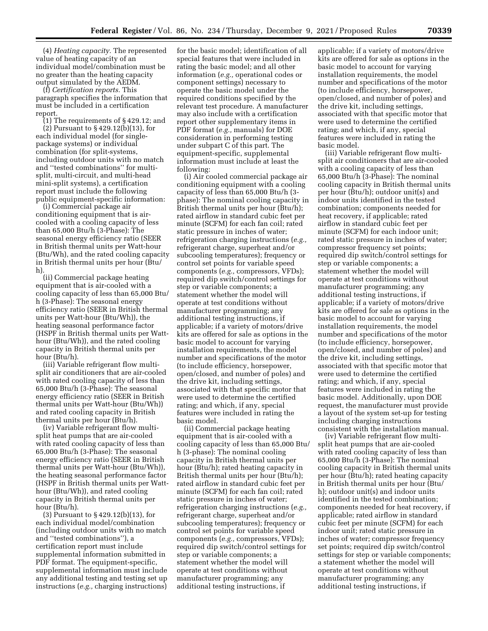(4) *Heating capacity.* The represented value of heating capacity of an individual model/combination must be no greater than the heating capacity output simulated by the AEDM.

(f) *Certification reports.* This paragraph specifies the information that must be included in a certification report.

(1) The requirements of § 429.12; and (2) Pursuant to § 429.12(b)(13), for each individual model (for singlepackage systems) or individual combination (for split-systems, including outdoor units with no match and ''tested combinations'' for multisplit, multi-circuit, and multi-head mini-split systems), a certification report must include the following public equipment-specific information:

(i) Commercial package air conditioning equipment that is aircooled with a cooling capacity of less than 65,000 Btu/h (3-Phase): The seasonal energy efficiency ratio (SEER in British thermal units per Watt-hour (Btu/Wh), and the rated cooling capacity in British thermal units per hour (Btu/ h).

(ii) Commercial package heating equipment that is air-cooled with a cooling capacity of less than 65,000 Btu/ h (3-Phase): The seasonal energy efficiency ratio (SEER in British thermal units per Watt-hour (Btu/Wh)), the heating seasonal performance factor (HSPF in British thermal units per Watthour (Btu/Wh)), and the rated cooling capacity in British thermal units per hour (Btu/h).

(iii) Variable refrigerant flow multisplit air conditioners that are air-cooled with rated cooling capacity of less than 65,000 Btu/h (3-Phase): The seasonal energy efficiency ratio (SEER in British thermal units per Watt-hour (Btu/Wh)) and rated cooling capacity in British thermal units per hour (Btu/h).

(iv) Variable refrigerant flow multisplit heat pumps that are air-cooled with rated cooling capacity of less than 65,000 Btu/h (3-Phase): The seasonal energy efficiency ratio (SEER in British thermal units per Watt-hour (Btu/Wh)), the heating seasonal performance factor (HSPF in British thermal units per Watthour (Btu/Wh)), and rated cooling capacity in British thermal units per hour (Btu/h).

(3) Pursuant to § 429.12(b)(13), for each individual model/combination (including outdoor units with no match and ''tested combinations''), a certification report must include supplemental information submitted in PDF format. The equipment-specific, supplemental information must include any additional testing and testing set up instructions (*e.g.,* charging instructions)

for the basic model; identification of all special features that were included in rating the basic model; and all other information (*e.g.,* operational codes or component settings) necessary to operate the basic model under the required conditions specified by the relevant test procedure. A manufacturer may also include with a certification report other supplementary items in PDF format (*e.g.,* manuals) for DOE consideration in performing testing under subpart C of this part. The equipment-specific, supplemental information must include at least the following:

(i) Air cooled commercial package air conditioning equipment with a cooling capacity of less than 65,000 Btu/h (3 phase): The nominal cooling capacity in British thermal units per hour (Btu/h); rated airflow in standard cubic feet per minute (SCFM) for each fan coil; rated static pressure in inches of water; refrigeration charging instructions (*e.g.,*  refrigerant charge, superheat and/or subcooling temperatures); frequency or control set points for variable speed components (*e.g.,* compressors, VFDs); required dip switch/control settings for step or variable components; a statement whether the model will operate at test conditions without manufacturer programming; any additional testing instructions, if applicable; if a variety of motors/drive kits are offered for sale as options in the basic model to account for varying installation requirements, the model number and specifications of the motor (to include efficiency, horsepower, open/closed, and number of poles) and the drive kit, including settings, associated with that specific motor that were used to determine the certified rating; and which, if any, special features were included in rating the basic model.

(ii) Commercial package heating equipment that is air-cooled with a cooling capacity of less than 65,000 Btu/ h (3-phase): The nominal cooling capacity in British thermal units per hour (Btu/h); rated heating capacity in British thermal units per hour (Btu/h); rated airflow in standard cubic feet per minute (SCFM) for each fan coil; rated static pressure in inches of water; refrigeration charging instructions (*e.g.,*  refrigerant charge, superheat and/or subcooling temperatures); frequency or control set points for variable speed components (*e.g.,* compressors, VFDs); required dip switch/control settings for step or variable components; a statement whether the model will operate at test conditions without manufacturer programming; any additional testing instructions, if

applicable; if a variety of motors/drive kits are offered for sale as options in the basic model to account for varying installation requirements, the model number and specifications of the motor (to include efficiency, horsepower, open/closed, and number of poles) and the drive kit, including settings, associated with that specific motor that were used to determine the certified rating; and which, if any, special features were included in rating the basic model.

(iii) Variable refrigerant flow multisplit air conditioners that are air-cooled with a cooling capacity of less than 65,000 Btu/h (3-Phase): The nominal cooling capacity in British thermal units per hour (Btu/h); outdoor unit(s) and indoor units identified in the tested combination; components needed for heat recovery, if applicable; rated airflow in standard cubic feet per minute (SCFM) for each indoor unit; rated static pressure in inches of water; compressor frequency set points; required dip switch/control settings for step or variable components; a statement whether the model will operate at test conditions without manufacturer programming; any additional testing instructions, if applicable; if a variety of motors/drive kits are offered for sale as options in the basic model to account for varying installation requirements, the model number and specifications of the motor (to include efficiency, horsepower, open/closed, and number of poles) and the drive kit, including settings, associated with that specific motor that were used to determine the certified rating; and which, if any, special features were included in rating the basic model. Additionally, upon DOE request, the manufacturer must provide a layout of the system set-up for testing including charging instructions consistent with the installation manual.

(iv) Variable refrigerant flow multisplit heat pumps that are air-cooled with rated cooling capacity of less than 65,000 Btu/h (3-Phase): The nominal cooling capacity in British thermal units per hour (Btu/h); rated heating capacity in British thermal units per hour (Btu/ h); outdoor unit(s) and indoor units identified in the tested combination; components needed for heat recovery, if applicable; rated airflow in standard cubic feet per minute (SCFM) for each indoor unit; rated static pressure in inches of water; compressor frequency set points; required dip switch/control settings for step or variable components; a statement whether the model will operate at test conditions without manufacturer programming; any additional testing instructions, if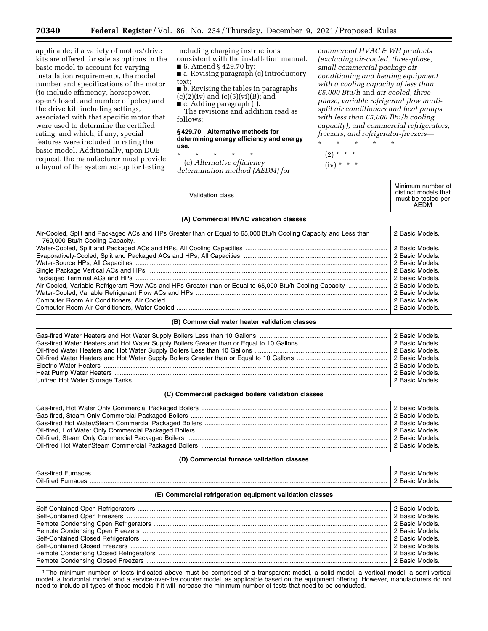applicable; if a variety of motors/drive kits are offered for sale as options in the basic model to account for varying installation requirements, the model number and specifications of the motor (to include efficiency, horsepower, open/closed, and number of poles) and the drive kit, including settings, associated with that specific motor that were used to determine the certified rating; and which, if any, special features were included in rating the basic model. Additionally, upon DOE request, the manufacturer must provide a layout of the system set-up for testing

including charging instructions consistent with the installation manual.

■ 6. Amend § 429.70 by: ■ a. Revising paragraph (c) introductory

text;

■ b. Revising the tables in paragraphs  $(c)(2)(iv)$  and  $(c)(5)(vi)(B)$ ; and

■ c. Adding paragraph (i).

The revisions and addition read as follows:

#### **§ 429.70 Alternative methods for determining energy efficiency and energy use.**

\* \* \* \* \* (c) *Alternative efficiency determination method (AEDM) for* 

Validation class

*commercial HVAC & WH products (excluding air-cooled, three-phase, small commercial package air conditioning and heating equipment with a cooling capacity of less than 65,000 Btu/h* and *air-cooled, threephase, variable refrigerant flow multisplit air conditioners and heat pumps with less than 65,000 Btu/h cooling capacity), and commercial refrigerators, freezers, and refrigerator-freezers*—

\* \* \* \* \*  $(2) * * * *$ 

 $(iv) * * * *$ 

Minimum number of distinct models that must be tested per AEDM

## **(A) Commercial HVAC validation classes**

| Air-Cooled, Split and Packaged ACs and HPs Greater than or Egual to 65,000 Btu/h Cooling Capacity and Less than<br>760,000 Btu/h Cooling Capacity. | 2 Basic Models. |
|----------------------------------------------------------------------------------------------------------------------------------------------------|-----------------|
|                                                                                                                                                    |                 |
|                                                                                                                                                    |                 |
|                                                                                                                                                    |                 |
|                                                                                                                                                    |                 |
|                                                                                                                                                    | 2 Basic Models. |
|                                                                                                                                                    |                 |
|                                                                                                                                                    |                 |
|                                                                                                                                                    |                 |
|                                                                                                                                                    |                 |

#### **(B) Commercial water heater validation classes**

#### **(C) Commercial packaged boilers validation classes**

| 2 Basic Models. |
|-----------------|
| 2 Basic Models. |
| 2 Basic Models. |
| 2 Basic Models. |
| 2 Basic Models. |
| 2 Basic Models. |

#### **(D) Commercial furnace validation classes**

| Gas<br>. . |   |
|------------|---|
| Oil-fire   | . |

## **(E) Commercial refrigeration equipment validation classes**

1The minimum number of tests indicated above must be comprised of a transparent model, a solid model, a vertical model, a semi-vertical model, a horizontal model, and a service-over-the counter model, as applicable based on the equipment offering. However, manufacturers do not need to include all types of these models if it will increase the minimum number of tests that need to be conducted.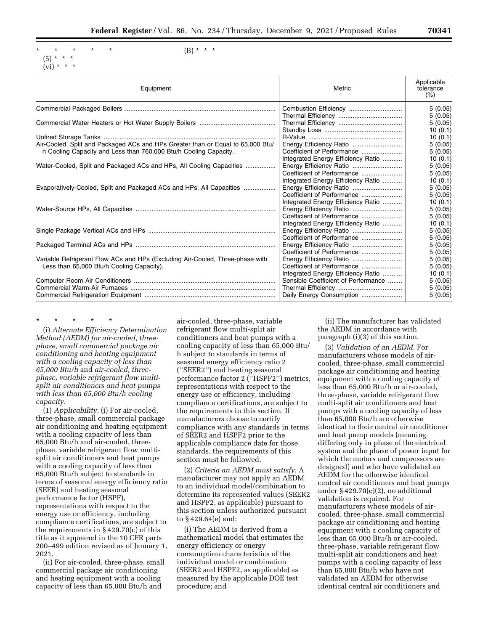```
* * * * * 
(5) * * * 
(vi) * * * *
```
 $(B) * * * *$ 

| Equipment                                                                       | Metric                              | Applicable<br>tolerance<br>(%) |
|---------------------------------------------------------------------------------|-------------------------------------|--------------------------------|
|                                                                                 |                                     | 5(0.05)                        |
|                                                                                 |                                     | 5(0.05)                        |
|                                                                                 |                                     | 5(0.05)                        |
|                                                                                 |                                     | 10(0.1)                        |
|                                                                                 |                                     | 10(0.1)                        |
| Air-Cooled, Split and Packaged ACs and HPs Greater than or Equal to 65,000 Btu/ |                                     | 5(0.05)                        |
| h Cooling Capacity and Less than 760,000 Btu/h Cooling Capacity.                | Coefficient of Performance          | 5(0.05)                        |
|                                                                                 | Integrated Energy Efficiency Ratio  | 10(0.1)                        |
| Water-Cooled, Split and Packaged ACs and HPs, All Cooling Capacities            |                                     | 5(0.05)                        |
|                                                                                 |                                     | 5(0.05)                        |
|                                                                                 | Integrated Energy Efficiency Ratio  | 10(0.1)                        |
| Evaporatively-Cooled, Split and Packaged ACs and HPs, All Capacities            |                                     | 5(0.05)                        |
|                                                                                 | Coefficient of Performance          | 5(0.05)                        |
|                                                                                 | Integrated Energy Efficiency Ratio  | 10(0.1)                        |
|                                                                                 |                                     | 5(0.05)                        |
|                                                                                 | Coefficient of Performance          | 5(0.05)                        |
|                                                                                 | Integrated Energy Efficiency Ratio  | 10(0.1)                        |
|                                                                                 | Energy Efficiency Ratio             | 5(0.05)                        |
|                                                                                 | Coefficient of Performance          | 5(0.05)                        |
|                                                                                 |                                     | 5(0.05)                        |
|                                                                                 | Coefficient of Performance          | 5(0.05)                        |
| Variable Refrigerant Flow ACs and HPs (Excluding Air-Cooled, Three-phase with   | Energy Efficiency Ratio             | 5(0.05)                        |
| Less than 65,000 Btu/h Cooling Capacity).                                       | Coefficient of Performance          | 5(0.05)                        |
|                                                                                 | Integrated Energy Efficiency Ratio  | 10(0.1)                        |
|                                                                                 | Sensible Coefficient of Performance | 5(0.05)                        |
|                                                                                 |                                     | 5(0.05)                        |
|                                                                                 |                                     | 5(0.05)                        |

\* \* \* \* \* (i) *Alternate Efficiency Determination Method (AEDM) for air-cooled, threephase, small commercial package air conditioning and heating equipment with a cooling capacity of less than 65,000 Btu/h* and *air-cooled, threephase, variable refrigerant flow multisplit air conditioners and heat pumps with less than 65,000 Btu/h cooling capacity.* 

(1) *Applicability.* (i) For air-cooled, three-phase, small commercial package air conditioning and heating equipment with a cooling capacity of less than 65,000 Btu/h and air-cooled, threephase, variable refrigerant flow multisplit air conditioners and heat pumps with a cooling capacity of less than 65,000 Btu/h subject to standards in terms of seasonal energy efficiency ratio (SEER) and heating seasonal performance factor (HSPF), representations with respect to the energy use or efficiency, including compliance certifications, are subject to the requirements in § 429.70(c) of this title as it appeared in the 10 CFR parts 200–499 edition revised as of January 1, 2021.

(ii) For air-cooled, three-phase, small commercial package air conditioning and heating equipment with a cooling capacity of less than 65,000 Btu/h and

air-cooled, three-phase, variable refrigerant flow multi-split air conditioners and heat pumps with a cooling capacity of less than 65,000 Btu/ h subject to standards in terms of seasonal energy efficiency ratio 2 (''SEER2'') and heating seasonal performance factor 2 (''HSPF2'') metrics, representations with respect to the energy use or efficiency, including compliance certifications, are subject to the requirements in this section. If manufacturers choose to certify compliance with any standards in terms of SEER2 and HSPF2 prior to the applicable compliance date for those standards, the requirements of this section must be followed.

(2) *Criteria an AEDM must satisfy.* A manufacturer may not apply an AEDM to an individual model/combination to determine its represented values (SEER2 and HSPF2, as applicable) pursuant to this section unless authorized pursuant to § 429.64(e) and:

(i) The AEDM is derived from a mathematical model that estimates the energy efficiency or energy consumption characteristics of the individual model or combination (SEER2 and HSPF2, as applicable) as measured by the applicable DOE test procedure; and

(ii) The manufacturer has validated the AEDM in accordance with paragraph (i)(3) of this section.

(3) *Validation of an AEDM.* For manufacturers whose models of aircooled, three-phase, small commercial package air conditioning and heating equipment with a cooling capacity of less than 65,000 Btu/h or air-cooled, three-phase, variable refrigerant flow multi-split air conditioners and heat pumps with a cooling capacity of less than 65,000 Btu/h are otherwise identical to their central air conditioner and heat pump models (meaning differing only in phase of the electrical system and the phase of power input for which the motors and compressors are designed) and who have validated an AEDM for the otherwise identical central air conditioners and heat pumps under § 429.70(e)(2), no additional validation is required. For manufacturers whose models of aircooled, three-phase, small commercial package air conditioning and heating equipment with a cooling capacity of less than 65,000 Btu/h or air-cooled, three-phase, variable refrigerant flow multi-split air conditioners and heat pumps with a cooling capacity of less than 65,000 Btu/h who have not validated an AEDM for otherwise identical central air conditioners and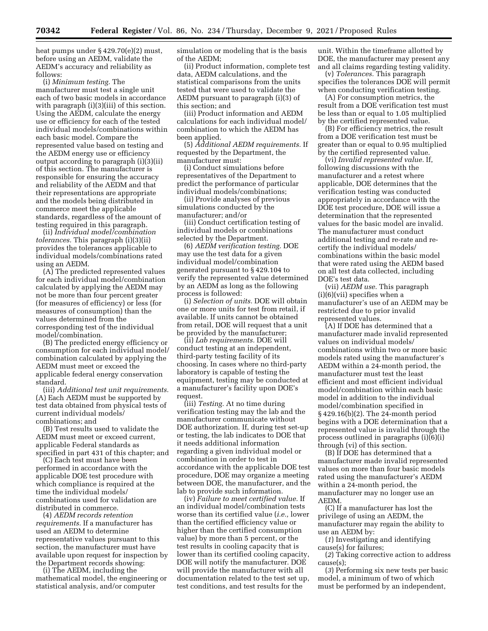heat pumps under § 429.70(e)(2) must, before using an AEDM, validate the AEDM's accuracy and reliability as follows:

(i) *Minimum testing.* The manufacturer must test a single unit each of two basic models in accordance with paragraph (i)(3)(iii) of this section. Using the AEDM, calculate the energy use or efficiency for each of the tested individual models/combinations within each basic model. Compare the represented value based on testing and the AEDM energy use or efficiency output according to paragraph (i)(3)(ii) of this section. The manufacturer is responsible for ensuring the accuracy and reliability of the AEDM and that their representations are appropriate and the models being distributed in commerce meet the applicable standards, regardless of the amount of testing required in this paragraph.

(ii) *Individual model/combination tolerances.* This paragraph (i)(3)(ii) provides the tolerances applicable to individual models/combinations rated using an AEDM.

(A) The predicted represented values for each individual model/combination calculated by applying the AEDM may not be more than four percent greater (for measures of efficiency) or less (for measures of consumption) than the values determined from the corresponding test of the individual model/combination.

(B) The predicted energy efficiency or consumption for each individual model/ combination calculated by applying the AEDM must meet or exceed the applicable federal energy conservation standard.

(iii) *Additional test unit requirements.*  (A) Each AEDM must be supported by test data obtained from physical tests of current individual models/ combinations; and

(B) Test results used to validate the AEDM must meet or exceed current, applicable Federal standards as specified in part 431 of this chapter; and

(C) Each test must have been performed in accordance with the applicable DOE test procedure with which compliance is required at the time the individual models/ combinations used for validation are distributed in commerce.

(4) *AEDM records retention requirements.* If a manufacturer has used an AEDM to determine representative values pursuant to this section, the manufacturer must have available upon request for inspection by the Department records showing:

(i) The AEDM, including the mathematical model, the engineering or statistical analysis, and/or computer

simulation or modeling that is the basis of the AEDM;

(ii) Product information, complete test data, AEDM calculations, and the statistical comparisons from the units tested that were used to validate the AEDM pursuant to paragraph (i)(3) of this section; and

(iii) Product information and AEDM calculations for each individual model/ combination to which the AEDM has been applied.

(5) *Additional AEDM requirements.* If requested by the Department, the manufacturer must:

(i) Conduct simulations before representatives of the Department to predict the performance of particular individual models/combinations;

(ii) Provide analyses of previous simulations conducted by the manufacturer; and/or

(iii) Conduct certification testing of individual models or combinations selected by the Department.

(6) *AEDM verification testing.* DOE may use the test data for a given individual model/combination generated pursuant to § 429.104 to verify the represented value determined by an AEDM as long as the following process is followed:

(i) *Selection of units.* DOE will obtain one or more units for test from retail, if available. If units cannot be obtained from retail, DOE will request that a unit be provided by the manufacturer;

(ii) *Lab requirements.* DOE will conduct testing at an independent, third-party testing facility of its choosing. In cases where no third-party laboratory is capable of testing the equipment, testing may be conducted at a manufacturer's facility upon DOE's request.

(iii) *Testing.* At no time during verification testing may the lab and the manufacturer communicate without DOE authorization. If, during test set-up or testing, the lab indicates to DOE that it needs additional information regarding a given individual model or combination in order to test in accordance with the applicable DOE test procedure, DOE may organize a meeting between DOE, the manufacturer, and the lab to provide such information.

(iv) *Failure to meet certified value.* If an individual model/combination tests worse than its certified value (*i.e.,* lower than the certified efficiency value or higher than the certified consumption value) by more than 5 percent, or the test results in cooling capacity that is lower than its certified cooling capacity, DOE will notify the manufacturer. DOE will provide the manufacturer with all documentation related to the test set up, test conditions, and test results for the

unit. Within the timeframe allotted by DOE, the manufacturer may present any and all claims regarding testing validity.

(v) *Tolerances.* This paragraph specifies the tolerances DOE will permit when conducting verification testing.

(A) For consumption metrics, the result from a DOE verification test must be less than or equal to 1.05 multiplied by the certified represented value.

(B) For efficiency metrics, the result from a DOE verification test must be greater than or equal to 0.95 multiplied by the certified represented value.

(vi) *Invalid represented value.* If, following discussions with the manufacturer and a retest where applicable, DOE determines that the verification testing was conducted appropriately in accordance with the DOE test procedure, DOE will issue a determination that the represented values for the basic model are invalid. The manufacturer must conduct additional testing and re-rate and recertify the individual models/ combinations within the basic model that were rated using the AEDM based on all test data collected, including DOE's test data.

(vii) *AEDM use.* This paragraph (i)(6)(vii) specifies when a manufacturer's use of an AEDM may be restricted due to prior invalid represented values.

(A) If DOE has determined that a manufacturer made invalid represented values on individual models/ combinations within two or more basic models rated using the manufacturer's AEDM within a 24-month period, the manufacturer must test the least efficient and most efficient individual model/combination within each basic model in addition to the individual model/combination specified in § 429.16(b)(2). The 24-month period begins with a DOE determination that a represented value is invalid through the process outlined in paragraphs (i)(6)(i) through (vi) of this section.

(B) If DOE has determined that a manufacturer made invalid represented values on more than four basic models rated using the manufacturer's AEDM within a 24-month period, the manufacturer may no longer use an AEDM.

(C) If a manufacturer has lost the privilege of using an AEDM, the manufacturer may regain the ability to use an AEDM by:

(*1*) Investigating and identifying cause(s) for failures;

(*2*) Taking corrective action to address cause(s);

(*3*) Performing six new tests per basic model, a minimum of two of which must be performed by an independent,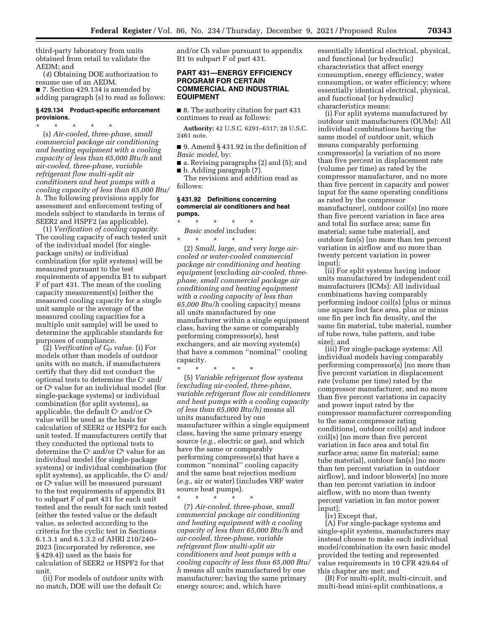third-party laboratory from units obtained from retail to validate the AEDM; and

(*4*) Obtaining DOE authorization to resume use of an AEDM.

■ 7. Section 429.134 is amended by adding paragraph (s) to read as follows:

#### **§ 429.134 Product-specific enforcement provisions.**

\* \* \* \* \* (s) *Air-cooled, three-phase, small commercial package air conditioning and heating equipment with a cooling capacity of less than 65,000 Btu/h* and *air-cooled, three-phase, variable refrigerant flow multi-split air conditioners and heat pumps with a cooling capacity of less than 65,000 Btu/ h.* The following provisions apply for assessment and enforcement testing of models subject to standards in terms of SEER2 and HSPF2 (as applicable).

(1) *Verification of cooling capacity.*  The cooling capacity of each tested unit of the individual model (for singlepackage units) or individual combination (for split systems) will be measured pursuant to the test requirements of appendix B1 to subpart F of part 431. The mean of the cooling capacity measurement(s) (either the measured cooling capacity for a single unit sample or the average of the measured cooling capacities for a multiple unit sample) will be used to determine the applicable standards for purposes of compliance.

(2) *Verification of CD value.* (i) For models other than models of outdoor units with no match, if manufacturers certify that they did not conduct the optional tests to determine the  $C<sup>c</sup>$  and/ or Ch value for an individual model (for single-package systems) or individual combination (for split systems), as applicable, the default  $C<sup>c</sup>$  and/or  $C<sup>h</sup>$ value will be used as the basis for calculation of SEER2 or HSPF2 for each unit tested. If manufacturers certify that they conducted the optional tests to determine the  $C<sup>c</sup>$  and/or  $C<sup>h</sup>$  value for an individual model (for single-package systems) or individual combination (for split systems), as applicable, the  $C<sup>c</sup>$  and/ or Ch value will be measured pursuant to the test requirements of appendix B1 to subpart F of part 431 for each unit tested and the result for each unit tested (either the tested value or the default value, as selected according to the criteria for the cyclic test in Sections 6.1.3.1 and 6.1.3.2 of AHRI 210/240– 2023 (incorporated by reference, see § 429.4)) used as the basis for calculation of SEER2 or HSPF2 for that unit.

(ii) For models of outdoor units with no match, DOE will use the default Cc

and/or Ch value pursuant to appendix B1 to subpart F of part 431.

## **PART 431—ENERGY EFFICIENCY PROGRAM FOR CERTAIN COMMERCIAL AND INDUSTRIAL EQUIPMENT**

■ 8. The authority citation for part 431 continues to read as follows:

**Authority:** 42 U.S.C. 6291–6317; 28 U.S.C. 2461 note.

■ 9. Amend § 431.92 in the definition of *Basic model,* by:

■ a. Revising paragraphs (2) and (5); and ■ b. Adding paragraph (7).

The revisions and addition read as follows:

#### **§ 431.92 Definitions concerning commercial air conditioners and heat pumps.**

\* \* \* \* \* *Basic model* includes:  $\star$   $\star$   $\star$ 

(2) *Small, large, and very large aircooled or water-cooled commercial package air conditioning and heating equipment* (excluding *air-cooled, threephase, small commercial package air conditioning and heating equipment with a cooling capacity of less than 65,000 Btu/h* cooling capacity) means all units manufactured by one manufacturer within a single equipment class, having the same or comparably performing compressor(s), heat exchangers, and air moving system(s) that have a common ''nominal'' cooling capacity.

\* \* \* \* \*

(5) *Variable refrigerant flow systems (excluding air-cooled, three-phase, variable refrigerant flow air conditioners and heat pumps with a cooling capacity of less than 65,000 Btu/h)* means all units manufactured by one manufacturer within a single equipment class, having the same primary energy source (*e.g.,* electric or gas), and which have the same or comparably performing compressor(s) that have a common ''nominal'' cooling capacity and the same heat rejection medium (*e.g.,* air or water) (includes VRF water source heat pumps).

\* \* \* \* \* (7) *Air-cooled, three-phase, small commercial package air conditioning and heating equipment with a cooling capacity of less than 65,000 Btu/h* and *air-cooled, three-phase, variable refrigerant flow multi-split air conditioners and heat pumps with a cooling capacity of less than 65,000 Btu/ h* means all units manufactured by one manufacturer; having the same primary energy source; and, which have

essentially identical electrical, physical, and functional (or hydraulic) characteristics that affect energy consumption, energy efficiency, water consumption, or water efficiency; where essentially identical electrical, physical, and functional (or hydraulic) characteristics means:

(i) For split systems manufactured by outdoor unit manufacturers (OUMs): All individual combinations having the same model of outdoor unit, which means comparably performing compressor(s) [a variation of no more than five percent in displacement rate (volume per time) as rated by the compressor manufacturer, and no more than five percent in capacity and power input for the same operating conditions as rated by the compressor manufacturer], outdoor coil(s) [no more than five percent variation in face area and total fin surface area; same fin material; same tube material], and outdoor fan(s) [no more than ten percent variation in airflow and no more than twenty percent variation in power input];

(ii) For split systems having indoor units manufactured by independent coil manufacturers (ICMs): All individual combinations having comparably performing indoor coil(s) [plus or minus one square foot face area, plus or minus one fin per inch fin density, and the same fin material, tube material, number of tube rows, tube pattern, and tube size]; and

(iii) For single-package systems: All individual models having comparably performing compressor(s) [no more than five percent variation in displacement rate (volume per time) rated by the compressor manufacturer, and no more than five percent variations in capacity and power input rated by the compressor manufacturer corresponding to the same compressor rating conditions], outdoor coil(s) and indoor coil(s) [no more than five percent variation in face area and total fin surface area; same fin material; same tube material], outdoor fan(s) [no more than ten percent variation in outdoor airflow], and indoor blower(s) [no more than ten percent variation in indoor airflow, with no more than twenty percent variation in fan motor power input];

(iv) Except that,

(A) For single-package systems and single-split systems, manufacturers may instead choose to make each individual model/combination its own basic model provided the testing and represented value requirements in 10 CFR 429.64 of this chapter are met; and

(B) For multi-split, multi-circuit, and multi-head mini-split combinations, a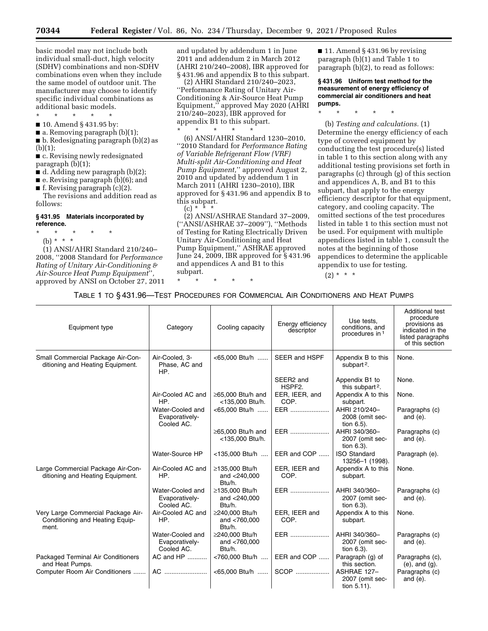basic model may not include both individual small-duct, high velocity (SDHV) combinations and non-SDHV combinations even when they include the same model of outdoor unit. The manufacturer may choose to identify specific individual combinations as additional basic models.

- \* \* \* \* \*
- 10. Amend § 431.95 by:
- $\blacksquare$  a. Removing paragraph (b)(1);

■ b. Redesignating paragraph (b)(2) as  $(b)(1)$ :

■ c. Revising newly redesignated paragraph (b)(1);

- $\blacksquare$  d. Adding new paragraph (b)(2);
- e. Revising paragraph (b)(6); and
- f. Revising paragraph (c)(2).

The revisions and addition read as follows:

#### **§ 431.95 Materials incorporated by reference.**

- \* \* \* \* \*
	- (b) \* \* \*

(1) ANSI/AHRI Standard 210/240– 2008, ''2008 Standard for *Performance Rating of Unitary Air-Conditioning & Air-Source Heat Pump Equipment*''*,*  approved by ANSI on October 27, 2011 and updated by addendum 1 in June 2011 and addendum 2 in March 2012 (AHRI 210/240–2008), IBR approved for § 431.96 and appendix B to this subpart.

(2) AHRI Standard 210/240–2023, ''Performance Rating of Unitary Air-Conditioning & Air-Source Heat Pump Equipment,'' approved May 2020 (AHRI 210/240–2023), IBR approved for appendix B1 to this subpart.

\* \* \* \* \*

(6) ANSI/AHRI Standard 1230–2010, ''2010 Standard for *Performance Rating of Variable Refrigerant Flow (VRF) Multi-split Air-Conditioning and Heat Pump Equipment,*'' approved August 2, 2010 and updated by addendum 1 in March 2011 (AHRI 1230–2010), IBR approved for § 431.96 and appendix B to this subpart.

 $(c) * \frac{1}{2}$ 

(2) ANSI/ASHRAE Standard 37–2009, (''ANSI/ASHRAE 37–2009''), ''Methods of Testing for Rating Electrically Driven Unitary Air-Conditioning and Heat Pump Equipment,'' ASHRAE approved June 24, 2009, IBR approved for § 431.96 and appendices A and B1 to this subpart. \* \* \* \* \*

 $\blacksquare$  11. Amend § 431.96 by revising paragraph (b)(1) and Table 1 to paragraph (b)(2), to read as follows:

**§ 431.96 Uniform test method for the measurement of energy efficiency of commercial air conditioners and heat pumps.** 

\* \* \* \* \*

(b) *Testing and calculations.* (1) Determine the energy efficiency of each type of covered equipment by conducting the test procedure(s) listed in table 1 to this section along with any additional testing provisions set forth in paragraphs (c) through (g) of this section and appendices A, B, and B1 to this subpart, that apply to the energy efficiency descriptor for that equipment, category, and cooling capacity. The omitted sections of the test procedures listed in table 1 to this section must not be used. For equipment with multiple appendices listed in table 1, consult the notes at the beginning of those appendices to determine the applicable appendix to use for testing.

## $(2) * * * *$

|  |  | TABLE 1 TO § 431.96—TEST PROCEDURES FOR COMMERCIAL AIR CONDITIONERS AND HEAT PUMPS |  |  |  |  |  |  |  |
|--|--|------------------------------------------------------------------------------------|--|--|--|--|--|--|--|
|--|--|------------------------------------------------------------------------------------|--|--|--|--|--|--|--|

| Equipment type                                                                 | Category                                         | Cooling capacity                           | Energy efficiency<br>descriptor | Use tests,<br>conditions, and<br>procedures in 1 | Additional test<br>procedure<br>provisions as<br>indicated in the<br>listed paragraphs<br>of this section |
|--------------------------------------------------------------------------------|--------------------------------------------------|--------------------------------------------|---------------------------------|--------------------------------------------------|-----------------------------------------------------------------------------------------------------------|
| Small Commercial Package Air-Con-<br>ditioning and Heating Equipment.          | Air-Cooled, 3-<br>Phase, AC and<br>HP.           | <65,000 Btu/h                              | SEER and HSPF                   | Appendix B to this<br>subpart <sup>2</sup> .     | None.                                                                                                     |
|                                                                                |                                                  |                                            | SEER2 and<br>HSPF2.             | Appendix B1 to<br>this subpart <sup>2</sup> .    | None.                                                                                                     |
|                                                                                | Air-Cooled AC and<br>HP.                         | $\geq$ 65,000 Btu/h and<br><135,000 Btu/h. | EER, IEER, and<br>COP.          | Appendix A to this<br>subpart.                   | None.                                                                                                     |
|                                                                                | Water-Cooled and<br>Evaporatively-<br>Cooled AC. | <65,000 Btu/h                              | EER                             | AHRI 210/240-<br>2008 (omit sec-<br>tion 6.5).   | Paragraphs (c)<br>and $(e)$ .                                                                             |
|                                                                                |                                                  | ≥65,000 Btu/h and<br><135,000 Btu/h.       | EER                             | AHRI 340/360-<br>2007 (omit sec-<br>tion 6.3).   | Paragraphs (c)<br>and $(e)$ .                                                                             |
|                                                                                | Water-Source HP                                  | <135,000 Btu/h                             | EER and COP                     | <b>ISO Standard</b><br>13256-1 (1998).           | Paragraph (e).                                                                                            |
| Large Commercial Package Air-Con-<br>ditioning and Heating Equipment.          | Air-Cooled AC and<br>HP.                         | ≥135,000 Btu/h<br>and <240,000<br>Btu/h.   | EER, IEER and<br>COP.           | Appendix A to this<br>subpart.                   | None.                                                                                                     |
|                                                                                | Water-Cooled and<br>Evaporatively-<br>Cooled AC. | ≥135,000 Btu/h<br>and <240,000<br>Btu/h.   | EER                             | AHRI 340/360-<br>2007 (omit sec-<br>tion 6.3).   | Paragraphs (c)<br>and $(e)$ .                                                                             |
| Very Large Commercial Package Air-<br>Conditioning and Heating Equip-<br>ment. | Air-Cooled AC and<br>HP.                         | ≥240,000 Btu/h<br>and <760,000<br>Btu/h.   | EER, IEER and<br>COP.           | Appendix A to this<br>subpart.                   | None.                                                                                                     |
|                                                                                | Water-Cooled and<br>Evaporatively-<br>Cooled AC. | ≥240.000 Btu/h<br>and <760,000<br>Btu/h.   | EER                             | AHRI 340/360-<br>2007 (omit sec-<br>tion 6.3).   | Paragraphs (c)<br>and $(e)$ .                                                                             |
| Packaged Terminal Air Conditioners<br>and Heat Pumps.                          | AC and HP                                        | <760,000 Btu/h                             | EER and COP                     | Paragraph (g) of<br>this section.                | Paragraphs (c),<br>$(e)$ , and $(g)$ .                                                                    |
| Computer Room Air Conditioners                                                 | AC                                               | <65,000 Btu/h                              | SCOP                            | ASHRAE 127-<br>2007 (omit sec-<br>tion 5.11).    | Paragraphs (c)<br>and $(e)$ .                                                                             |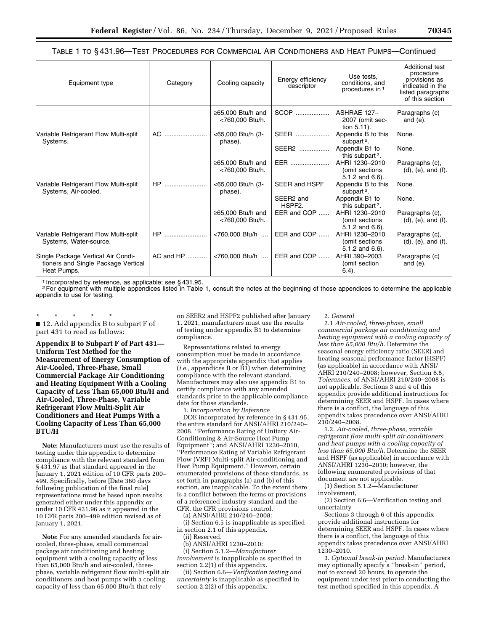TABLE 1 TO § 431.96—TEST PROCEDURES FOR COMMERCIAL AIR CONDITIONERS AND HEAT PUMPS—Continued

| Equipment type                                                                           | Category  | Cooling capacity                           | Energy efficiency<br>descriptor  | Use tests,<br>conditions, and<br>procedures in 1          | Additional test<br>procedure<br>provisions as<br>indicated in the<br>listed paragraphs<br>of this section |
|------------------------------------------------------------------------------------------|-----------|--------------------------------------------|----------------------------------|-----------------------------------------------------------|-----------------------------------------------------------------------------------------------------------|
|                                                                                          |           | $\geq$ 65,000 Btu/h and<br><760.000 Btu/h. | SCOP                             | ASHRAE 127-<br>2007 (omit sec-<br>tion $5.11$ ).          | Paragraphs (c)<br>and $(e)$ .                                                                             |
| Variable Refrigerant Flow Multi-split<br>Systems.                                        | AC.       | <65,000 Btu/h (3-<br>phase).               | SEER                             | Appendix B to this<br>subpart <sup>2</sup> .              | None.                                                                                                     |
|                                                                                          |           |                                            | SEER2                            | Appendix B1 to<br>this subpart <sup>2</sup> .             | None.                                                                                                     |
|                                                                                          |           | $\geq$ 65,000 Btu/h and<br><760,000 Btu/h. | EER                              | AHRI 1230-2010<br>(omit sections)<br>$5.1.2$ and $6.6$ ). | Paragraphs (c),<br>$(d)$ , $(e)$ , and $(f)$ .                                                            |
| Variable Refrigerant Flow Multi-split<br>Systems, Air-cooled.                            | HP        | <65,000 Btu/h (3-<br>phase).               | <b>SEER and HSPF</b>             | Appendix B to this<br>subpart <sup>2</sup> .              | None.                                                                                                     |
|                                                                                          |           |                                            | SEER2 and<br>HSPF <sub>2</sub> . | Appendix B1 to<br>this subpart <sup>2</sup> .             | None.                                                                                                     |
|                                                                                          |           | $\geq$ 65,000 Btu/h and<br><760,000 Btu/h. | EER and COP                      | AHRI 1230-2010<br>(omit sections<br>$5.1.2$ and $6.6$ ).  | Paragraphs (c),<br>$(d)$ , $(e)$ , and $(f)$ .                                                            |
| Variable Refrigerant Flow Multi-split<br>Systems, Water-source.                          | $HP$      | <760,000 Btu/h                             | EER and COP                      | AHRI 1230-2010<br>(omit sections)<br>$5.1.2$ and $6.6$ ). | Paragraphs (c),<br>$(d)$ , $(e)$ , and $(f)$ .                                                            |
| Single Package Vertical Air Condi-<br>tioners and Single Package Vertical<br>Heat Pumps. | AC and HP | <760,000 Btu/h                             | EER and COP                      | AHRI 390-2003<br>(omit section<br>$6.4$ ).                | Paragraphs (c)<br>and $(e)$ .                                                                             |

1 Incorporated by reference, as applicable; see § 431.95.

<sup>2</sup>For equipment with multiple appendices listed in Table 1, consult the notes at the beginning of those appendices to determine the applicable appendix to use for testing.

\* \* \* \* \* ■ 12. Add appendix B to subpart F of part 431 to read as follows:

**Appendix B to Subpart F of Part 431— Uniform Test Method for the Measurement of Energy Consumption of Air-Cooled, Three-Phase, Small Commercial Package Air Conditioning and Heating Equipment With a Cooling Capacity of Less Than 65,000 Btu/H and Air-Cooled, Three-Phase, Variable Refrigerant Flow Multi-Split Air Conditioners and Heat Pumps With a Cooling Capacity of Less Than 65,000 BTU/H** 

**Note:** Manufacturers must use the results of testing under this appendix to determine compliance with the relevant standard from § 431.97 as that standard appeared in the January 1, 2021 edition of 10 CFR parts 200– 499. Specifically, before [Date 360 days following publication of the final rule] representations must be based upon results generated either under this appendix or under 10 CFR 431.96 as it appeared in the 10 CFR parts 200–499 edition revised as of January 1, 2021.

**Note:** For any amended standards for aircooled, three-phase, small commercial package air conditioning and heating equipment with a cooling capacity of less than 65,000 Btu/h and air-cooled, threephase, variable refrigerant flow multi-split air conditioners and heat pumps with a cooling capacity of less than 65,000 Btu/h that rely

on SEER2 and HSPF2 published after January 1, 2021, manufacturers must use the results of testing under appendix B1 to determine compliance.

Representations related to energy consumption must be made in accordance with the appropriate appendix that applies (*i.e.,* appendices B or B1) when determining compliance with the relevant standard. Manufacturers may also use appendix B1 to certify compliance with any amended standards prior to the applicable compliance date for those standards.

1. *Incorporation by Reference* 

DOE incorporated by reference in § 431.95, the entire standard for ANSI/AHRI 210/240– 2008, ''Performance Rating of Unitary Air-Conditioning & Air-Source Heat Pump Equipment''; and ANSI/AHRI 1230–2010, ''Performance Rating of Variable Refrigerant Flow (VRF) Multi-split Air-conditioning and Heat Pump Equipment.'' However, certain enumerated provisions of those standards, as set forth in paragraphs (a) and (b) of this section, are inapplicable. To the extent there is a conflict between the terms or provisions of a referenced industry standard and the CFR, the CFR provisions control.

(a) ANSI/AHRI 210/240–2008:

(i) Section 6.5 is inapplicable as specified in section 2.1 of this appendix.

(ii) Reserved.

(b) ANSI/AHRI 1230–2010:

(i) Section 5.1.2—*Manufacturer involvement* is inapplicable as specified in section 2.2(1) of this appendix.

(ii) Section 6.6—*Verification testing and uncertainty* is inapplicable as specified in section  $2.\overline{2}(2)$  of this appendix.

2. *General* 

2.1 *Air-cooled, three-phase, small commercial package air conditioning and heating equipment with a cooling capacity of less than 65,000 Btu/h.* Determine the seasonal energy efficiency ratio (SEER) and heating seasonal performance factor (HSPF) (as applicable) in accordance with ANSI/ AHRI 210/240–2008; however, Section 6.5, *Tolerances,* of ANSI/AHRI 210/240–2008 is not applicable. Sections 3 and 4 of this appendix provide additional instructions for determining SEER and HSPF. In cases where there is a conflict, the language of this appendix takes precedence over ANSI/AHRI 210/240–2008.

1.2. *Air-cooled, three-phase, variable refrigerant flow multi-split air conditioners and heat pumps with a cooling capacity of less than 65,000 Btu/h.* Determine the SEER and HSPF (as applicable) in accordance with ANSI/AHRI 1230–2010; however, the following enumerated provisions of that document are not applicable.

(1) Section 5.1.2—Manufacturer involvement,

(2) Section 6.6—Verification testing and uncertainty

Sections 3 through 6 of this appendix provide additional instructions for determining SEER and HSPF. In cases where there is a conflict, the language of this appendix takes precedence over ANSI/AHRI 1230–2010.

3. *Optional break-in period.* Manufacturers may optionally specify a ''break-in'' period, not to exceed 20 hours, to operate the equipment under test prior to conducting the test method specified in this appendix. A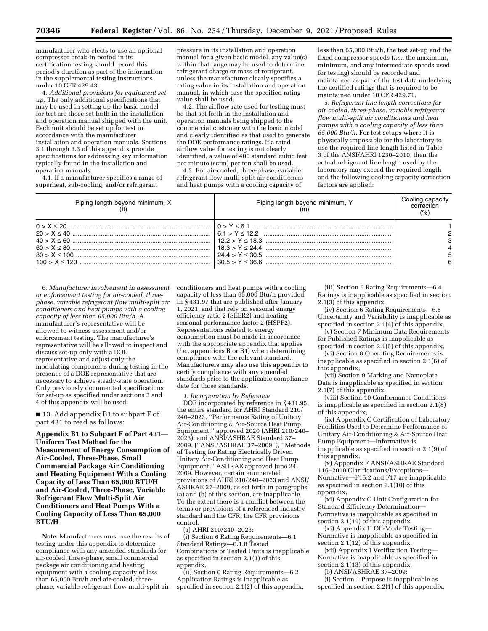manufacturer who elects to use an optional compressor break-in period in its certification testing should record this period's duration as part of the information in the supplemental testing instructions under 10 CFR 429.43.

4. *Additional provisions for equipment setup.* The only additional specifications that may be used in setting up the basic model for test are those set forth in the installation and operation manual shipped with the unit. Each unit should be set up for test in accordance with the manufacturer installation and operation manuals. Sections 3.1 through 3.3 of this appendix provide specifications for addressing key information typically found in the installation and operation manuals.

4.1. If a manufacturer specifies a range of superheat, sub-cooling, and/or refrigerant

pressure in its installation and operation manual for a given basic model, any value(s) within that range may be used to determine refrigerant charge or mass of refrigerant, unless the manufacturer clearly specifies a rating value in its installation and operation manual, in which case the specified rating value shall be used.

4.2. The airflow rate used for testing must be that set forth in the installation and operation manuals being shipped to the commercial customer with the basic model and clearly identified as that used to generate the DOE performance ratings. If a rated airflow value for testing is not clearly identified, a value of 400 standard cubic feet per minute (scfm) per ton shall be used.

4.3. For air-cooled, three-phase, variable refrigerant flow multi-split air conditioners and heat pumps with a cooling capacity of

less than 65,000 Btu/h, the test set-up and the fixed compressor speeds (*i.e.,* the maximum, minimum, and any intermediate speeds used for testing) should be recorded and maintained as part of the test data underlying the certified ratings that is required to be maintained under 10 CFR 429.71.

5. *Refrigerant line length corrections for air-cooled, three-phase, variable refrigerant flow multi-split air conditioners and heat pumps with a cooling capacity of less than 65,000 Btu/h.* For test setups where it is physically impossible for the laboratory to use the required line length listed in Table 3 of the ANSI/AHRI 1230–2010, then the actual refrigerant line length used by the laboratory may exceed the required length and the following cooling capacity correction factors are applied:

| Piping length beyond minimum, $X$ (ft) | Piping length beyond minimum, Y<br>(m) | Cooling capacity<br>correction<br>(% ) |
|----------------------------------------|----------------------------------------|----------------------------------------|
|                                        |                                        |                                        |
|                                        |                                        |                                        |
|                                        |                                        |                                        |
|                                        |                                        |                                        |
|                                        |                                        |                                        |
|                                        |                                        |                                        |

6. *Manufacturer involvement in assessment or enforcement testing for air-cooled, threephase, variable refrigerant flow multi-split air conditioners and heat pumps with a cooling capacity of less than 65,000 Btu/h.* A manufacturer's representative will be allowed to witness assessment and/or enforcement testing. The manufacturer's representative will be allowed to inspect and discuss set-up only with a DOE representative and adjust only the modulating components during testing in the presence of a DOE representative that are necessary to achieve steady-state operation. Only previously documented specifications for set-up as specified under sections 3 and 4 of this appendix will be used.

■ 13. Add appendix B1 to subpart F of part 431 to read as follows:

**Appendix B1 to Subpart F of Part 431— Uniform Test Method for the Measurement of Energy Consumption of Air-Cooled, Three-Phase, Small Commercial Package Air Conditioning and Heating Equipment With a Cooling Capacity of Less Than 65,000 BTU/H and Air-Cooled, Three-Phase, Variable Refrigerant Flow Multi-Split Air Conditioners and Heat Pumps With a Cooling Capacity of Less Than 65,000 BTU/H** 

**Note:** Manufacturers must use the results of testing under this appendix to determine compliance with any amended standards for air-cooled, three-phase, small commercial package air conditioning and heating equipment with a cooling capacity of less than 65,000 Btu/h and air-cooled, threephase, variable refrigerant flow multi-split air conditioners and heat pumps with a cooling capacity of less than 65,000 Btu/h provided in § 431.97 that are published after January 1, 2021, and that rely on seasonal energy efficiency ratio 2 (SEER2) and heating seasonal performance factor 2 (HSPF2). Representations related to energy consumption must be made in accordance with the appropriate appendix that applies (*i.e.,* appendices B or B1) when determining compliance with the relevant standard. Manufacturers may also use this appendix to certify compliance with any amended standards prior to the applicable compliance date for those standards.

*1. Incorporation by Reference* 

DOE incorporated by reference in § 431.95, the entire standard for AHRI Standard 210/ 240–2023, ''Performance Rating of Unitary Air-Conditioning & Air-Source Heat Pump Equipment," approved 2020 (AHRI 210/240– 2023); and ANSI/ASHRAE Standard 37– 2009, (''ANSI/ASHRAE 37–2009''), ''Methods of Testing for Rating Electrically Driven Unitary Air-Conditioning and Heat Pump Equipment,'' ASHRAE approved June 24, 2009. However, certain enumerated provisions of AHRI 210/240–2023 and ANSI/ ASHRAE 37–2009, as set forth in paragraphs (a) and (b) of this section, are inapplicable. To the extent there is a conflict between the terms or provisions of a referenced industry standard and the CFR, the CFR provisions control.

(a) AHRI 210/240–2023:

(i) Section 6 Rating Requirements—6.1 Standard Ratings—6.1.8 Tested Combinations or Tested Units is inapplicable as specified in section 2.1(1) of this appendix,

(ii) Section 6 Rating Requirements—6.2 Application Ratings is inapplicable as specified in section  $2.1(2)$  of this appendix,

(iii) Section 6 Rating Requirements—6.4 Ratings is inapplicable as specified in section 2.1(3) of this appendix,

(iv) Section 6 Rating Requirements—6.5 Uncertainty and Variability is inapplicable as specified in section 2.1(4) of this appendix,

(v) Section 7 Minimum Data Requirements for Published Ratings is inapplicable as specified in section 2.1(5) of this appendix,

(vi) Section 8 Operating Requirements is inapplicable as specified in section 2.1(6) of this appendix,

(vii) Section 9 Marking and Nameplate Data is inapplicable as specified in section 2.1(7) of this appendix,

(viii) Section 10 Conformance Conditions is inapplicable as specified in section 2.1(8) of this appendix,

(ix) Appendix C Certification of Laboratory Facilities Used to Determine Performance of Unitary Air-Conditioning & Air-Source Heat Pump Equipment—Informative is inapplicable as specified in section 2.1(9) of this appendix,

(x) Appendix F ANSI/ASHRAE Standard 116–2010 Clarifications/Exceptions— Normative—F15.2 and F17 are inapplicable as specified in section 2.1(10) of this appendix,

(xi) Appendix G Unit Configuration for Standard Efficiency Determination— Normative is inapplicable as specified in section 2.1(11) of this appendix,

(xi) Appendix H Off-Mode Testing— Normative is inapplicable as specified in section 2.1(12) of this appendix,

(xii) Appendix I Verification Testing— Normative is inapplicable as specified in section 2.1(13) of this appendix.

(b) ANSI/ASHRAE 37–2009: (i) Section 1 Purpose is inapplicable as

specified in section 2.2(1) of this appendix,